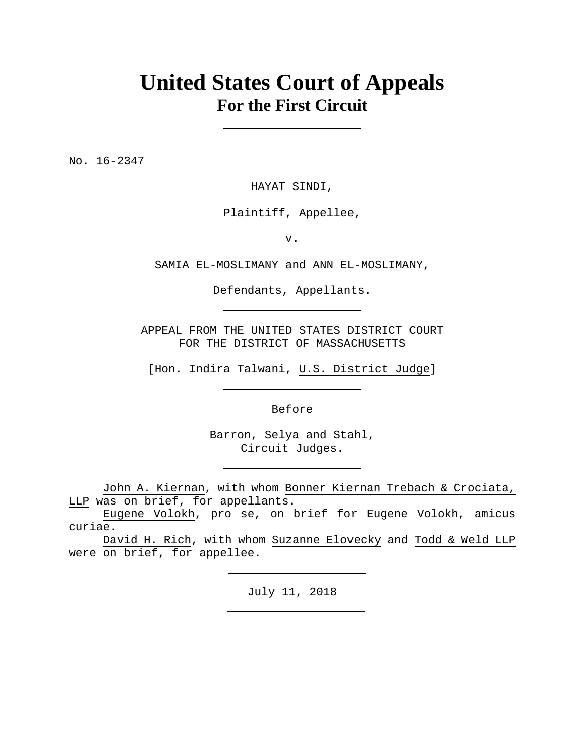# **United States Court of Appeals For the First Circuit**

No. 16-2347

HAYAT SINDI,

Plaintiff, Appellee,

v.

SAMIA EL-MOSLIMANY and ANN EL-MOSLIMANY,

Defendants, Appellants.

APPEAL FROM THE UNITED STATES DISTRICT COURT FOR THE DISTRICT OF MASSACHUSETTS

[Hon. Indira Talwani, U.S. District Judge]

Before

Barron, Selya and Stahl, Circuit Judges.

 John A. Kiernan, with whom Bonner Kiernan Trebach & Crociata, LLP was on brief, for appellants.

 Eugene Volokh, pro se, on brief for Eugene Volokh, amicus curiae.

 David H. Rich, with whom Suzanne Elovecky and Todd & Weld LLP were on brief, for appellee.

July 11, 2018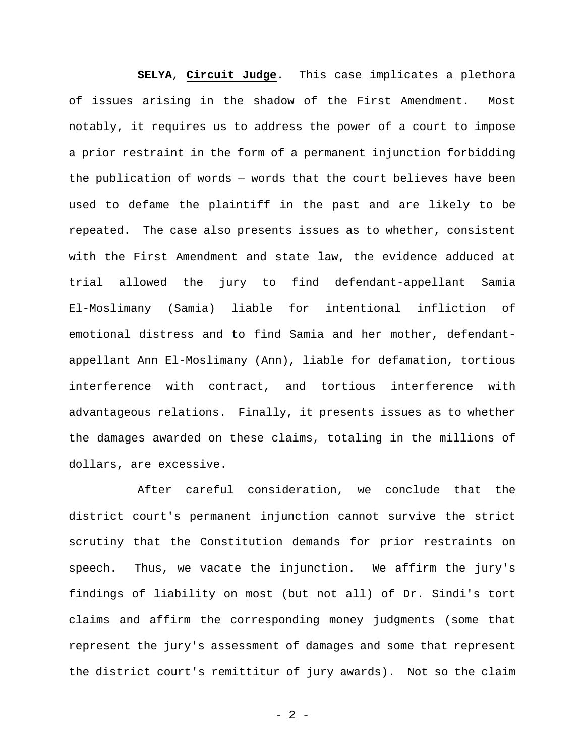**SELYA**, **Circuit Judge**. This case implicates a plethora of issues arising in the shadow of the First Amendment. Most notably, it requires us to address the power of a court to impose a prior restraint in the form of a permanent injunction forbidding the publication of words — words that the court believes have been used to defame the plaintiff in the past and are likely to be repeated. The case also presents issues as to whether, consistent with the First Amendment and state law, the evidence adduced at trial allowed the jury to find defendant-appellant Samia El-Moslimany (Samia) liable for intentional infliction of emotional distress and to find Samia and her mother, defendantappellant Ann El-Moslimany (Ann), liable for defamation, tortious interference with contract, and tortious interference with advantageous relations. Finally, it presents issues as to whether the damages awarded on these claims, totaling in the millions of dollars, are excessive.

After careful consideration, we conclude that the district court's permanent injunction cannot survive the strict scrutiny that the Constitution demands for prior restraints on speech. Thus, we vacate the injunction. We affirm the jury's findings of liability on most (but not all) of Dr. Sindi's tort claims and affirm the corresponding money judgments (some that represent the jury's assessment of damages and some that represent the district court's remittitur of jury awards). Not so the claim

- 2 -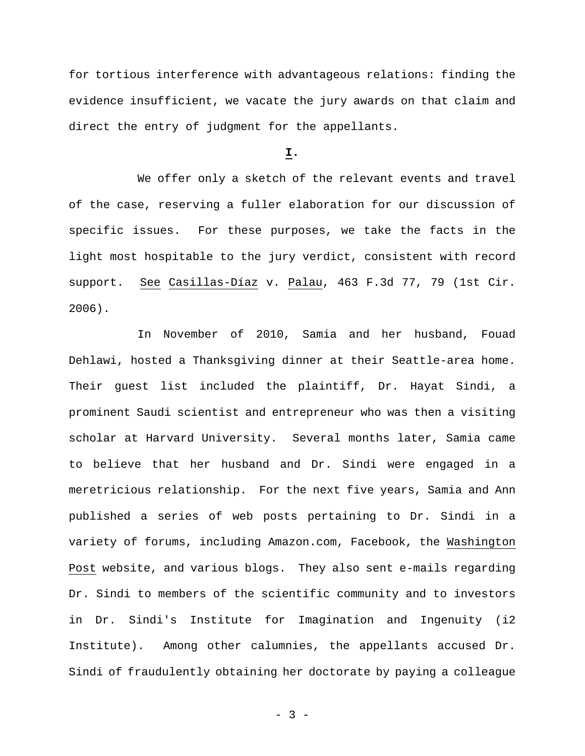for tortious interference with advantageous relations: finding the evidence insufficient, we vacate the jury awards on that claim and direct the entry of judgment for the appellants.

#### **I.**

We offer only a sketch of the relevant events and travel of the case, reserving a fuller elaboration for our discussion of specific issues. For these purposes, we take the facts in the light most hospitable to the jury verdict, consistent with record support. See Casillas-Díaz v. Palau, 463 F.3d 77, 79 (1st Cir. 2006).

In November of 2010, Samia and her husband, Fouad Dehlawi, hosted a Thanksgiving dinner at their Seattle-area home. Their guest list included the plaintiff, Dr. Hayat Sindi, a prominent Saudi scientist and entrepreneur who was then a visiting scholar at Harvard University. Several months later, Samia came to believe that her husband and Dr. Sindi were engaged in a meretricious relationship. For the next five years, Samia and Ann published a series of web posts pertaining to Dr. Sindi in a variety of forums, including Amazon.com, Facebook, the Washington Post website, and various blogs. They also sent e-mails regarding Dr. Sindi to members of the scientific community and to investors in Dr. Sindi's Institute for Imagination and Ingenuity (i2 Institute). Among other calumnies, the appellants accused Dr. Sindi of fraudulently obtaining her doctorate by paying a colleague

- 3 -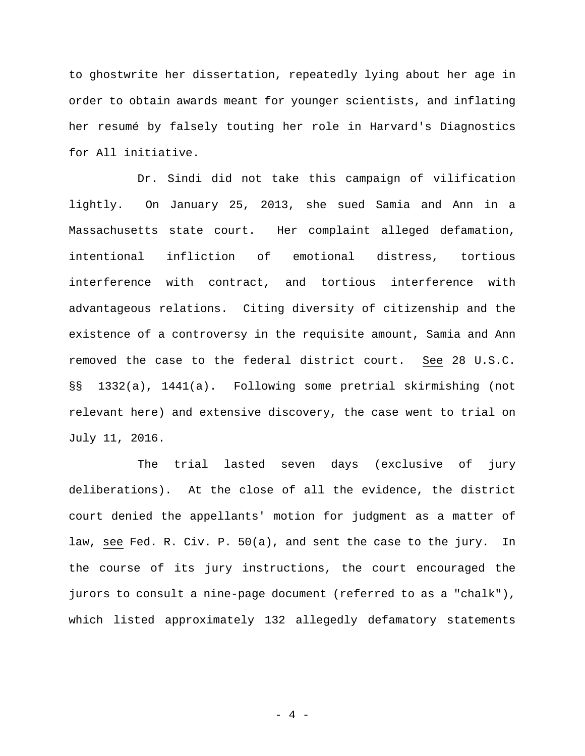to ghostwrite her dissertation, repeatedly lying about her age in order to obtain awards meant for younger scientists, and inflating her resumé by falsely touting her role in Harvard's Diagnostics for All initiative.

Dr. Sindi did not take this campaign of vilification lightly. On January 25, 2013, she sued Samia and Ann in a Massachusetts state court. Her complaint alleged defamation, intentional infliction of emotional distress, tortious interference with contract, and tortious interference with advantageous relations. Citing diversity of citizenship and the existence of a controversy in the requisite amount, Samia and Ann removed the case to the federal district court. See 28 U.S.C. §§ 1332(a), 1441(a). Following some pretrial skirmishing (not relevant here) and extensive discovery, the case went to trial on July 11, 2016.

The trial lasted seven days (exclusive of jury deliberations). At the close of all the evidence, the district court denied the appellants' motion for judgment as a matter of law, see Fed. R. Civ. P. 50(a), and sent the case to the jury. In the course of its jury instructions, the court encouraged the jurors to consult a nine-page document (referred to as a "chalk"), which listed approximately 132 allegedly defamatory statements

- 4 -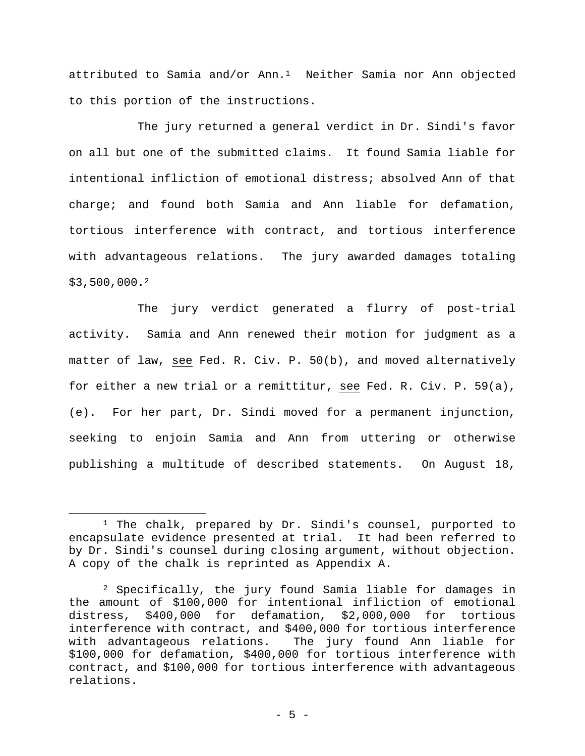attributed to Samia and/or Ann.1 Neither Samia nor Ann objected to this portion of the instructions.

The jury returned a general verdict in Dr. Sindi's favor on all but one of the submitted claims. It found Samia liable for intentional infliction of emotional distress; absolved Ann of that charge; and found both Samia and Ann liable for defamation, tortious interference with contract, and tortious interference with advantageous relations. The jury awarded damages totaling \$3,500,000.2

The jury verdict generated a flurry of post-trial activity. Samia and Ann renewed their motion for judgment as a matter of law, see Fed. R. Civ. P. 50(b), and moved alternatively for either a new trial or a remittitur, see Fed. R. Civ. P. 59(a), (e). For her part, Dr. Sindi moved for a permanent injunction, seeking to enjoin Samia and Ann from uttering or otherwise publishing a multitude of described statements. On August 18,

 $\overline{a}$ 

<sup>&</sup>lt;sup>1</sup> The chalk, prepared by Dr. Sindi's counsel, purported to encapsulate evidence presented at trial. It had been referred to by Dr. Sindi's counsel during closing argument, without objection. A copy of the chalk is reprinted as Appendix A.

<sup>2</sup> Specifically, the jury found Samia liable for damages in the amount of \$100,000 for intentional infliction of emotional distress, \$400,000 for defamation, \$2,000,000 for tortious interference with contract, and \$400,000 for tortious interference with advantageous relations. The jury found Ann liable for \$100,000 for defamation, \$400,000 for tortious interference with contract, and \$100,000 for tortious interference with advantageous relations.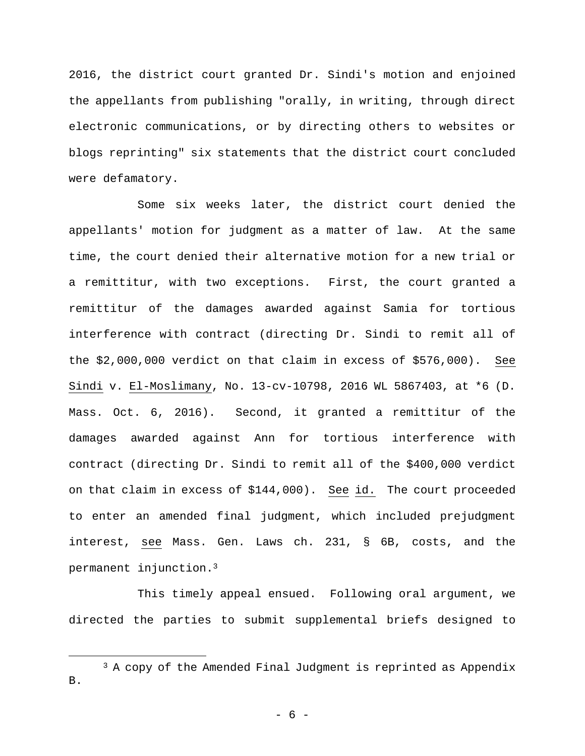2016, the district court granted Dr. Sindi's motion and enjoined the appellants from publishing "orally, in writing, through direct electronic communications, or by directing others to websites or blogs reprinting" six statements that the district court concluded were defamatory.

Some six weeks later, the district court denied the appellants' motion for judgment as a matter of law. At the same time, the court denied their alternative motion for a new trial or a remittitur, with two exceptions. First, the court granted a remittitur of the damages awarded against Samia for tortious interference with contract (directing Dr. Sindi to remit all of the \$2,000,000 verdict on that claim in excess of \$576,000). See Sindi v. El-Moslimany, No. 13-cv-10798, 2016 WL 5867403, at \*6 (D. Mass. Oct. 6, 2016). Second, it granted a remittitur of the damages awarded against Ann for tortious interference with contract (directing Dr. Sindi to remit all of the \$400,000 verdict on that claim in excess of \$144,000). See id. The court proceeded to enter an amended final judgment, which included prejudgment interest, see Mass. Gen. Laws ch. 231, § 6B, costs, and the permanent injunction.3

This timely appeal ensued. Following oral argument, we directed the parties to submit supplemental briefs designed to

 $\overline{a}$ 

- 6 -

 $3$  A copy of the Amended Final Judgment is reprinted as Appendix B.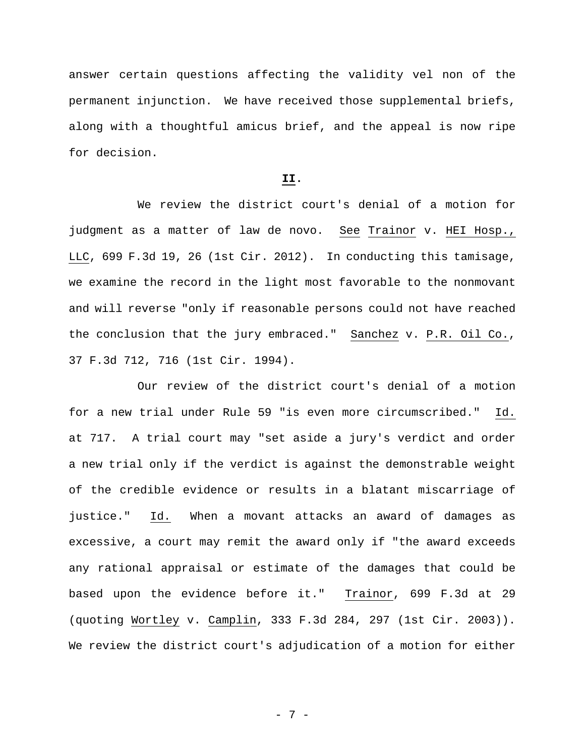answer certain questions affecting the validity vel non of the permanent injunction. We have received those supplemental briefs, along with a thoughtful amicus brief, and the appeal is now ripe for decision.

# **II.**

We review the district court's denial of a motion for judgment as a matter of law de novo. See Trainor v. HEI Hosp., LLC, 699 F.3d 19, 26 (1st Cir. 2012). In conducting this tamisage, we examine the record in the light most favorable to the nonmovant and will reverse "only if reasonable persons could not have reached the conclusion that the jury embraced." Sanchez v. P.R. Oil Co., 37 F.3d 712, 716 (1st Cir. 1994).

Our review of the district court's denial of a motion for a new trial under Rule 59 "is even more circumscribed." Id. at 717. A trial court may "set aside a jury's verdict and order a new trial only if the verdict is against the demonstrable weight of the credible evidence or results in a blatant miscarriage of justice." Id. When a movant attacks an award of damages as excessive, a court may remit the award only if "the award exceeds any rational appraisal or estimate of the damages that could be based upon the evidence before it." Trainor, 699 F.3d at 29 (quoting Wortley v. Camplin, 333 F.3d 284, 297 (1st Cir. 2003)). We review the district court's adjudication of a motion for either

- 7 -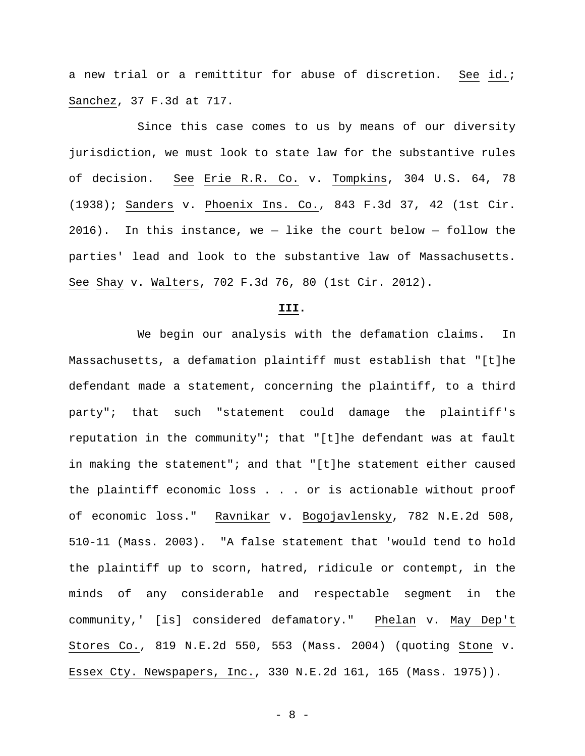a new trial or a remittitur for abuse of discretion. See id.; Sanchez, 37 F.3d at 717.

Since this case comes to us by means of our diversity jurisdiction, we must look to state law for the substantive rules of decision. See Erie R.R. Co. v. Tompkins, 304 U.S. 64, 78 (1938); Sanders v. Phoenix Ins. Co., 843 F.3d 37, 42 (1st Cir.  $2016$ ). In this instance, we - like the court below - follow the parties' lead and look to the substantive law of Massachusetts. See Shay v. Walters, 702 F.3d 76, 80 (1st Cir. 2012).

### **III.**

We begin our analysis with the defamation claims. In Massachusetts, a defamation plaintiff must establish that "[t]he defendant made a statement, concerning the plaintiff, to a third party"; that such "statement could damage the plaintiff's reputation in the community"; that "[t]he defendant was at fault in making the statement"; and that "[t]he statement either caused the plaintiff economic loss . . . or is actionable without proof of economic loss." Ravnikar v. Bogojavlensky, 782 N.E.2d 508, 510-11 (Mass. 2003). "A false statement that 'would tend to hold the plaintiff up to scorn, hatred, ridicule or contempt, in the minds of any considerable and respectable segment in the community,' [is] considered defamatory." Phelan v. May Dep't Stores Co., 819 N.E.2d 550, 553 (Mass. 2004) (quoting Stone v. Essex Cty. Newspapers, Inc., 330 N.E.2d 161, 165 (Mass. 1975)).

- 8 -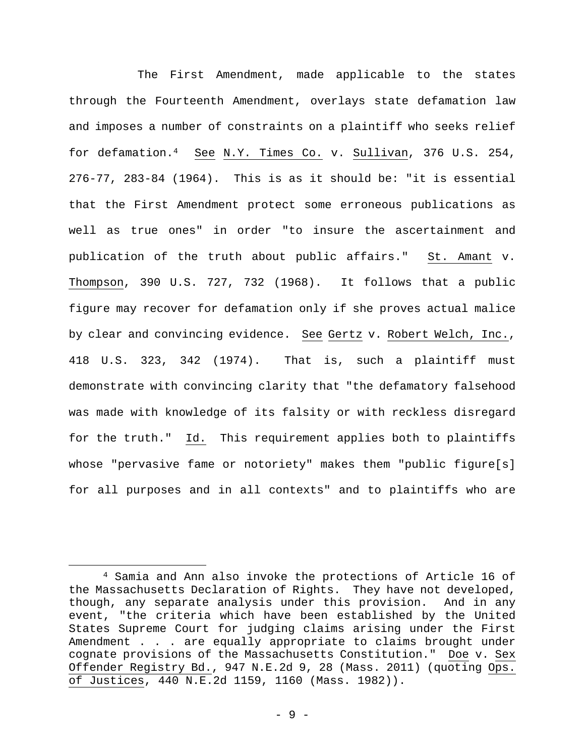The First Amendment, made applicable to the states through the Fourteenth Amendment, overlays state defamation law and imposes a number of constraints on a plaintiff who seeks relief for defamation.4 See N.Y. Times Co. v. Sullivan, 376 U.S. 254, 276-77, 283-84 (1964). This is as it should be: "it is essential that the First Amendment protect some erroneous publications as well as true ones" in order "to insure the ascertainment and publication of the truth about public affairs." St. Amant v. Thompson, 390 U.S. 727, 732 (1968). It follows that a public figure may recover for defamation only if she proves actual malice by clear and convincing evidence. See Gertz v. Robert Welch, Inc., 418 U.S. 323, 342 (1974). That is, such a plaintiff must demonstrate with convincing clarity that "the defamatory falsehood was made with knowledge of its falsity or with reckless disregard for the truth." Id. This requirement applies both to plaintiffs whose "pervasive fame or notoriety" makes them "public figure[s] for all purposes and in all contexts" and to plaintiffs who are

 $\overline{a}$ 

<sup>4</sup> Samia and Ann also invoke the protections of Article 16 of the Massachusetts Declaration of Rights. They have not developed, though, any separate analysis under this provision. And in any event, "the criteria which have been established by the United States Supreme Court for judging claims arising under the First Amendment . . . are equally appropriate to claims brought under cognate provisions of the Massachusetts Constitution." Doe v. Sex Offender Registry Bd., 947 N.E.2d 9, 28 (Mass. 2011) (quoting Ops. of Justices, 440 N.E.2d 1159, 1160 (Mass. 1982)).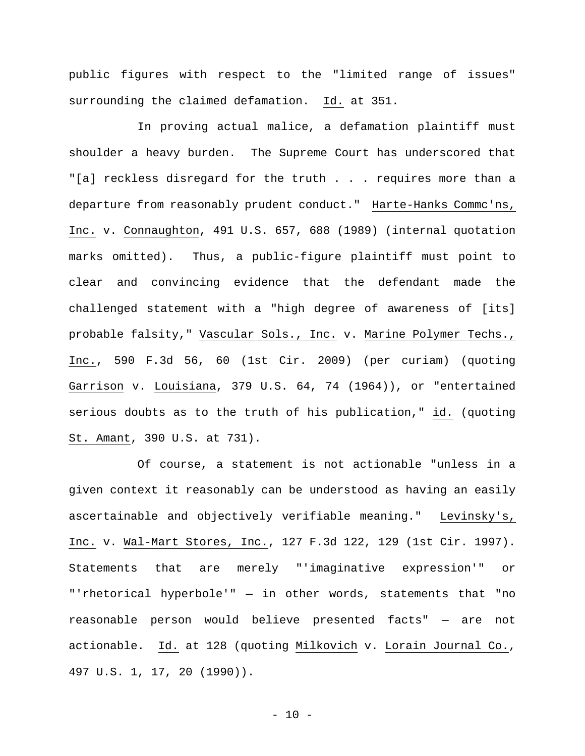public figures with respect to the "limited range of issues" surrounding the claimed defamation. Id. at 351.

In proving actual malice, a defamation plaintiff must shoulder a heavy burden. The Supreme Court has underscored that "[a] reckless disregard for the truth . . . requires more than a departure from reasonably prudent conduct." Harte-Hanks Commc'ns, Inc. v. Connaughton, 491 U.S. 657, 688 (1989) (internal quotation marks omitted). Thus, a public-figure plaintiff must point to clear and convincing evidence that the defendant made the challenged statement with a "high degree of awareness of [its] probable falsity," Vascular Sols., Inc. v. Marine Polymer Techs., Inc., 590 F.3d 56, 60 (1st Cir. 2009) (per curiam) (quoting Garrison v. Louisiana, 379 U.S. 64, 74 (1964)), or "entertained serious doubts as to the truth of his publication," id. (quoting St. Amant, 390 U.S. at 731).

Of course, a statement is not actionable "unless in a given context it reasonably can be understood as having an easily ascertainable and objectively verifiable meaning." Levinsky's, Inc. v. Wal-Mart Stores, Inc., 127 F.3d 122, 129 (1st Cir. 1997). Statements that are merely "'imaginative expression'" or "'rhetorical hyperbole'" — in other words, statements that "no reasonable person would believe presented facts" — are not actionable. Id. at 128 (quoting Milkovich v. Lorain Journal Co., 497 U.S. 1, 17, 20 (1990)).

 $-10 -$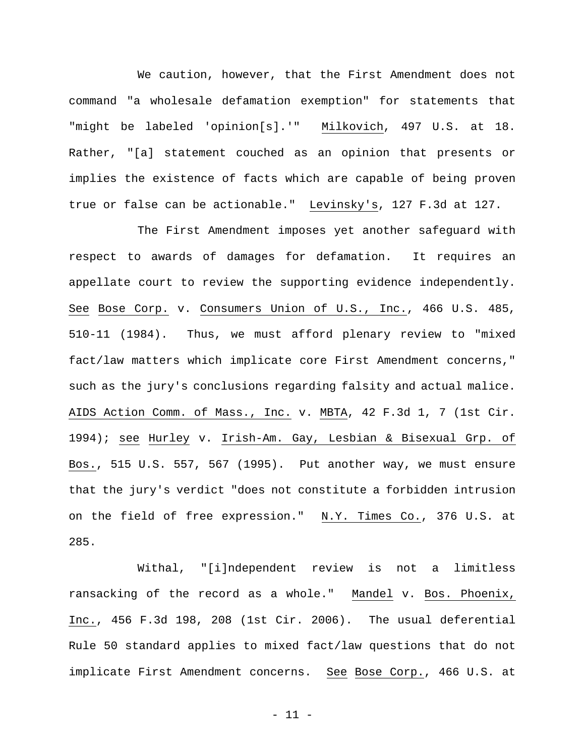We caution, however, that the First Amendment does not command "a wholesale defamation exemption" for statements that "might be labeled 'opinion[s].'" Milkovich, 497 U.S. at 18. Rather, "[a] statement couched as an opinion that presents or implies the existence of facts which are capable of being proven true or false can be actionable." Levinsky's, 127 F.3d at 127.

The First Amendment imposes yet another safeguard with respect to awards of damages for defamation. It requires an appellate court to review the supporting evidence independently. See Bose Corp. v. Consumers Union of U.S., Inc., 466 U.S. 485, 510-11 (1984). Thus, we must afford plenary review to "mixed fact/law matters which implicate core First Amendment concerns," such as the jury's conclusions regarding falsity and actual malice. AIDS Action Comm. of Mass., Inc. v. MBTA, 42 F.3d 1, 7 (1st Cir. 1994); see Hurley v. Irish-Am. Gay, Lesbian & Bisexual Grp. of Bos., 515 U.S. 557, 567 (1995). Put another way, we must ensure that the jury's verdict "does not constitute a forbidden intrusion on the field of free expression." N.Y. Times Co., 376 U.S. at 285.

Withal, "[i]ndependent review is not a limitless ransacking of the record as a whole." Mandel v. Bos. Phoenix, Inc., 456 F.3d 198, 208 (1st Cir. 2006). The usual deferential Rule 50 standard applies to mixed fact/law questions that do not implicate First Amendment concerns. See Bose Corp., 466 U.S. at

- 11 -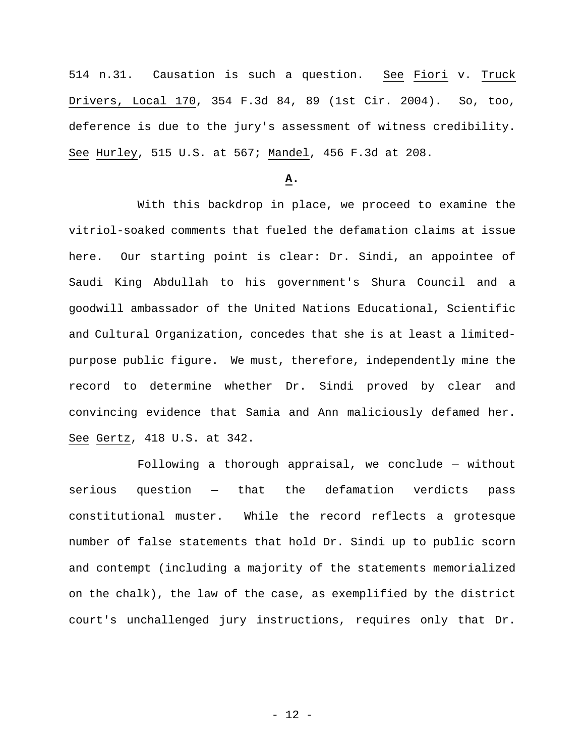514 n.31. Causation is such a question. See Fiori v. Truck Drivers, Local 170, 354 F.3d 84, 89 (1st Cir. 2004). So, too, deference is due to the jury's assessment of witness credibility. See Hurley, 515 U.S. at 567; Mandel, 456 F.3d at 208.

## **A.**

With this backdrop in place, we proceed to examine the vitriol-soaked comments that fueled the defamation claims at issue here. Our starting point is clear: Dr. Sindi, an appointee of Saudi King Abdullah to his government's Shura Council and a goodwill ambassador of the United Nations Educational, Scientific and Cultural Organization, concedes that she is at least a limitedpurpose public figure. We must, therefore, independently mine the record to determine whether Dr. Sindi proved by clear and convincing evidence that Samia and Ann maliciously defamed her. See Gertz, 418 U.S. at 342.

Following a thorough appraisal, we conclude — without serious question — that the defamation verdicts pass constitutional muster. While the record reflects a grotesque number of false statements that hold Dr. Sindi up to public scorn and contempt (including a majority of the statements memorialized on the chalk), the law of the case, as exemplified by the district court's unchallenged jury instructions, requires only that Dr.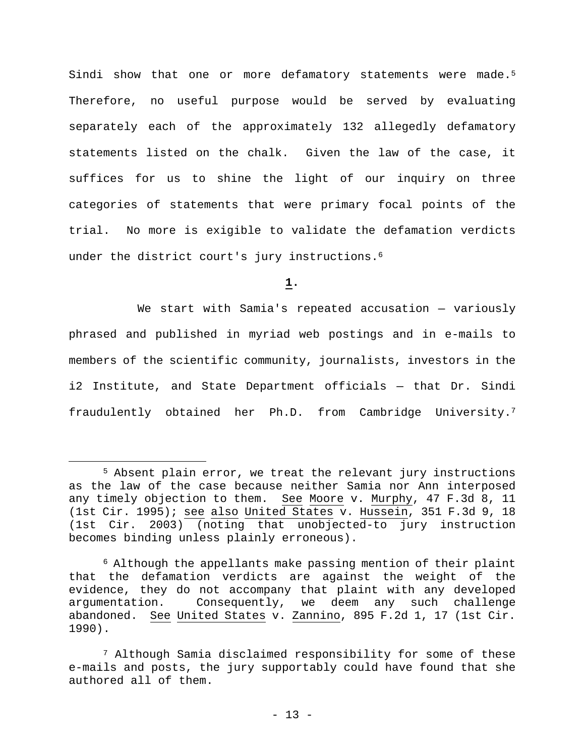Sindi show that one or more defamatory statements were made.<sup>5</sup> Therefore, no useful purpose would be served by evaluating separately each of the approximately 132 allegedly defamatory statements listed on the chalk. Given the law of the case, it suffices for us to shine the light of our inquiry on three categories of statements that were primary focal points of the trial. No more is exigible to validate the defamation verdicts under the district court's jury instructions.<sup>6</sup>

**1.** 

We start with Samia's repeated accusation — variously phrased and published in myriad web postings and in e-mails to members of the scientific community, journalists, investors in the i2 Institute, and State Department officials — that Dr. Sindi fraudulently obtained her Ph.D. from Cambridge University.7

1

<sup>5</sup> Absent plain error, we treat the relevant jury instructions as the law of the case because neither Samia nor Ann interposed any timely objection to them. See Moore v. Murphy, 47 F.3d 8, 11 (1st Cir. 1995); see also United States v. Hussein, 351 F.3d 9, 18 (1st Cir. 2003) (noting that unobjected-to jury instruction becomes binding unless plainly erroneous).

<sup>6</sup> Although the appellants make passing mention of their plaint that the defamation verdicts are against the weight of the evidence, they do not accompany that plaint with any developed argumentation. Consequently, we deem any such challenge abandoned. See United States v. Zannino, 895 F.2d 1, 17 (1st Cir. 1990).

<sup>7</sup> Although Samia disclaimed responsibility for some of these e-mails and posts, the jury supportably could have found that she authored all of them.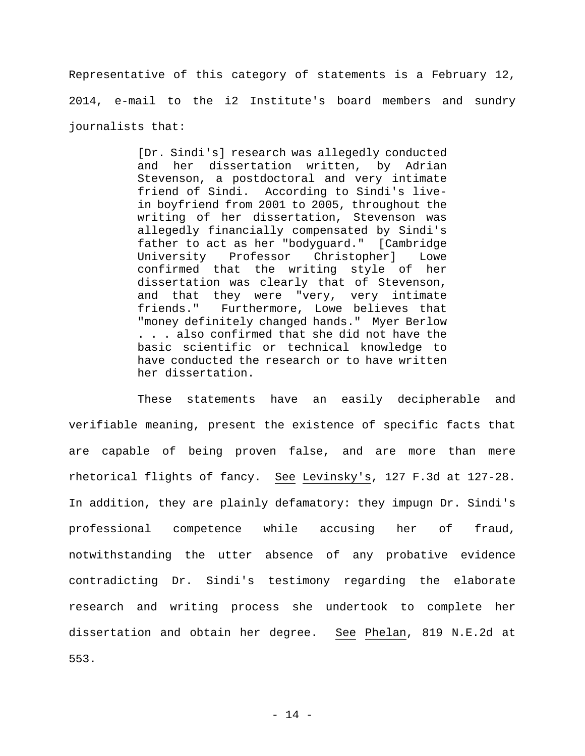Representative of this category of statements is a February 12, 2014, e-mail to the i2 Institute's board members and sundry journalists that:

> [Dr. Sindi's] research was allegedly conducted and her dissertation written, by Adrian Stevenson, a postdoctoral and very intimate friend of Sindi. According to Sindi's livein boyfriend from 2001 to 2005, throughout the writing of her dissertation, Stevenson was allegedly financially compensated by Sindi's father to act as her "bodyguard." [Cambridge University Professor Christopher] Lowe confirmed that the writing style of her dissertation was clearly that of Stevenson, and that they were "very, very intimate friends." Furthermore, Lowe believes that "money definitely changed hands." Myer Berlow . . . also confirmed that she did not have the basic scientific or technical knowledge to have conducted the research or to have written her dissertation.

These statements have an easily decipherable and verifiable meaning, present the existence of specific facts that are capable of being proven false, and are more than mere rhetorical flights of fancy. See Levinsky's, 127 F.3d at 127-28. In addition, they are plainly defamatory: they impugn Dr. Sindi's professional competence while accusing her of fraud, notwithstanding the utter absence of any probative evidence contradicting Dr. Sindi's testimony regarding the elaborate research and writing process she undertook to complete her dissertation and obtain her degree. See Phelan, 819 N.E.2d at 553.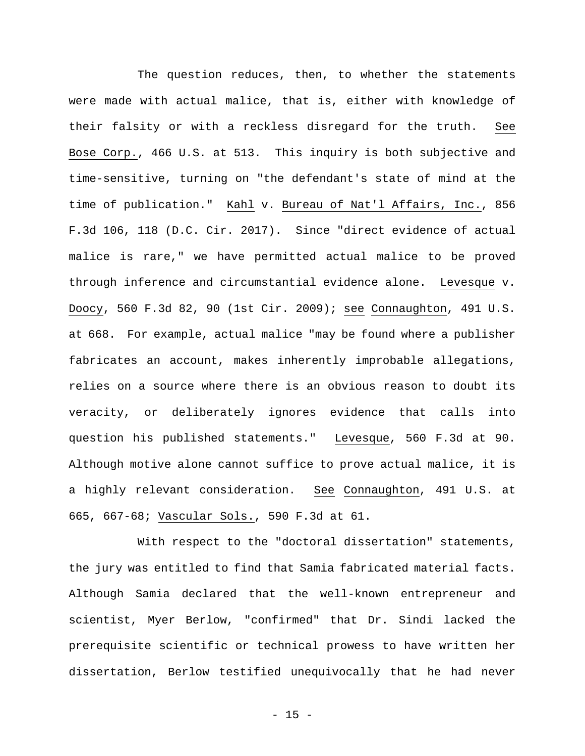The question reduces, then, to whether the statements were made with actual malice, that is, either with knowledge of their falsity or with a reckless disregard for the truth. See Bose Corp., 466 U.S. at 513. This inquiry is both subjective and time-sensitive, turning on "the defendant's state of mind at the time of publication." Kahl v. Bureau of Nat'l Affairs, Inc., 856 F.3d 106, 118 (D.C. Cir. 2017). Since "direct evidence of actual malice is rare," we have permitted actual malice to be proved through inference and circumstantial evidence alone. Levesque v. Doocy, 560 F.3d 82, 90 (1st Cir. 2009); see Connaughton, 491 U.S. at 668. For example, actual malice "may be found where a publisher fabricates an account, makes inherently improbable allegations, relies on a source where there is an obvious reason to doubt its veracity, or deliberately ignores evidence that calls into question his published statements." Levesque, 560 F.3d at 90. Although motive alone cannot suffice to prove actual malice, it is a highly relevant consideration. See Connaughton, 491 U.S. at 665, 667-68; Vascular Sols., 590 F.3d at 61.

With respect to the "doctoral dissertation" statements, the jury was entitled to find that Samia fabricated material facts. Although Samia declared that the well-known entrepreneur and scientist, Myer Berlow, "confirmed" that Dr. Sindi lacked the prerequisite scientific or technical prowess to have written her dissertation, Berlow testified unequivocally that he had never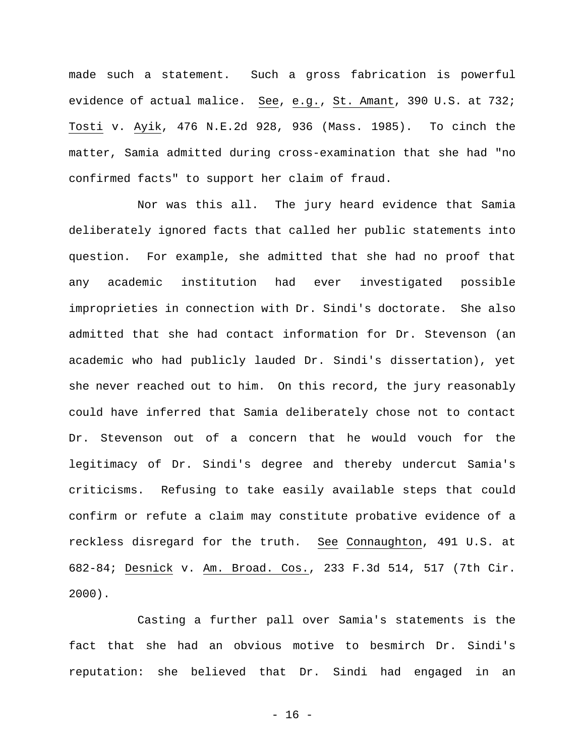made such a statement. Such a gross fabrication is powerful evidence of actual malice. See, e.g., St. Amant, 390 U.S. at 732; Tosti v. Ayik, 476 N.E.2d 928, 936 (Mass. 1985). To cinch the matter, Samia admitted during cross-examination that she had "no confirmed facts" to support her claim of fraud.

Nor was this all. The jury heard evidence that Samia deliberately ignored facts that called her public statements into question. For example, she admitted that she had no proof that any academic institution had ever investigated possible improprieties in connection with Dr. Sindi's doctorate. She also admitted that she had contact information for Dr. Stevenson (an academic who had publicly lauded Dr. Sindi's dissertation), yet she never reached out to him. On this record, the jury reasonably could have inferred that Samia deliberately chose not to contact Dr. Stevenson out of a concern that he would vouch for the legitimacy of Dr. Sindi's degree and thereby undercut Samia's criticisms. Refusing to take easily available steps that could confirm or refute a claim may constitute probative evidence of a reckless disregard for the truth. See Connaughton, 491 U.S. at 682-84; Desnick v. Am. Broad. Cos., 233 F.3d 514, 517 (7th Cir. 2000).

Casting a further pall over Samia's statements is the fact that she had an obvious motive to besmirch Dr. Sindi's reputation: she believed that Dr. Sindi had engaged in an

- 16 -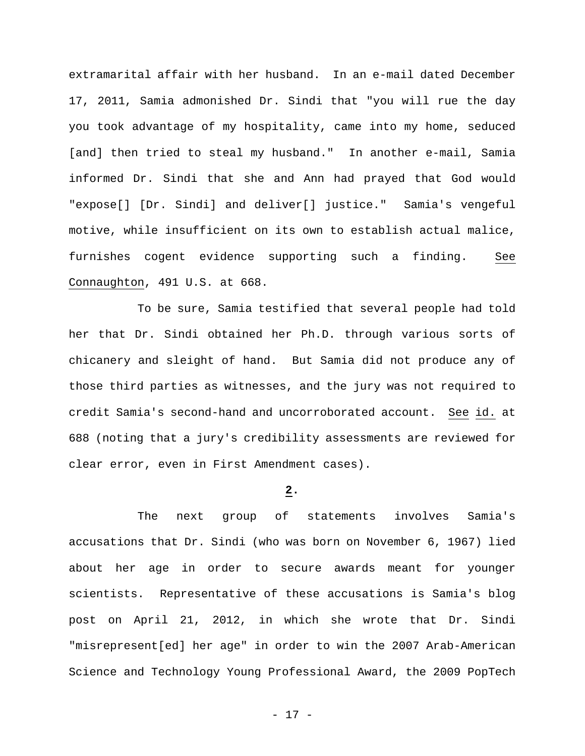extramarital affair with her husband. In an e-mail dated December 17, 2011, Samia admonished Dr. Sindi that "you will rue the day you took advantage of my hospitality, came into my home, seduced [and] then tried to steal my husband." In another e-mail, Samia informed Dr. Sindi that she and Ann had prayed that God would "expose[] [Dr. Sindi] and deliver[] justice." Samia's vengeful motive, while insufficient on its own to establish actual malice, furnishes cogent evidence supporting such a finding. See Connaughton, 491 U.S. at 668.

To be sure, Samia testified that several people had told her that Dr. Sindi obtained her Ph.D. through various sorts of chicanery and sleight of hand. But Samia did not produce any of those third parties as witnesses, and the jury was not required to credit Samia's second-hand and uncorroborated account. See id. at 688 (noting that a jury's credibility assessments are reviewed for clear error, even in First Amendment cases).

## **2.**

The next group of statements involves Samia's accusations that Dr. Sindi (who was born on November 6, 1967) lied about her age in order to secure awards meant for younger scientists. Representative of these accusations is Samia's blog post on April 21, 2012, in which she wrote that Dr. Sindi "misrepresent[ed] her age" in order to win the 2007 Arab-American Science and Technology Young Professional Award, the 2009 PopTech

- 17 -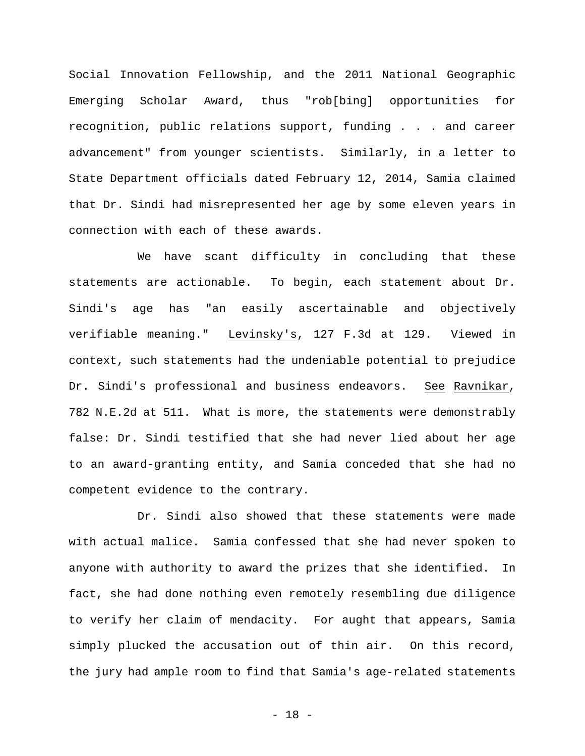Social Innovation Fellowship, and the 2011 National Geographic Emerging Scholar Award, thus "rob[bing] opportunities for recognition, public relations support, funding . . . and career advancement" from younger scientists. Similarly, in a letter to State Department officials dated February 12, 2014, Samia claimed that Dr. Sindi had misrepresented her age by some eleven years in connection with each of these awards.

We have scant difficulty in concluding that these statements are actionable. To begin, each statement about Dr. Sindi's age has "an easily ascertainable and objectively verifiable meaning." Levinsky's, 127 F.3d at 129. Viewed in context, such statements had the undeniable potential to prejudice Dr. Sindi's professional and business endeavors. See Ravnikar, 782 N.E.2d at 511. What is more, the statements were demonstrably false: Dr. Sindi testified that she had never lied about her age to an award-granting entity, and Samia conceded that she had no competent evidence to the contrary.

Dr. Sindi also showed that these statements were made with actual malice. Samia confessed that she had never spoken to anyone with authority to award the prizes that she identified. In fact, she had done nothing even remotely resembling due diligence to verify her claim of mendacity. For aught that appears, Samia simply plucked the accusation out of thin air. On this record, the jury had ample room to find that Samia's age-related statements

- 18 -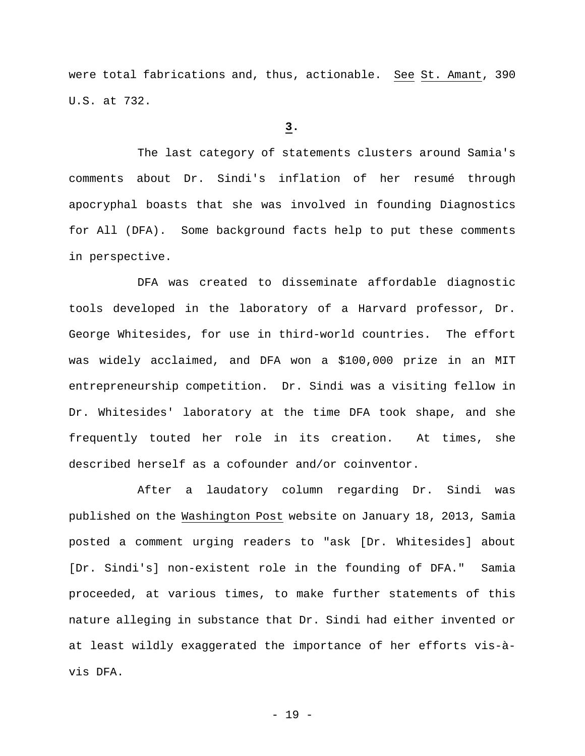were total fabrications and, thus, actionable. See St. Amant, 390 U.S. at 732.

## **3.**

The last category of statements clusters around Samia's comments about Dr. Sindi's inflation of her resumé through apocryphal boasts that she was involved in founding Diagnostics for All (DFA). Some background facts help to put these comments in perspective.

DFA was created to disseminate affordable diagnostic tools developed in the laboratory of a Harvard professor, Dr. George Whitesides, for use in third-world countries. The effort was widely acclaimed, and DFA won a \$100,000 prize in an MIT entrepreneurship competition. Dr. Sindi was a visiting fellow in Dr. Whitesides' laboratory at the time DFA took shape, and she frequently touted her role in its creation. At times, she described herself as a cofounder and/or coinventor.

After a laudatory column regarding Dr. Sindi was published on the Washington Post website on January 18, 2013, Samia posted a comment urging readers to "ask [Dr. Whitesides] about [Dr. Sindi's] non-existent role in the founding of DFA." Samia proceeded, at various times, to make further statements of this nature alleging in substance that Dr. Sindi had either invented or at least wildly exaggerated the importance of her efforts vis-àvis DFA.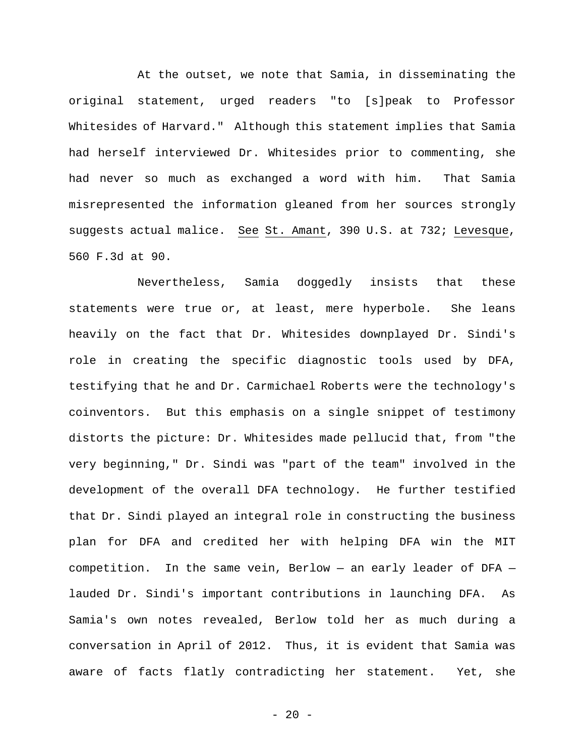At the outset, we note that Samia, in disseminating the original statement, urged readers "to [s]peak to Professor Whitesides of Harvard." Although this statement implies that Samia had herself interviewed Dr. Whitesides prior to commenting, she had never so much as exchanged a word with him. That Samia misrepresented the information gleaned from her sources strongly suggests actual malice. See St. Amant, 390 U.S. at 732; Levesque, 560 F.3d at 90.

Nevertheless, Samia doggedly insists that these statements were true or, at least, mere hyperbole. She leans heavily on the fact that Dr. Whitesides downplayed Dr. Sindi's role in creating the specific diagnostic tools used by DFA, testifying that he and Dr. Carmichael Roberts were the technology's coinventors. But this emphasis on a single snippet of testimony distorts the picture: Dr. Whitesides made pellucid that, from "the very beginning," Dr. Sindi was "part of the team" involved in the development of the overall DFA technology. He further testified that Dr. Sindi played an integral role in constructing the business plan for DFA and credited her with helping DFA win the MIT competition. In the same vein, Berlow — an early leader of DFA lauded Dr. Sindi's important contributions in launching DFA. As Samia's own notes revealed, Berlow told her as much during a conversation in April of 2012. Thus, it is evident that Samia was aware of facts flatly contradicting her statement. Yet, she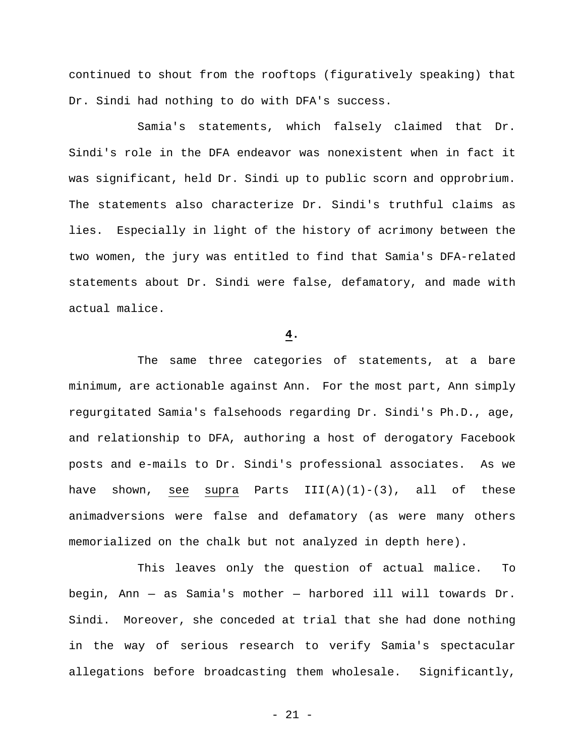continued to shout from the rooftops (figuratively speaking) that Dr. Sindi had nothing to do with DFA's success.

Samia's statements, which falsely claimed that Dr. Sindi's role in the DFA endeavor was nonexistent when in fact it was significant, held Dr. Sindi up to public scorn and opprobrium. The statements also characterize Dr. Sindi's truthful claims as lies. Especially in light of the history of acrimony between the two women, the jury was entitled to find that Samia's DFA-related statements about Dr. Sindi were false, defamatory, and made with actual malice.

# **4.**

The same three categories of statements, at a bare minimum, are actionable against Ann. For the most part, Ann simply regurgitated Samia's falsehoods regarding Dr. Sindi's Ph.D., age, and relationship to DFA, authoring a host of derogatory Facebook posts and e-mails to Dr. Sindi's professional associates. As we have shown, see supra Parts  $III(A)(1)-(3)$ , all of these animadversions were false and defamatory (as were many others memorialized on the chalk but not analyzed in depth here).

This leaves only the question of actual malice. To begin, Ann — as Samia's mother — harbored ill will towards Dr. Sindi. Moreover, she conceded at trial that she had done nothing in the way of serious research to verify Samia's spectacular allegations before broadcasting them wholesale. Significantly,

- 21 -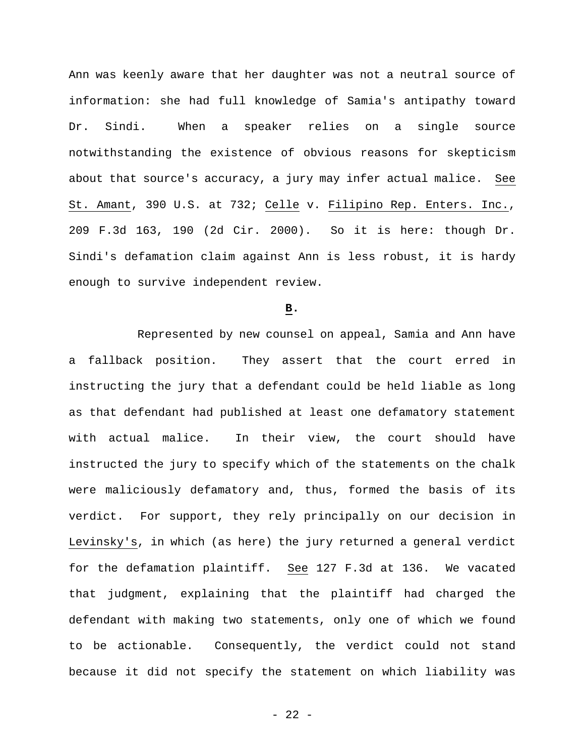Ann was keenly aware that her daughter was not a neutral source of information: she had full knowledge of Samia's antipathy toward Dr. Sindi. When a speaker relies on a single source notwithstanding the existence of obvious reasons for skepticism about that source's accuracy, a jury may infer actual malice. See St. Amant, 390 U.S. at 732; Celle v. Filipino Rep. Enters. Inc., 209 F.3d 163, 190 (2d Cir. 2000). So it is here: though Dr. Sindi's defamation claim against Ann is less robust, it is hardy enough to survive independent review.

#### **B.**

Represented by new counsel on appeal, Samia and Ann have a fallback position. They assert that the court erred in instructing the jury that a defendant could be held liable as long as that defendant had published at least one defamatory statement with actual malice. In their view, the court should have instructed the jury to specify which of the statements on the chalk were maliciously defamatory and, thus, formed the basis of its verdict. For support, they rely principally on our decision in Levinsky's, in which (as here) the jury returned a general verdict for the defamation plaintiff. See 127 F.3d at 136. We vacated that judgment, explaining that the plaintiff had charged the defendant with making two statements, only one of which we found to be actionable. Consequently, the verdict could not stand because it did not specify the statement on which liability was

 $- 22 -$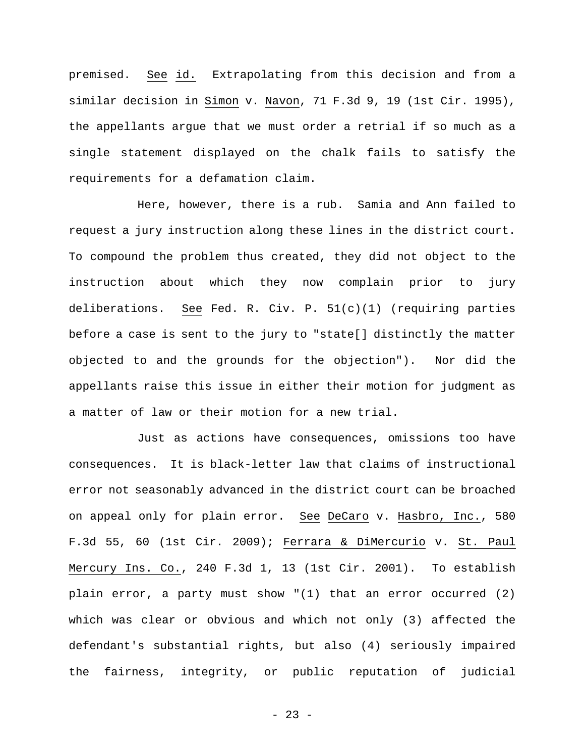premised. See id. Extrapolating from this decision and from a similar decision in Simon v. Navon, 71 F.3d 9, 19 (1st Cir. 1995), the appellants argue that we must order a retrial if so much as a single statement displayed on the chalk fails to satisfy the requirements for a defamation claim.

Here, however, there is a rub. Samia and Ann failed to request a jury instruction along these lines in the district court. To compound the problem thus created, they did not object to the instruction about which they now complain prior to jury deliberations. See Fed. R. Civ. P. 51(c)(1) (requiring parties before a case is sent to the jury to "state[] distinctly the matter objected to and the grounds for the objection"). Nor did the appellants raise this issue in either their motion for judgment as a matter of law or their motion for a new trial.

Just as actions have consequences, omissions too have consequences. It is black-letter law that claims of instructional error not seasonably advanced in the district court can be broached on appeal only for plain error. See DeCaro v. Hasbro, Inc., 580 F.3d 55, 60 (1st Cir. 2009); Ferrara & DiMercurio v. St. Paul Mercury Ins. Co., 240 F.3d 1, 13 (1st Cir. 2001). To establish plain error, a party must show "(1) that an error occurred (2) which was clear or obvious and which not only (3) affected the defendant's substantial rights, but also (4) seriously impaired the fairness, integrity, or public reputation of judicial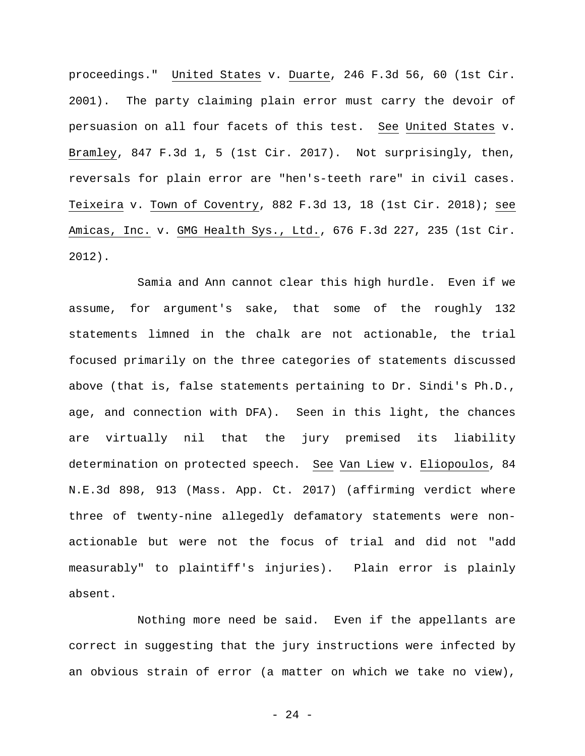proceedings." United States v. Duarte, 246 F.3d 56, 60 (1st Cir. 2001). The party claiming plain error must carry the devoir of persuasion on all four facets of this test. See United States v. Bramley, 847 F.3d 1, 5 (1st Cir. 2017). Not surprisingly, then, reversals for plain error are "hen's-teeth rare" in civil cases. Teixeira v. Town of Coventry, 882 F.3d 13, 18 (1st Cir. 2018); see Amicas, Inc. v. GMG Health Sys., Ltd., 676 F.3d 227, 235 (1st Cir. 2012).

Samia and Ann cannot clear this high hurdle. Even if we assume, for argument's sake, that some of the roughly 132 statements limned in the chalk are not actionable, the trial focused primarily on the three categories of statements discussed above (that is, false statements pertaining to Dr. Sindi's Ph.D., age, and connection with DFA). Seen in this light, the chances are virtually nil that the jury premised its liability determination on protected speech. See Van Liew v. Eliopoulos, 84 N.E.3d 898, 913 (Mass. App. Ct. 2017) (affirming verdict where three of twenty-nine allegedly defamatory statements were nonactionable but were not the focus of trial and did not "add measurably" to plaintiff's injuries). Plain error is plainly absent.

Nothing more need be said. Even if the appellants are correct in suggesting that the jury instructions were infected by an obvious strain of error (a matter on which we take no view),

- 24 -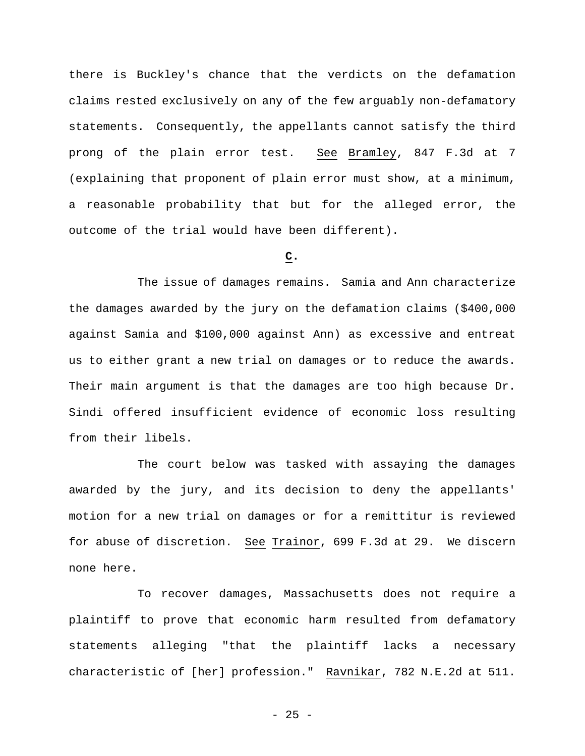there is Buckley's chance that the verdicts on the defamation claims rested exclusively on any of the few arguably non-defamatory statements. Consequently, the appellants cannot satisfy the third prong of the plain error test. See Bramley, 847 F.3d at 7 (explaining that proponent of plain error must show, at a minimum, a reasonable probability that but for the alleged error, the outcome of the trial would have been different).

## **C.**

The issue of damages remains. Samia and Ann characterize the damages awarded by the jury on the defamation claims (\$400,000 against Samia and \$100,000 against Ann) as excessive and entreat us to either grant a new trial on damages or to reduce the awards. Their main argument is that the damages are too high because Dr. Sindi offered insufficient evidence of economic loss resulting from their libels.

The court below was tasked with assaying the damages awarded by the jury, and its decision to deny the appellants' motion for a new trial on damages or for a remittitur is reviewed for abuse of discretion. See Trainor, 699 F.3d at 29. We discern none here.

To recover damages, Massachusetts does not require a plaintiff to prove that economic harm resulted from defamatory statements alleging "that the plaintiff lacks a necessary characteristic of [her] profession." Ravnikar, 782 N.E.2d at 511.

 $- 25 -$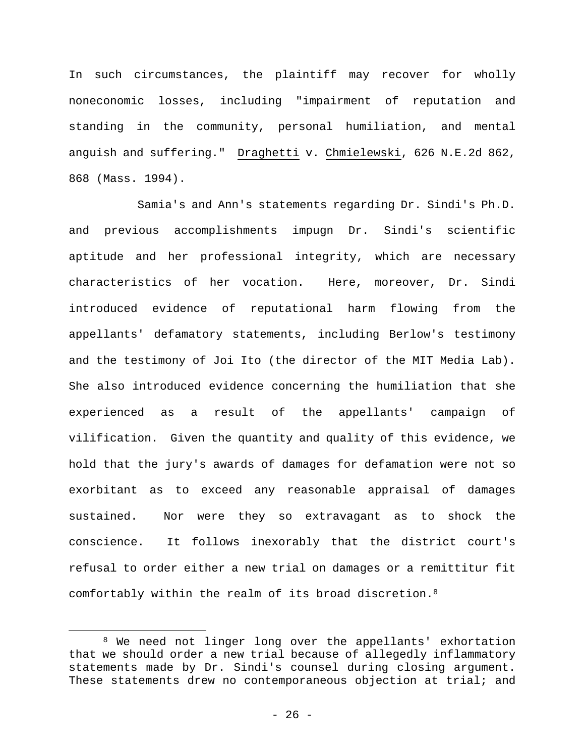In such circumstances, the plaintiff may recover for wholly noneconomic losses, including "impairment of reputation and standing in the community, personal humiliation, and mental anguish and suffering." Draghetti v. Chmielewski, 626 N.E.2d 862, 868 (Mass. 1994).

Samia's and Ann's statements regarding Dr. Sindi's Ph.D. and previous accomplishments impugn Dr. Sindi's scientific aptitude and her professional integrity, which are necessary characteristics of her vocation. Here, moreover, Dr. Sindi introduced evidence of reputational harm flowing from the appellants' defamatory statements, including Berlow's testimony and the testimony of Joi Ito (the director of the MIT Media Lab). She also introduced evidence concerning the humiliation that she experienced as a result of the appellants' campaign of vilification. Given the quantity and quality of this evidence, we hold that the jury's awards of damages for defamation were not so exorbitant as to exceed any reasonable appraisal of damages sustained. Nor were they so extravagant as to shock the conscience. It follows inexorably that the district court's refusal to order either a new trial on damages or a remittitur fit comfortably within the realm of its broad discretion.8

1

<sup>8</sup> We need not linger long over the appellants' exhortation that we should order a new trial because of allegedly inflammatory statements made by Dr. Sindi's counsel during closing argument. These statements drew no contemporaneous objection at trial; and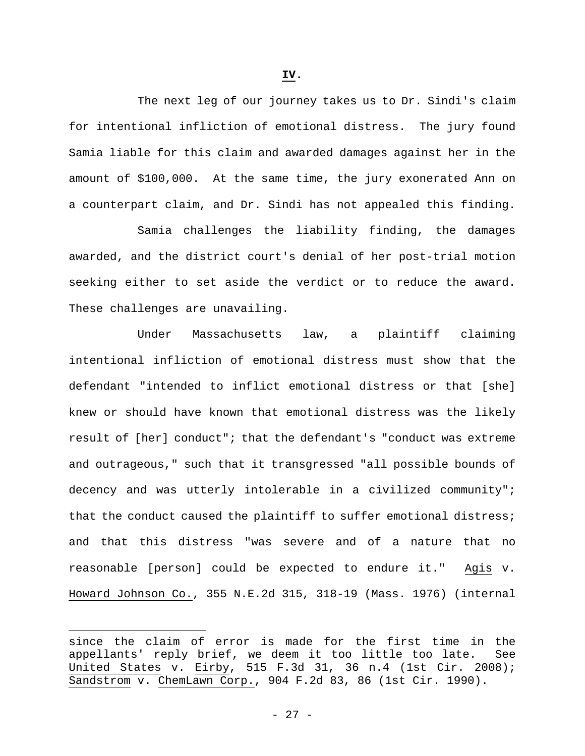The next leg of our journey takes us to Dr. Sindi's claim for intentional infliction of emotional distress. The jury found Samia liable for this claim and awarded damages against her in the amount of \$100,000. At the same time, the jury exonerated Ann on a counterpart claim, and Dr. Sindi has not appealed this finding.

Samia challenges the liability finding, the damages awarded, and the district court's denial of her post-trial motion seeking either to set aside the verdict or to reduce the award. These challenges are unavailing.

Under Massachusetts law, a plaintiff claiming intentional infliction of emotional distress must show that the defendant "intended to inflict emotional distress or that [she] knew or should have known that emotional distress was the likely result of [her] conduct"; that the defendant's "conduct was extreme and outrageous," such that it transgressed "all possible bounds of decency and was utterly intolerable in a civilized community"; that the conduct caused the plaintiff to suffer emotional distress; and that this distress "was severe and of a nature that no reasonable [person] could be expected to endure it." Agis v. Howard Johnson Co., 355 N.E.2d 315, 318-19 (Mass. 1976) (internal

 $\overline{a}$ 

since the claim of error is made for the first time in the appellants' reply brief, we deem it too little too late. See United States v. Eirby, 515 F.3d 31, 36 n.4 (1st Cir. 2008); Sandstrom v. ChemLawn Corp., 904 F.2d 83, 86 (1st Cir. 1990).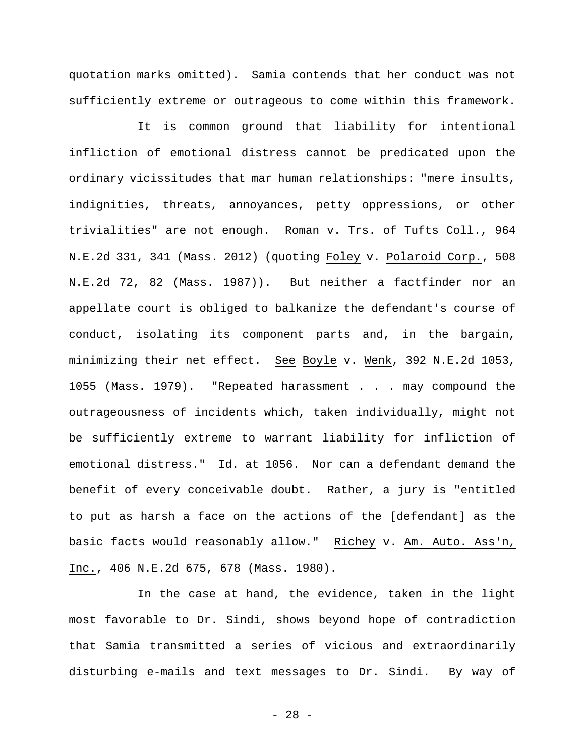quotation marks omitted). Samia contends that her conduct was not sufficiently extreme or outrageous to come within this framework.

It is common ground that liability for intentional infliction of emotional distress cannot be predicated upon the ordinary vicissitudes that mar human relationships: "mere insults, indignities, threats, annoyances, petty oppressions, or other trivialities" are not enough. Roman v. Trs. of Tufts Coll., 964 N.E.2d 331, 341 (Mass. 2012) (quoting Foley v. Polaroid Corp., 508 N.E.2d 72, 82 (Mass. 1987)). But neither a factfinder nor an appellate court is obliged to balkanize the defendant's course of conduct, isolating its component parts and, in the bargain, minimizing their net effect. See Boyle v. Wenk, 392 N.E.2d 1053, 1055 (Mass. 1979). "Repeated harassment . . . may compound the outrageousness of incidents which, taken individually, might not be sufficiently extreme to warrant liability for infliction of emotional distress." Id. at 1056. Nor can a defendant demand the benefit of every conceivable doubt. Rather, a jury is "entitled to put as harsh a face on the actions of the [defendant] as the basic facts would reasonably allow." Richey v. Am. Auto. Ass'n, Inc., 406 N.E.2d 675, 678 (Mass. 1980).

In the case at hand, the evidence, taken in the light most favorable to Dr. Sindi, shows beyond hope of contradiction that Samia transmitted a series of vicious and extraordinarily disturbing e-mails and text messages to Dr. Sindi. By way of

- 28 -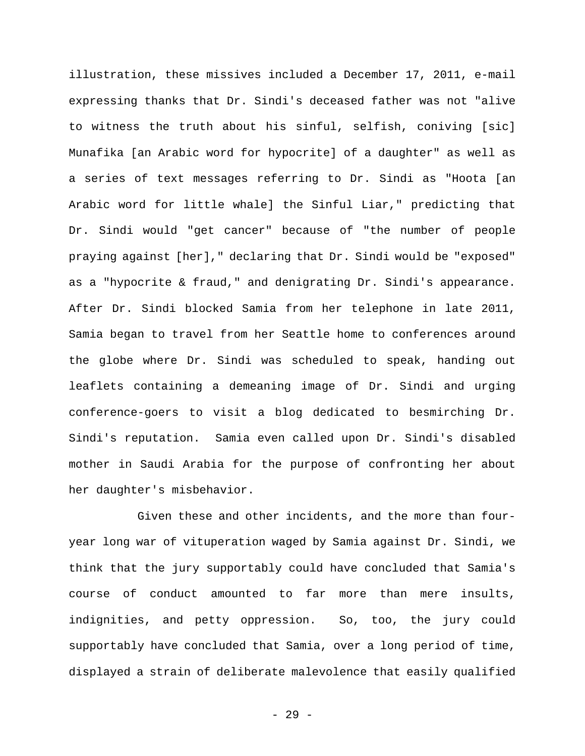illustration, these missives included a December 17, 2011, e-mail expressing thanks that Dr. Sindi's deceased father was not "alive to witness the truth about his sinful, selfish, coniving [sic] Munafika [an Arabic word for hypocrite] of a daughter" as well as a series of text messages referring to Dr. Sindi as "Hoota [an Arabic word for little whale] the Sinful Liar," predicting that Dr. Sindi would "get cancer" because of "the number of people praying against [her]," declaring that Dr. Sindi would be "exposed" as a "hypocrite & fraud," and denigrating Dr. Sindi's appearance. After Dr. Sindi blocked Samia from her telephone in late 2011, Samia began to travel from her Seattle home to conferences around the globe where Dr. Sindi was scheduled to speak, handing out leaflets containing a demeaning image of Dr. Sindi and urging conference-goers to visit a blog dedicated to besmirching Dr. Sindi's reputation. Samia even called upon Dr. Sindi's disabled mother in Saudi Arabia for the purpose of confronting her about her daughter's misbehavior.

Given these and other incidents, and the more than fouryear long war of vituperation waged by Samia against Dr. Sindi, we think that the jury supportably could have concluded that Samia's course of conduct amounted to far more than mere insults, indignities, and petty oppression. So, too, the jury could supportably have concluded that Samia, over a long period of time, displayed a strain of deliberate malevolence that easily qualified

- 29 -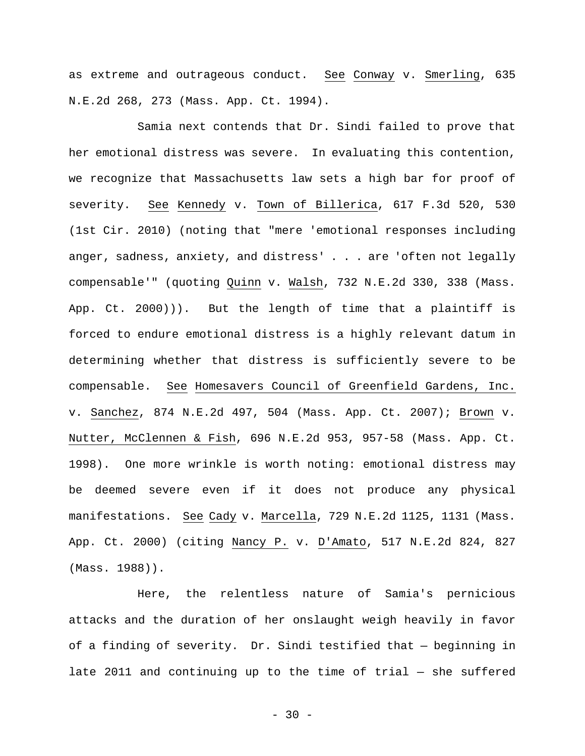as extreme and outrageous conduct. See Conway v. Smerling, 635 N.E.2d 268, 273 (Mass. App. Ct. 1994).

Samia next contends that Dr. Sindi failed to prove that her emotional distress was severe. In evaluating this contention, we recognize that Massachusetts law sets a high bar for proof of severity. See Kennedy v. Town of Billerica, 617 F.3d 520, 530 (1st Cir. 2010) (noting that "mere 'emotional responses including anger, sadness, anxiety, and distress' . . . are 'often not legally compensable'" (quoting Quinn v. Walsh, 732 N.E.2d 330, 338 (Mass. App. Ct. 2000))). But the length of time that a plaintiff is forced to endure emotional distress is a highly relevant datum in determining whether that distress is sufficiently severe to be compensable. See Homesavers Council of Greenfield Gardens, Inc. v. Sanchez, 874 N.E.2d 497, 504 (Mass. App. Ct. 2007); Brown v. Nutter, McClennen & Fish, 696 N.E.2d 953, 957-58 (Mass. App. Ct. 1998). One more wrinkle is worth noting: emotional distress may be deemed severe even if it does not produce any physical manifestations. See Cady v. Marcella, 729 N.E.2d 1125, 1131 (Mass. App. Ct. 2000) (citing Nancy P. v. D'Amato, 517 N.E.2d 824, 827 (Mass. 1988)).

Here, the relentless nature of Samia's pernicious attacks and the duration of her onslaught weigh heavily in favor of a finding of severity. Dr. Sindi testified that — beginning in late 2011 and continuing up to the time of trial — she suffered

 $-30 -$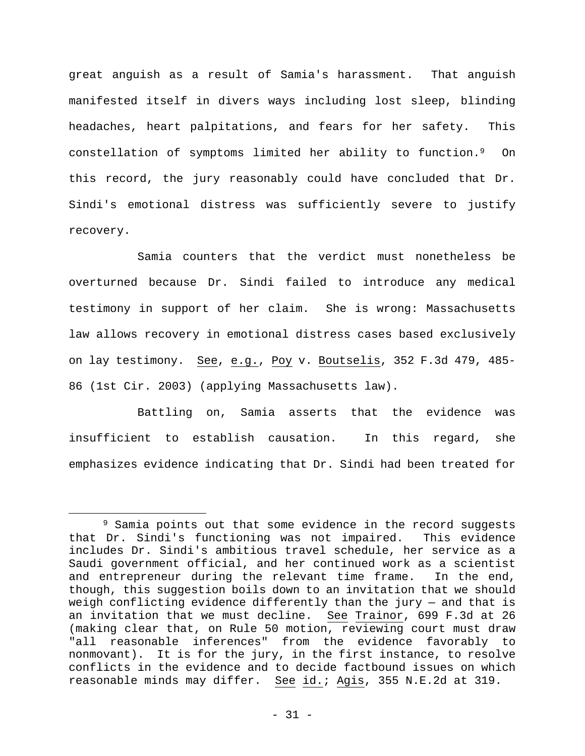great anguish as a result of Samia's harassment. That anguish manifested itself in divers ways including lost sleep, blinding headaches, heart palpitations, and fears for her safety. This constellation of symptoms limited her ability to function.9 On this record, the jury reasonably could have concluded that Dr. Sindi's emotional distress was sufficiently severe to justify recovery.

Samia counters that the verdict must nonetheless be overturned because Dr. Sindi failed to introduce any medical testimony in support of her claim. She is wrong: Massachusetts law allows recovery in emotional distress cases based exclusively on lay testimony. See, e.g., Poy v. Boutselis, 352 F.3d 479, 485- 86 (1st Cir. 2003) (applying Massachusetts law).

Battling on, Samia asserts that the evidence was insufficient to establish causation. In this regard, she emphasizes evidence indicating that Dr. Sindi had been treated for

 $\overline{a}$ 

<sup>&</sup>lt;sup>9</sup> Samia points out that some evidence in the record suggests that Dr. Sindi's functioning was not impaired. This evidence includes Dr. Sindi's ambitious travel schedule, her service as a Saudi government official, and her continued work as a scientist and entrepreneur during the relevant time frame. In the end, though, this suggestion boils down to an invitation that we should weigh conflicting evidence differently than the jury — and that is an invitation that we must decline. See Trainor, 699 F.3d at 26 (making clear that, on Rule 50 motion, reviewing court must draw "all reasonable inferences" from the evidence favorably to nonmovant). It is for the jury, in the first instance, to resolve conflicts in the evidence and to decide factbound issues on which reasonable minds may differ. See id.; Agis, 355 N.E.2d at 319.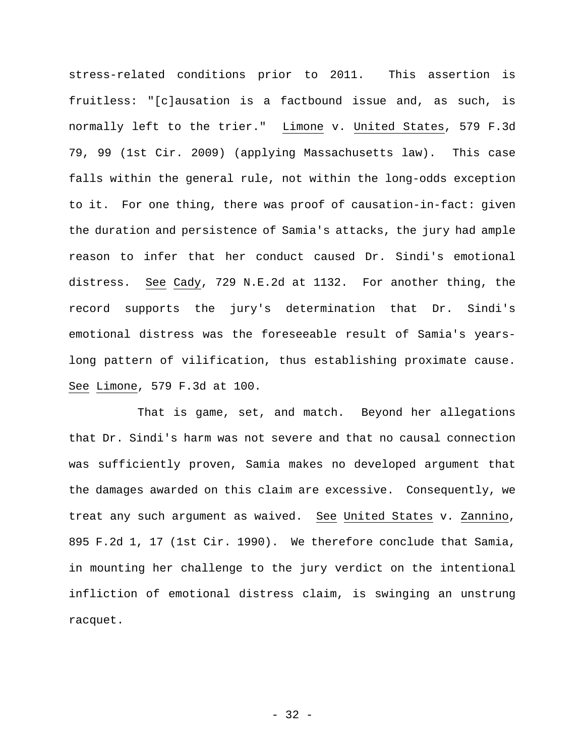stress-related conditions prior to 2011. This assertion is fruitless: "[c]ausation is a factbound issue and, as such, is normally left to the trier." Limone v. United States, 579 F.3d 79, 99 (1st Cir. 2009) (applying Massachusetts law). This case falls within the general rule, not within the long-odds exception to it. For one thing, there was proof of causation-in-fact: given the duration and persistence of Samia's attacks, the jury had ample reason to infer that her conduct caused Dr. Sindi's emotional distress. See Cady, 729 N.E.2d at 1132. For another thing, the record supports the jury's determination that Dr. Sindi's emotional distress was the foreseeable result of Samia's yearslong pattern of vilification, thus establishing proximate cause. See Limone, 579 F.3d at 100.

That is game, set, and match. Beyond her allegations that Dr. Sindi's harm was not severe and that no causal connection was sufficiently proven, Samia makes no developed argument that the damages awarded on this claim are excessive. Consequently, we treat any such argument as waived. See United States v. Zannino, 895 F.2d 1, 17 (1st Cir. 1990). We therefore conclude that Samia, in mounting her challenge to the jury verdict on the intentional infliction of emotional distress claim, is swinging an unstrung racquet.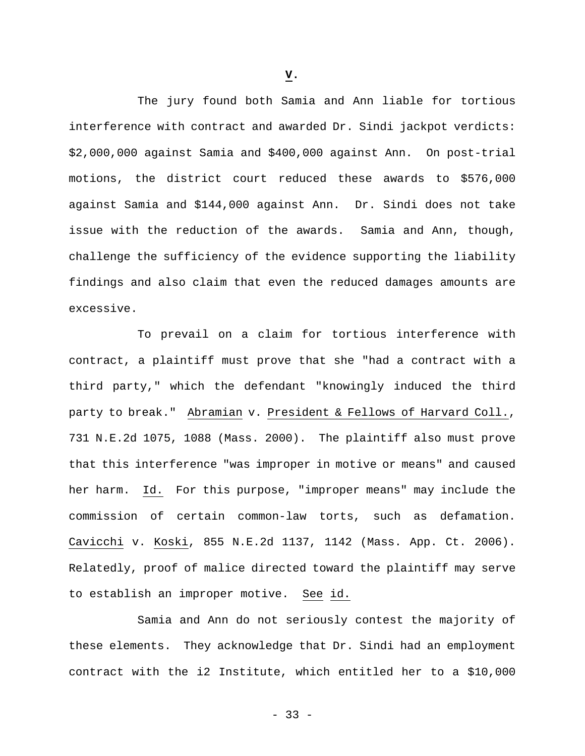The jury found both Samia and Ann liable for tortious interference with contract and awarded Dr. Sindi jackpot verdicts: \$2,000,000 against Samia and \$400,000 against Ann. On post-trial motions, the district court reduced these awards to \$576,000 against Samia and \$144,000 against Ann. Dr. Sindi does not take issue with the reduction of the awards. Samia and Ann, though, challenge the sufficiency of the evidence supporting the liability findings and also claim that even the reduced damages amounts are excessive.

To prevail on a claim for tortious interference with contract, a plaintiff must prove that she "had a contract with a third party," which the defendant "knowingly induced the third party to break." Abramian v. President & Fellows of Harvard Coll., 731 N.E.2d 1075, 1088 (Mass. 2000). The plaintiff also must prove that this interference "was improper in motive or means" and caused her harm. Id. For this purpose, "improper means" may include the commission of certain common-law torts, such as defamation. Cavicchi v. Koski, 855 N.E.2d 1137, 1142 (Mass. App. Ct. 2006). Relatedly, proof of malice directed toward the plaintiff may serve to establish an improper motive. See id.

Samia and Ann do not seriously contest the majority of these elements. They acknowledge that Dr. Sindi had an employment contract with the i2 Institute, which entitled her to a \$10,000

**V.**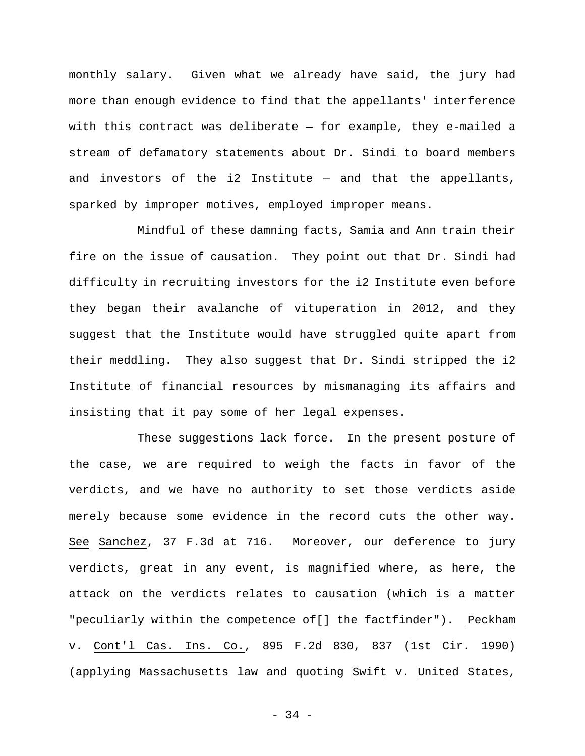monthly salary. Given what we already have said, the jury had more than enough evidence to find that the appellants' interference with this contract was deliberate — for example, they e-mailed a stream of defamatory statements about Dr. Sindi to board members and investors of the i2 Institute  $-$  and that the appellants, sparked by improper motives, employed improper means.

Mindful of these damning facts, Samia and Ann train their fire on the issue of causation. They point out that Dr. Sindi had difficulty in recruiting investors for the i2 Institute even before they began their avalanche of vituperation in 2012, and they suggest that the Institute would have struggled quite apart from their meddling. They also suggest that Dr. Sindi stripped the i2 Institute of financial resources by mismanaging its affairs and insisting that it pay some of her legal expenses.

These suggestions lack force. In the present posture of the case, we are required to weigh the facts in favor of the verdicts, and we have no authority to set those verdicts aside merely because some evidence in the record cuts the other way. See Sanchez, 37 F.3d at 716. Moreover, our deference to jury verdicts, great in any event, is magnified where, as here, the attack on the verdicts relates to causation (which is a matter "peculiarly within the competence of[] the factfinder"). Peckham v. Cont'l Cas. Ins. Co., 895 F.2d 830, 837 (1st Cir. 1990) (applying Massachusetts law and quoting Swift v. United States,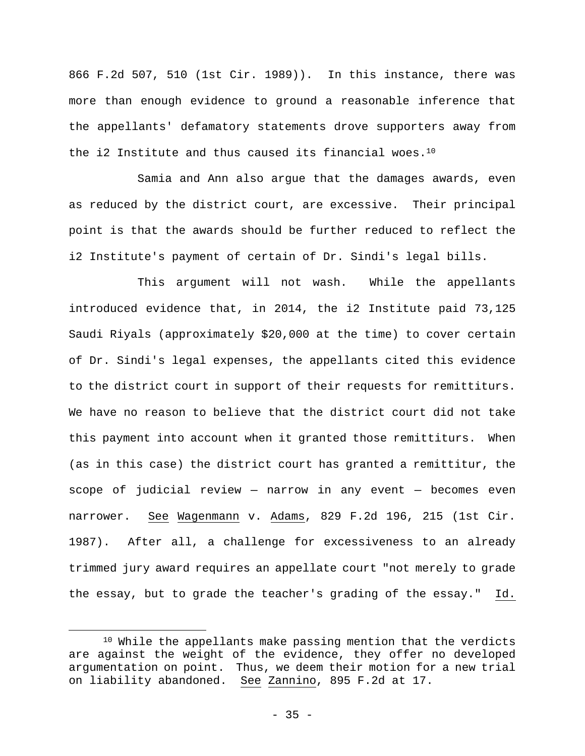866 F.2d 507, 510 (1st Cir. 1989)). In this instance, there was more than enough evidence to ground a reasonable inference that the appellants' defamatory statements drove supporters away from the i2 Institute and thus caused its financial woes.10

Samia and Ann also argue that the damages awards, even as reduced by the district court, are excessive. Their principal point is that the awards should be further reduced to reflect the i2 Institute's payment of certain of Dr. Sindi's legal bills.

This argument will not wash. While the appellants introduced evidence that, in 2014, the i2 Institute paid 73,125 Saudi Riyals (approximately \$20,000 at the time) to cover certain of Dr. Sindi's legal expenses, the appellants cited this evidence to the district court in support of their requests for remittiturs. We have no reason to believe that the district court did not take this payment into account when it granted those remittiturs. When (as in this case) the district court has granted a remittitur, the scope of judicial review — narrow in any event — becomes even narrower. See Wagenmann v. Adams, 829 F.2d 196, 215 (1st Cir. 1987). After all, a challenge for excessiveness to an already trimmed jury award requires an appellate court "not merely to grade the essay, but to grade the teacher's grading of the essay." Id.

 $\overline{a}$ 

<sup>10</sup> While the appellants make passing mention that the verdicts are against the weight of the evidence, they offer no developed argumentation on point. Thus, we deem their motion for a new trial on liability abandoned. See Zannino, 895 F.2d at 17.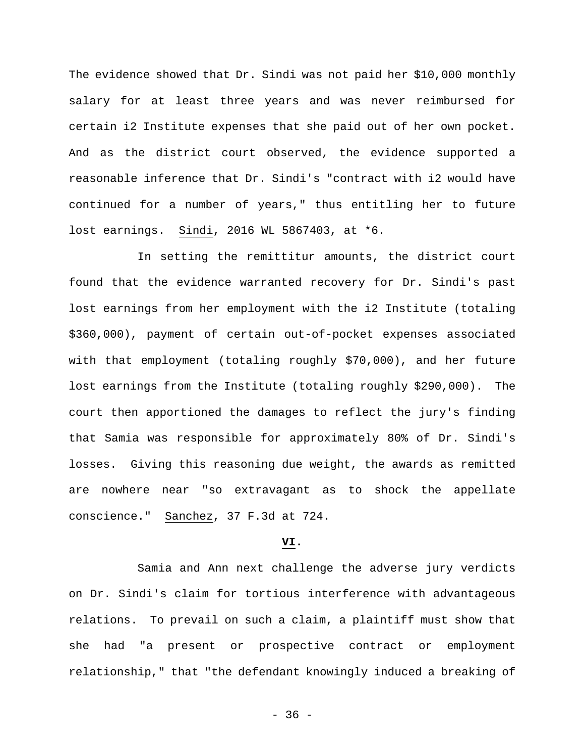The evidence showed that Dr. Sindi was not paid her \$10,000 monthly salary for at least three years and was never reimbursed for certain i2 Institute expenses that she paid out of her own pocket. And as the district court observed, the evidence supported a reasonable inference that Dr. Sindi's "contract with i2 would have continued for a number of years," thus entitling her to future lost earnings. Sindi, 2016 WL 5867403, at \*6.

In setting the remittitur amounts, the district court found that the evidence warranted recovery for Dr. Sindi's past lost earnings from her employment with the i2 Institute (totaling \$360,000), payment of certain out-of-pocket expenses associated with that employment (totaling roughly \$70,000), and her future lost earnings from the Institute (totaling roughly \$290,000). The court then apportioned the damages to reflect the jury's finding that Samia was responsible for approximately 80% of Dr. Sindi's losses. Giving this reasoning due weight, the awards as remitted are nowhere near "so extravagant as to shock the appellate conscience." Sanchez, 37 F.3d at 724.

## **VI.**

Samia and Ann next challenge the adverse jury verdicts on Dr. Sindi's claim for tortious interference with advantageous relations. To prevail on such a claim, a plaintiff must show that she had "a present or prospective contract or employment relationship," that "the defendant knowingly induced a breaking of

- 36 -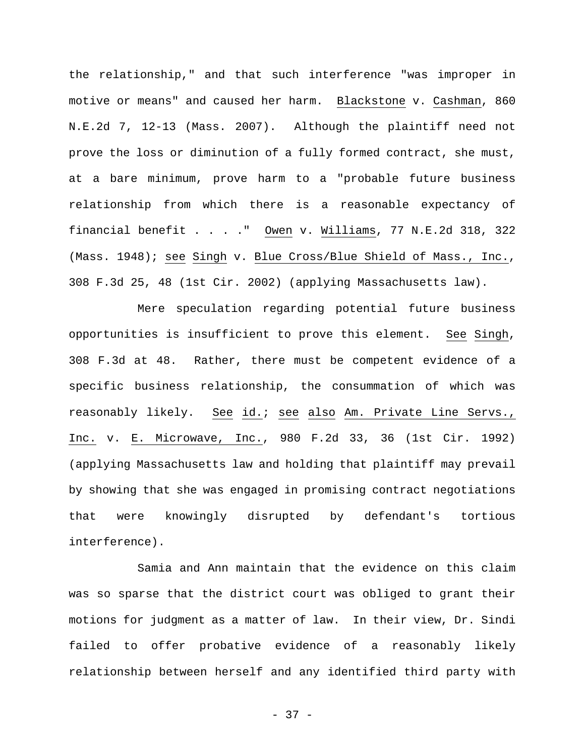the relationship," and that such interference "was improper in motive or means" and caused her harm. Blackstone v. Cashman, 860 N.E.2d 7, 12-13 (Mass. 2007). Although the plaintiff need not prove the loss or diminution of a fully formed contract, she must, at a bare minimum, prove harm to a "probable future business relationship from which there is a reasonable expectancy of financial benefit . . . ." Owen v. Williams, 77 N.E.2d 318, 322 (Mass. 1948); see Singh v. Blue Cross/Blue Shield of Mass., Inc., 308 F.3d 25, 48 (1st Cir. 2002) (applying Massachusetts law).

Mere speculation regarding potential future business opportunities is insufficient to prove this element. See Singh, 308 F.3d at 48. Rather, there must be competent evidence of a specific business relationship, the consummation of which was reasonably likely. See id.; see also Am. Private Line Servs., Inc. v. E. Microwave, Inc., 980 F.2d 33, 36 (1st Cir. 1992) (applying Massachusetts law and holding that plaintiff may prevail by showing that she was engaged in promising contract negotiations that were knowingly disrupted by defendant's tortious interference).

Samia and Ann maintain that the evidence on this claim was so sparse that the district court was obliged to grant their motions for judgment as a matter of law. In their view, Dr. Sindi failed to offer probative evidence of a reasonably likely relationship between herself and any identified third party with

- 37 -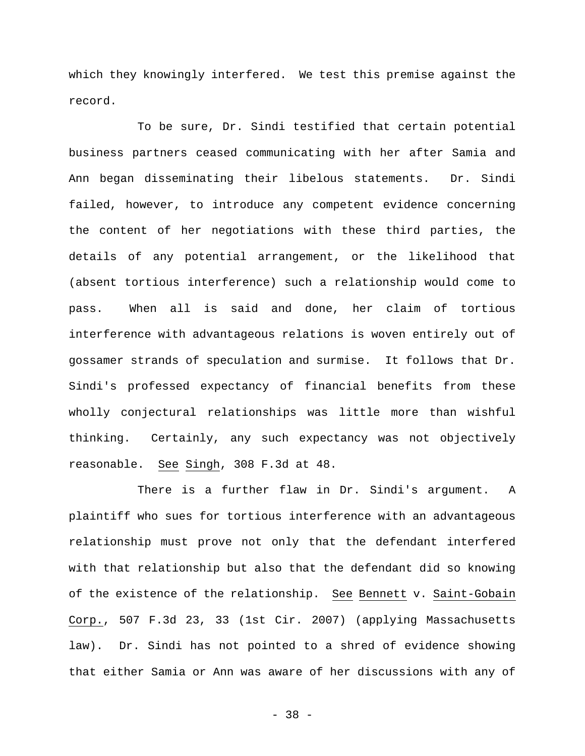which they knowingly interfered. We test this premise against the record.

To be sure, Dr. Sindi testified that certain potential business partners ceased communicating with her after Samia and Ann began disseminating their libelous statements. Dr. Sindi failed, however, to introduce any competent evidence concerning the content of her negotiations with these third parties, the details of any potential arrangement, or the likelihood that (absent tortious interference) such a relationship would come to pass. When all is said and done, her claim of tortious interference with advantageous relations is woven entirely out of gossamer strands of speculation and surmise. It follows that Dr. Sindi's professed expectancy of financial benefits from these wholly conjectural relationships was little more than wishful thinking. Certainly, any such expectancy was not objectively reasonable. See Singh, 308 F.3d at 48.

There is a further flaw in Dr. Sindi's argument. A plaintiff who sues for tortious interference with an advantageous relationship must prove not only that the defendant interfered with that relationship but also that the defendant did so knowing of the existence of the relationship. See Bennett v. Saint-Gobain Corp., 507 F.3d 23, 33 (1st Cir. 2007) (applying Massachusetts law). Dr. Sindi has not pointed to a shred of evidence showing that either Samia or Ann was aware of her discussions with any of

- 38 -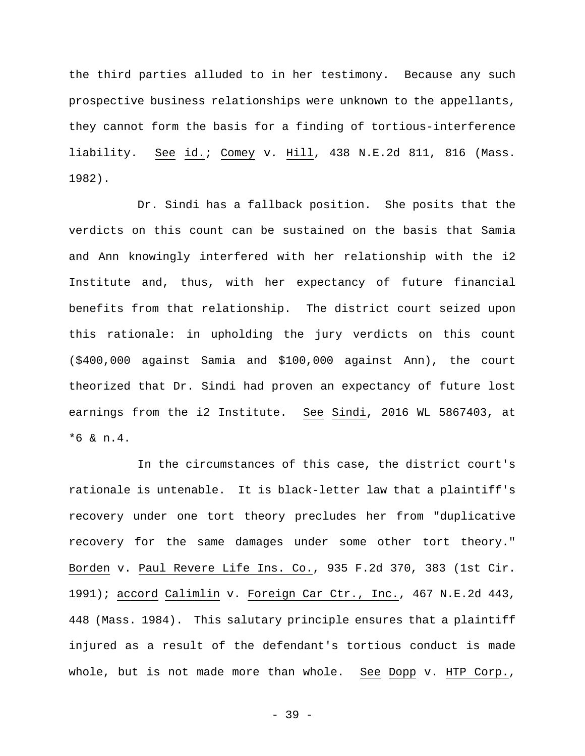the third parties alluded to in her testimony. Because any such prospective business relationships were unknown to the appellants, they cannot form the basis for a finding of tortious-interference liability. See id.; Comey v. Hill, 438 N.E.2d 811, 816 (Mass. 1982).

Dr. Sindi has a fallback position. She posits that the verdicts on this count can be sustained on the basis that Samia and Ann knowingly interfered with her relationship with the i2 Institute and, thus, with her expectancy of future financial benefits from that relationship. The district court seized upon this rationale: in upholding the jury verdicts on this count (\$400,000 against Samia and \$100,000 against Ann), the court theorized that Dr. Sindi had proven an expectancy of future lost earnings from the i2 Institute. See Sindi, 2016 WL 5867403, at \*6 & n.4.

In the circumstances of this case, the district court's rationale is untenable. It is black-letter law that a plaintiff's recovery under one tort theory precludes her from "duplicative recovery for the same damages under some other tort theory." Borden v. Paul Revere Life Ins. Co., 935 F.2d 370, 383 (1st Cir. 1991); accord Calimlin v. Foreign Car Ctr., Inc., 467 N.E.2d 443, 448 (Mass. 1984). This salutary principle ensures that a plaintiff injured as a result of the defendant's tortious conduct is made whole, but is not made more than whole. See Dopp v. HTP Corp.,

- 39 -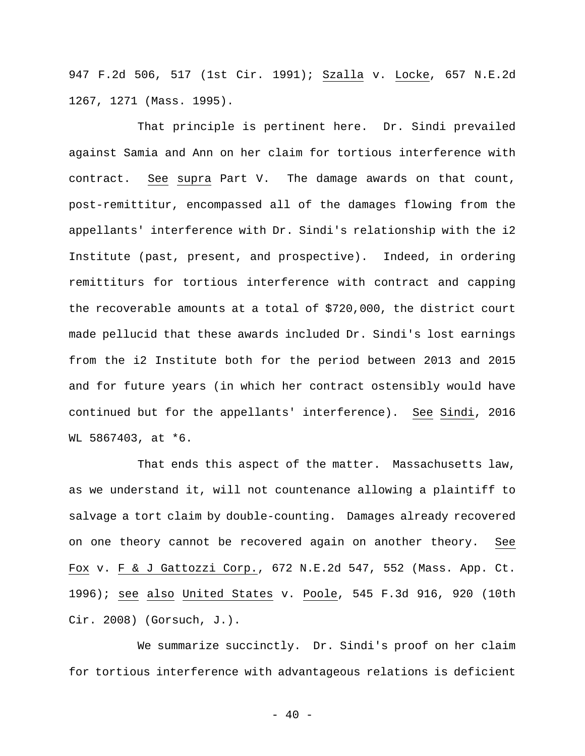947 F.2d 506, 517 (1st Cir. 1991); Szalla v. Locke, 657 N.E.2d 1267, 1271 (Mass. 1995).

That principle is pertinent here. Dr. Sindi prevailed against Samia and Ann on her claim for tortious interference with contract. See supra Part V. The damage awards on that count, post-remittitur, encompassed all of the damages flowing from the appellants' interference with Dr. Sindi's relationship with the i2 Institute (past, present, and prospective). Indeed, in ordering remittiturs for tortious interference with contract and capping the recoverable amounts at a total of \$720,000, the district court made pellucid that these awards included Dr. Sindi's lost earnings from the i2 Institute both for the period between 2013 and 2015 and for future years (in which her contract ostensibly would have continued but for the appellants' interference). See Sindi, 2016 WL 5867403, at \*6.

That ends this aspect of the matter. Massachusetts law, as we understand it, will not countenance allowing a plaintiff to salvage a tort claim by double-counting. Damages already recovered on one theory cannot be recovered again on another theory. See Fox v. F & J Gattozzi Corp., 672 N.E.2d 547, 552 (Mass. App. Ct. 1996); see also United States v. Poole, 545 F.3d 916, 920 (10th Cir. 2008) (Gorsuch, J.).

We summarize succinctly. Dr. Sindi's proof on her claim for tortious interference with advantageous relations is deficient

 $- 40 -$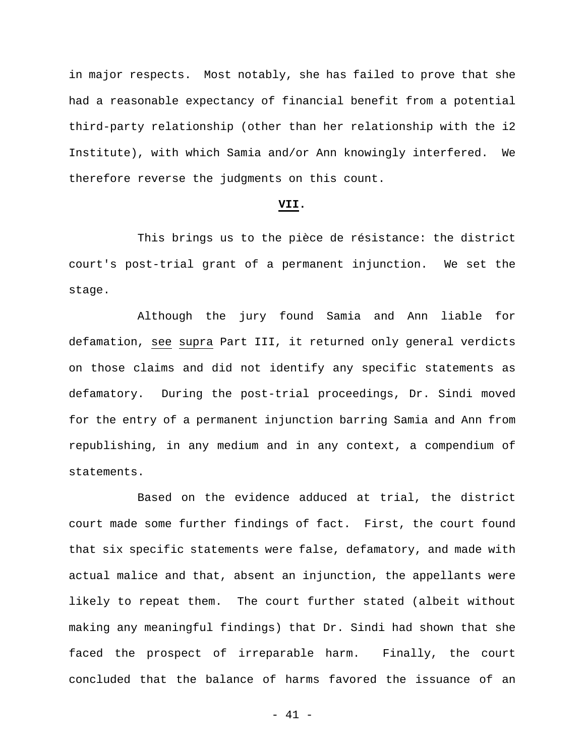in major respects. Most notably, she has failed to prove that she had a reasonable expectancy of financial benefit from a potential third-party relationship (other than her relationship with the i2 Institute), with which Samia and/or Ann knowingly interfered. We therefore reverse the judgments on this count.

## **VII.**

This brings us to the pièce de résistance: the district court's post-trial grant of a permanent injunction. We set the stage.

Although the jury found Samia and Ann liable for defamation, see supra Part III, it returned only general verdicts on those claims and did not identify any specific statements as defamatory. During the post-trial proceedings, Dr. Sindi moved for the entry of a permanent injunction barring Samia and Ann from republishing, in any medium and in any context, a compendium of statements.

Based on the evidence adduced at trial, the district court made some further findings of fact. First, the court found that six specific statements were false, defamatory, and made with actual malice and that, absent an injunction, the appellants were likely to repeat them. The court further stated (albeit without making any meaningful findings) that Dr. Sindi had shown that she faced the prospect of irreparable harm. Finally, the court concluded that the balance of harms favored the issuance of an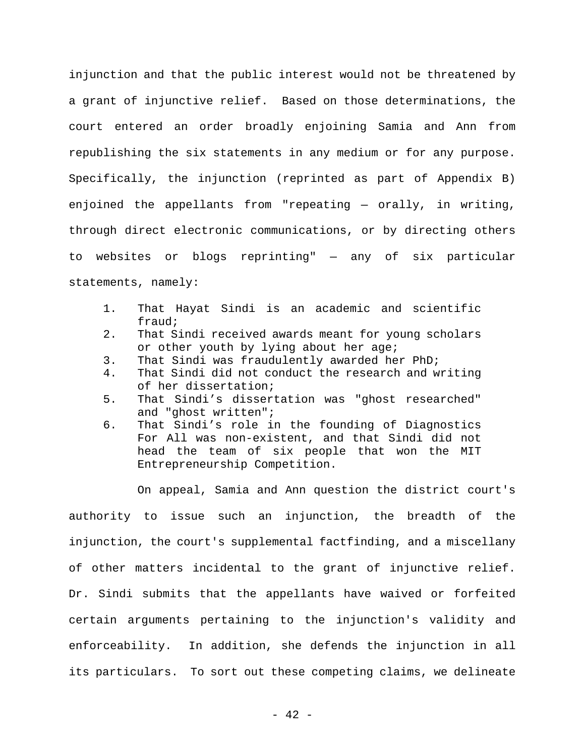injunction and that the public interest would not be threatened by a grant of injunctive relief. Based on those determinations, the court entered an order broadly enjoining Samia and Ann from republishing the six statements in any medium or for any purpose. Specifically, the injunction (reprinted as part of Appendix B) enjoined the appellants from "repeating — orally, in writing, through direct electronic communications, or by directing others to websites or blogs reprinting" — any of six particular statements, namely:

- 1. That Hayat Sindi is an academic and scientific fraud;
- 2. That Sindi received awards meant for young scholars or other youth by lying about her age;
- 3. That Sindi was fraudulently awarded her PhD;
- 4. That Sindi did not conduct the research and writing of her dissertation;
- 5. That Sindi's dissertation was "ghost researched" and "ghost written";
- 6. That Sindi's role in the founding of Diagnostics For All was non-existent, and that Sindi did not head the team of six people that won the MIT Entrepreneurship Competition.

On appeal, Samia and Ann question the district court's authority to issue such an injunction, the breadth of the injunction, the court's supplemental factfinding, and a miscellany of other matters incidental to the grant of injunctive relief. Dr. Sindi submits that the appellants have waived or forfeited certain arguments pertaining to the injunction's validity and enforceability. In addition, she defends the injunction in all its particulars. To sort out these competing claims, we delineate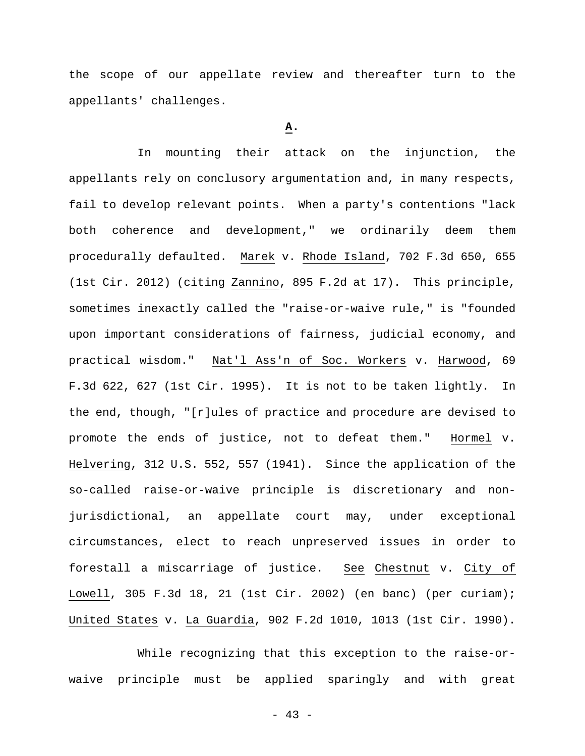the scope of our appellate review and thereafter turn to the appellants' challenges.

## **A.**

In mounting their attack on the injunction, the appellants rely on conclusory argumentation and, in many respects, fail to develop relevant points. When a party's contentions "lack both coherence and development," we ordinarily deem them procedurally defaulted. Marek v. Rhode Island, 702 F.3d 650, 655 (1st Cir. 2012) (citing Zannino, 895 F.2d at 17). This principle, sometimes inexactly called the "raise-or-waive rule," is "founded upon important considerations of fairness, judicial economy, and practical wisdom." Nat'l Ass'n of Soc. Workers v. Harwood, 69 F.3d 622, 627 (1st Cir. 1995). It is not to be taken lightly. In the end, though, "[r]ules of practice and procedure are devised to promote the ends of justice, not to defeat them." Hormel v. Helvering, 312 U.S. 552, 557 (1941). Since the application of the so-called raise-or-waive principle is discretionary and nonjurisdictional, an appellate court may, under exceptional circumstances, elect to reach unpreserved issues in order to forestall a miscarriage of justice. See Chestnut v. City of Lowell, 305 F.3d 18, 21 (1st Cir. 2002) (en banc) (per curiam); United States v. La Guardia, 902 F.2d 1010, 1013 (1st Cir. 1990).

While recognizing that this exception to the raise-orwaive principle must be applied sparingly and with great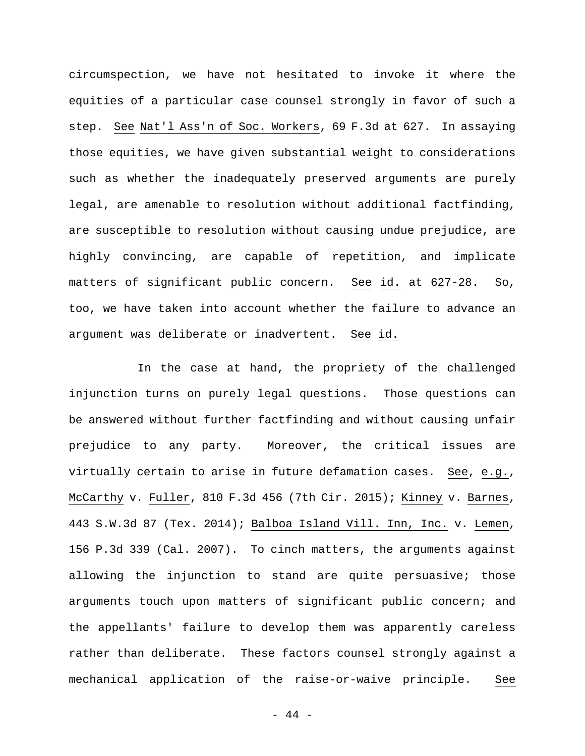circumspection, we have not hesitated to invoke it where the equities of a particular case counsel strongly in favor of such a step. See Nat'l Ass'n of Soc. Workers, 69 F.3d at 627. In assaying those equities, we have given substantial weight to considerations such as whether the inadequately preserved arguments are purely legal, are amenable to resolution without additional factfinding, are susceptible to resolution without causing undue prejudice, are highly convincing, are capable of repetition, and implicate matters of significant public concern. See id. at 627-28. So, too, we have taken into account whether the failure to advance an argument was deliberate or inadvertent. See id.

In the case at hand, the propriety of the challenged injunction turns on purely legal questions. Those questions can be answered without further factfinding and without causing unfair prejudice to any party. Moreover, the critical issues are virtually certain to arise in future defamation cases. See, e.g., McCarthy v. Fuller, 810 F.3d 456 (7th Cir. 2015); Kinney v. Barnes, 443 S.W.3d 87 (Tex. 2014); Balboa Island Vill. Inn, Inc. v. Lemen, 156 P.3d 339 (Cal. 2007). To cinch matters, the arguments against allowing the injunction to stand are quite persuasive; those arguments touch upon matters of significant public concern; and the appellants' failure to develop them was apparently careless rather than deliberate. These factors counsel strongly against a mechanical application of the raise-or-waive principle. See

- 44 -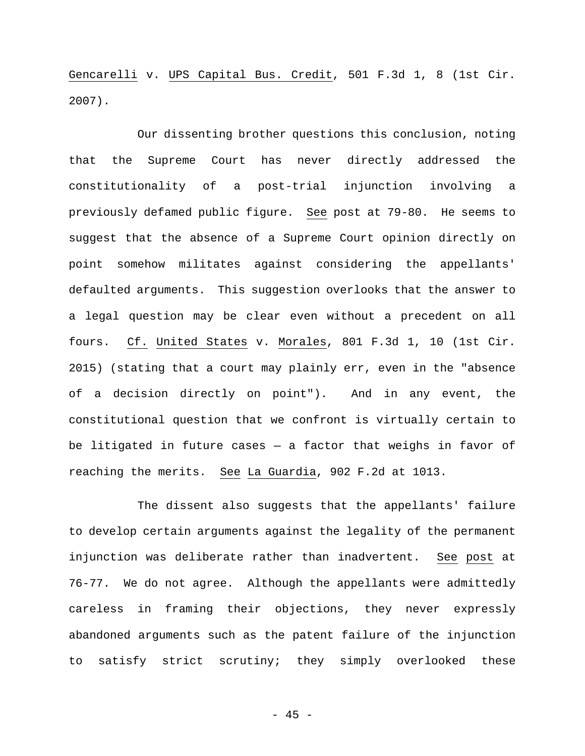Gencarelli v. UPS Capital Bus. Credit, 501 F.3d 1, 8 (1st Cir. 2007).

Our dissenting brother questions this conclusion, noting that the Supreme Court has never directly addressed the constitutionality of a post-trial injunction involving a previously defamed public figure. See post at 79-80. He seems to suggest that the absence of a Supreme Court opinion directly on point somehow militates against considering the appellants' defaulted arguments. This suggestion overlooks that the answer to a legal question may be clear even without a precedent on all fours. Cf. United States v. Morales, 801 F.3d 1, 10 (1st Cir. 2015) (stating that a court may plainly err, even in the "absence of a decision directly on point"). And in any event, the constitutional question that we confront is virtually certain to be litigated in future cases  $-$  a factor that weighs in favor of reaching the merits. See La Guardia, 902 F.2d at 1013.

The dissent also suggests that the appellants' failure to develop certain arguments against the legality of the permanent injunction was deliberate rather than inadvertent. See post at 76-77. We do not agree. Although the appellants were admittedly careless in framing their objections, they never expressly abandoned arguments such as the patent failure of the injunction to satisfy strict scrutiny; they simply overlooked these

- 45 -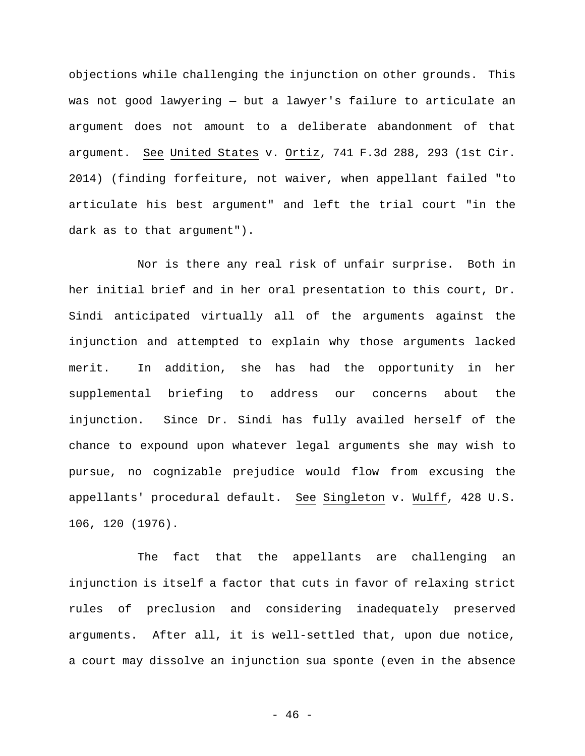objections while challenging the injunction on other grounds. This was not good lawyering — but a lawyer's failure to articulate an argument does not amount to a deliberate abandonment of that argument. See United States v. Ortiz, 741 F.3d 288, 293 (1st Cir. 2014) (finding forfeiture, not waiver, when appellant failed "to articulate his best argument" and left the trial court "in the dark as to that argument").

Nor is there any real risk of unfair surprise. Both in her initial brief and in her oral presentation to this court, Dr. Sindi anticipated virtually all of the arguments against the injunction and attempted to explain why those arguments lacked merit. In addition, she has had the opportunity in her supplemental briefing to address our concerns about the injunction. Since Dr. Sindi has fully availed herself of the chance to expound upon whatever legal arguments she may wish to pursue, no cognizable prejudice would flow from excusing the appellants' procedural default. See Singleton v. Wulff, 428 U.S. 106, 120 (1976).

The fact that the appellants are challenging an injunction is itself a factor that cuts in favor of relaxing strict rules of preclusion and considering inadequately preserved arguments. After all, it is well-settled that, upon due notice, a court may dissolve an injunction sua sponte (even in the absence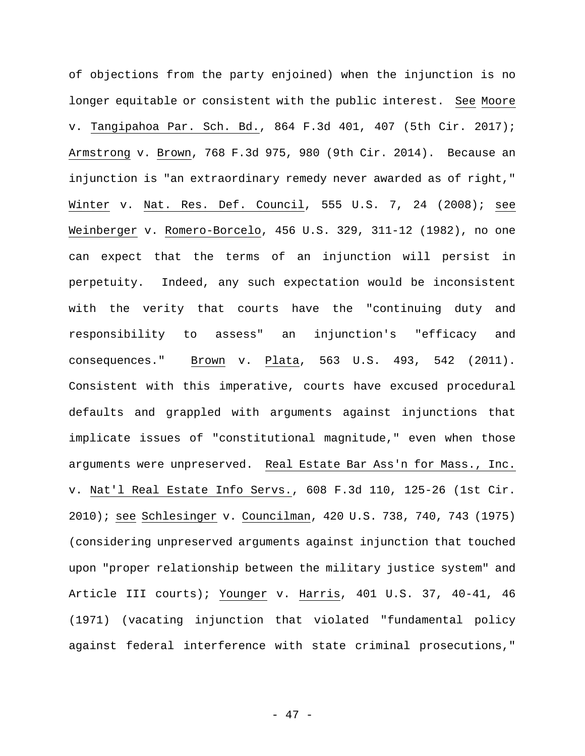of objections from the party enjoined) when the injunction is no longer equitable or consistent with the public interest. See Moore v. Tangipahoa Par. Sch. Bd., 864 F.3d 401, 407 (5th Cir. 2017); Armstrong v. Brown, 768 F.3d 975, 980 (9th Cir. 2014). Because an injunction is "an extraordinary remedy never awarded as of right," Winter v. Nat. Res. Def. Council, 555 U.S. 7, 24 (2008); see Weinberger v. Romero-Borcelo, 456 U.S. 329, 311-12 (1982), no one can expect that the terms of an injunction will persist in perpetuity. Indeed, any such expectation would be inconsistent with the verity that courts have the "continuing duty and responsibility to assess" an injunction's "efficacy and consequences." Brown v. Plata, 563 U.S. 493, 542 (2011). Consistent with this imperative, courts have excused procedural defaults and grappled with arguments against injunctions that implicate issues of "constitutional magnitude," even when those arguments were unpreserved. Real Estate Bar Ass'n for Mass., Inc. v. Nat'l Real Estate Info Servs., 608 F.3d 110, 125-26 (1st Cir. 2010); see Schlesinger v. Councilman, 420 U.S. 738, 740, 743 (1975) (considering unpreserved arguments against injunction that touched upon "proper relationship between the military justice system" and Article III courts); Younger v. Harris, 401 U.S. 37, 40-41, 46 (1971) (vacating injunction that violated "fundamental policy against federal interference with state criminal prosecutions,"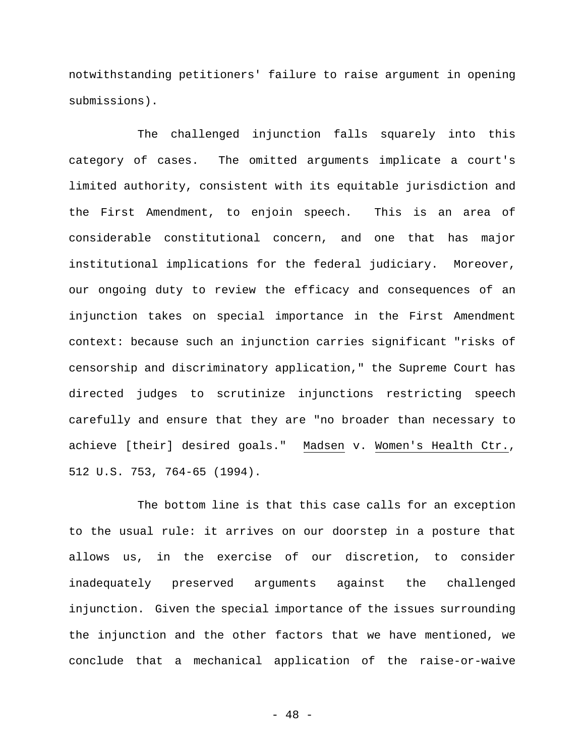notwithstanding petitioners' failure to raise argument in opening submissions).

The challenged injunction falls squarely into this category of cases. The omitted arguments implicate a court's limited authority, consistent with its equitable jurisdiction and the First Amendment, to enjoin speech. This is an area of considerable constitutional concern, and one that has major institutional implications for the federal judiciary. Moreover, our ongoing duty to review the efficacy and consequences of an injunction takes on special importance in the First Amendment context: because such an injunction carries significant "risks of censorship and discriminatory application," the Supreme Court has directed judges to scrutinize injunctions restricting speech carefully and ensure that they are "no broader than necessary to achieve [their] desired goals." Madsen v. Women's Health Ctr., 512 U.S. 753, 764-65 (1994).

The bottom line is that this case calls for an exception to the usual rule: it arrives on our doorstep in a posture that allows us, in the exercise of our discretion, to consider inadequately preserved arguments against the challenged injunction. Given the special importance of the issues surrounding the injunction and the other factors that we have mentioned, we conclude that a mechanical application of the raise-or-waive

- 48 -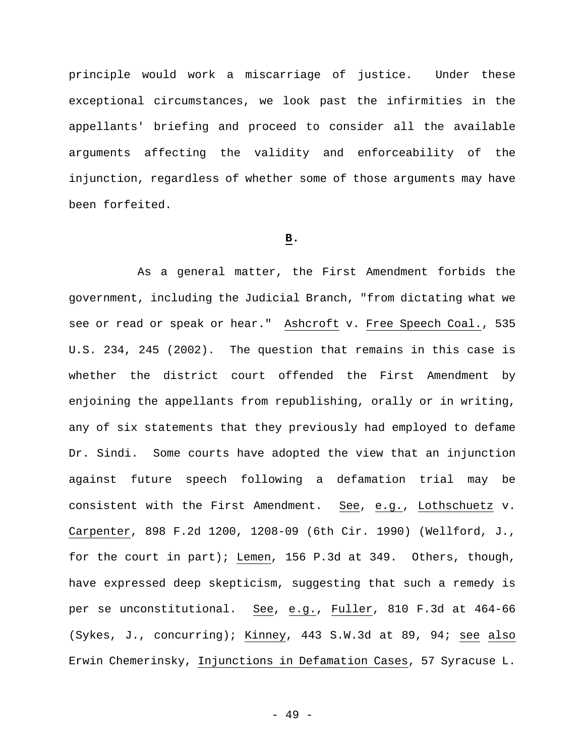principle would work a miscarriage of justice. Under these exceptional circumstances, we look past the infirmities in the appellants' briefing and proceed to consider all the available arguments affecting the validity and enforceability of the injunction, regardless of whether some of those arguments may have been forfeited.

# **B.**

As a general matter, the First Amendment forbids the government, including the Judicial Branch, "from dictating what we see or read or speak or hear." Ashcroft v. Free Speech Coal., 535 U.S. 234, 245 (2002). The question that remains in this case is whether the district court offended the First Amendment by enjoining the appellants from republishing, orally or in writing, any of six statements that they previously had employed to defame Dr. Sindi. Some courts have adopted the view that an injunction against future speech following a defamation trial may be consistent with the First Amendment. See, e.g., Lothschuetz v. Carpenter, 898 F.2d 1200, 1208-09 (6th Cir. 1990) (Wellford, J., for the court in part); Lemen, 156 P.3d at 349. Others, though, have expressed deep skepticism, suggesting that such a remedy is per se unconstitutional. See, e.g., Fuller, 810 F.3d at 464-66 (Sykes, J., concurring); Kinney, 443 S.W.3d at 89, 94; see also Erwin Chemerinsky, Injunctions in Defamation Cases, 57 Syracuse L.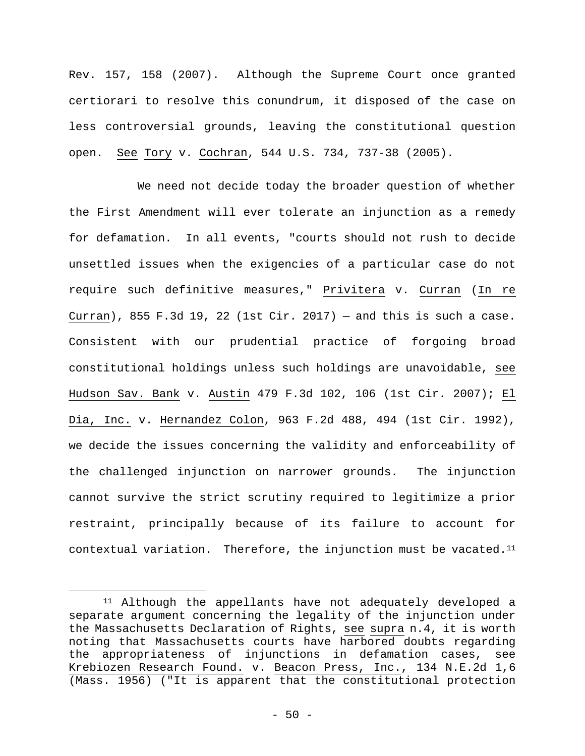Rev. 157, 158 (2007). Although the Supreme Court once granted certiorari to resolve this conundrum, it disposed of the case on less controversial grounds, leaving the constitutional question open. See Tory v. Cochran, 544 U.S. 734, 737-38 (2005).

We need not decide today the broader question of whether the First Amendment will ever tolerate an injunction as a remedy for defamation. In all events, "courts should not rush to decide unsettled issues when the exigencies of a particular case do not require such definitive measures," Privitera v. Curran (In re Curran), 855 F.3d 19, 22 (1st Cir. 2017) – and this is such a case. Consistent with our prudential practice of forgoing broad constitutional holdings unless such holdings are unavoidable, see Hudson Sav. Bank v. Austin 479 F.3d 102, 106 (1st Cir. 2007); El Dia, Inc. v. Hernandez Colon, 963 F.2d 488, 494 (1st Cir. 1992), we decide the issues concerning the validity and enforceability of the challenged injunction on narrower grounds. The injunction cannot survive the strict scrutiny required to legitimize a prior restraint, principally because of its failure to account for contextual variation. Therefore, the injunction must be vacated.11

<u>.</u>

<sup>11</sup> Although the appellants have not adequately developed a separate argument concerning the legality of the injunction under the Massachusetts Declaration of Rights, see supra n.4, it is worth noting that Massachusetts courts have harbored doubts regarding the appropriateness of injunctions in defamation cases, see Krebiozen Research Found. v. Beacon Press, Inc., 134 N.E.2d 1,6 (Mass. 1956) ("It is apparent that the constitutional protection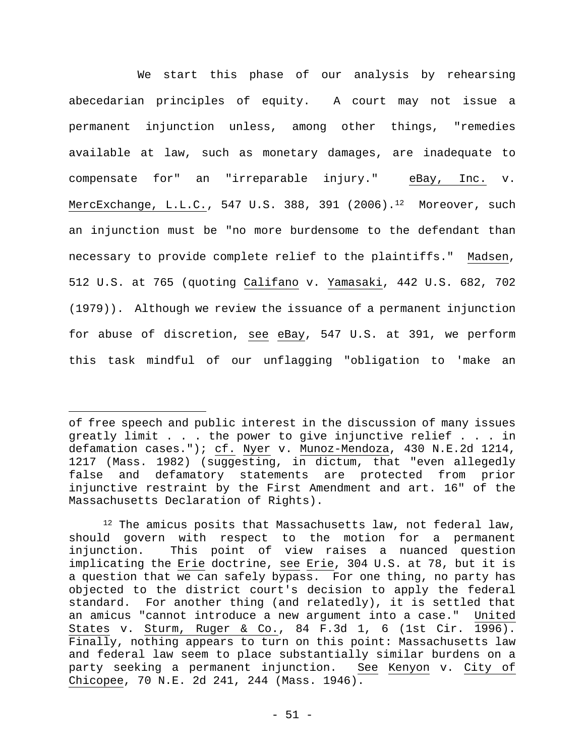We start this phase of our analysis by rehearsing abecedarian principles of equity. A court may not issue a permanent injunction unless, among other things, "remedies available at law, such as monetary damages, are inadequate to compensate for" an "irreparable injury." eBay, Inc. v. MercExchange, L.L.C., 547 U.S. 388, 391 (2006).<sup>12</sup> Moreover, such an injunction must be "no more burdensome to the defendant than necessary to provide complete relief to the plaintiffs." Madsen, 512 U.S. at 765 (quoting Califano v. Yamasaki, 442 U.S. 682, 702 (1979)). Although we review the issuance of a permanent injunction for abuse of discretion, see eBay, 547 U.S. at 391, we perform this task mindful of our unflagging "obligation to 'make an

of free speech and public interest in the discussion of many issues greatly limit . . . the power to give injunctive relief . . . in defamation cases."); cf. Nyer v. Munoz-Mendoza, 430 N.E.2d 1214, 1217 (Mass. 1982) (suggesting, in dictum, that "even allegedly false and defamatory statements are protected from prior injunctive restraint by the First Amendment and art. 16" of the Massachusetts Declaration of Rights).

<sup>&</sup>lt;sup>12</sup> The amicus posits that Massachusetts law, not federal law, should govern with respect to the motion for a permanent injunction. This point of view raises a nuanced question implicating the Erie doctrine, see Erie, 304 U.S. at 78, but it is a question that we can safely bypass. For one thing, no party has objected to the district court's decision to apply the federal standard. For another thing (and relatedly), it is settled that an amicus "cannot introduce a new argument into a case." United States v. Sturm, Ruger & Co., 84 F.3d 1, 6 (1st Cir. 1996). Finally, nothing appears to turn on this point: Massachusetts law and federal law seem to place substantially similar burdens on a party seeking a permanent injunction. See Kenyon v. City of Chicopee, 70 N.E. 2d 241, 244 (Mass. 1946).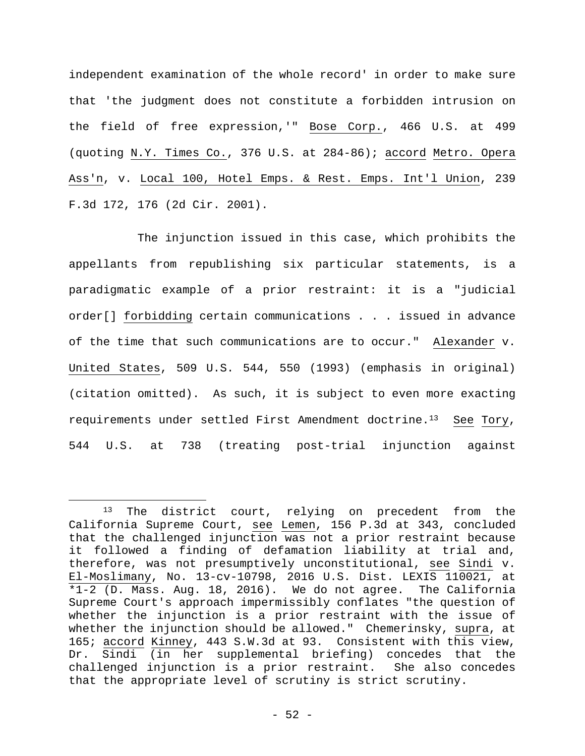independent examination of the whole record' in order to make sure that 'the judgment does not constitute a forbidden intrusion on the field of free expression,'" Bose Corp., 466 U.S. at 499 (quoting N.Y. Times Co., 376 U.S. at 284-86); accord Metro. Opera Ass'n, v. Local 100, Hotel Emps. & Rest. Emps. Int'l Union, 239 F.3d 172, 176 (2d Cir. 2001).

The injunction issued in this case, which prohibits the appellants from republishing six particular statements, is a paradigmatic example of a prior restraint: it is a "judicial order[] forbidding certain communications . . . issued in advance of the time that such communications are to occur." Alexander v. United States, 509 U.S. 544, 550 (1993) (emphasis in original) (citation omitted). As such, it is subject to even more exacting requirements under settled First Amendment doctrine.13 See Tory, 544 U.S. at 738 (treating post-trial injunction against

<sup>&</sup>lt;sup>13</sup> The district court, relying on precedent from the California Supreme Court, see Lemen, 156 P.3d at 343, concluded that the challenged injunction was not a prior restraint because it followed a finding of defamation liability at trial and, therefore, was not presumptively unconstitutional, see Sindi v. El-Moslimany, No. 13-cv-10798, 2016 U.S. Dist. LEXIS 110021, at \*1-2 (D. Mass. Aug. 18, 2016). We do not agree. The California Supreme Court's approach impermissibly conflates "the question of whether the injunction is a prior restraint with the issue of whether the injunction should be allowed." Chemerinsky, supra, at 165; accord Kinney, 443 S.W.3d at 93. Consistent with this view, Dr. Sindi (in her supplemental briefing) concedes that the challenged injunction is a prior restraint. She also concedes that the appropriate level of scrutiny is strict scrutiny.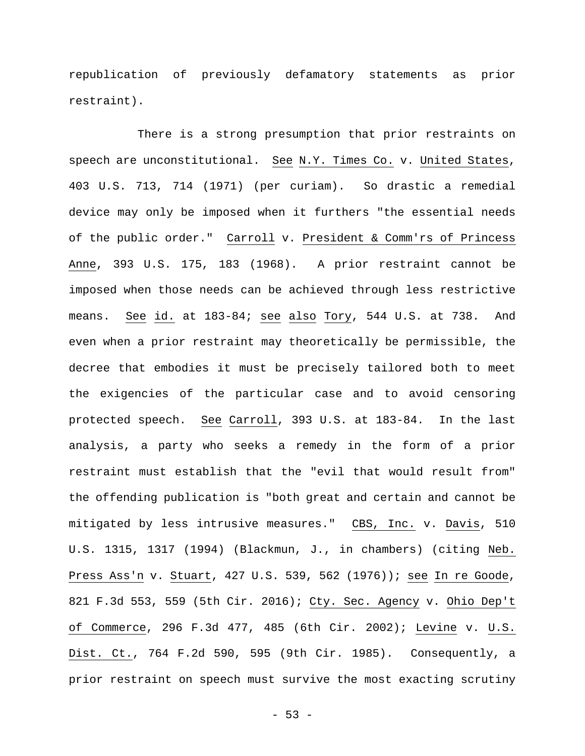republication of previously defamatory statements as prior restraint).

There is a strong presumption that prior restraints on speech are unconstitutional. See N.Y. Times Co. v. United States, 403 U.S. 713, 714 (1971) (per curiam). So drastic a remedial device may only be imposed when it furthers "the essential needs of the public order." Carroll v. President & Comm'rs of Princess Anne, 393 U.S. 175, 183 (1968). A prior restraint cannot be imposed when those needs can be achieved through less restrictive means. See id. at 183-84; see also Tory, 544 U.S. at 738. And even when a prior restraint may theoretically be permissible, the decree that embodies it must be precisely tailored both to meet the exigencies of the particular case and to avoid censoring protected speech. See Carroll, 393 U.S. at 183-84. In the last analysis, a party who seeks a remedy in the form of a prior restraint must establish that the "evil that would result from" the offending publication is "both great and certain and cannot be mitigated by less intrusive measures." CBS, Inc. v. Davis, 510 U.S. 1315, 1317 (1994) (Blackmun, J., in chambers) (citing Neb. Press Ass'n v. Stuart, 427 U.S. 539, 562 (1976)); see In re Goode, 821 F.3d 553, 559 (5th Cir. 2016); Cty. Sec. Agency v. Ohio Dep't of Commerce, 296 F.3d 477, 485 (6th Cir. 2002); Levine v. U.S. Dist. Ct., 764 F.2d 590, 595 (9th Cir. 1985). Consequently, a prior restraint on speech must survive the most exacting scrutiny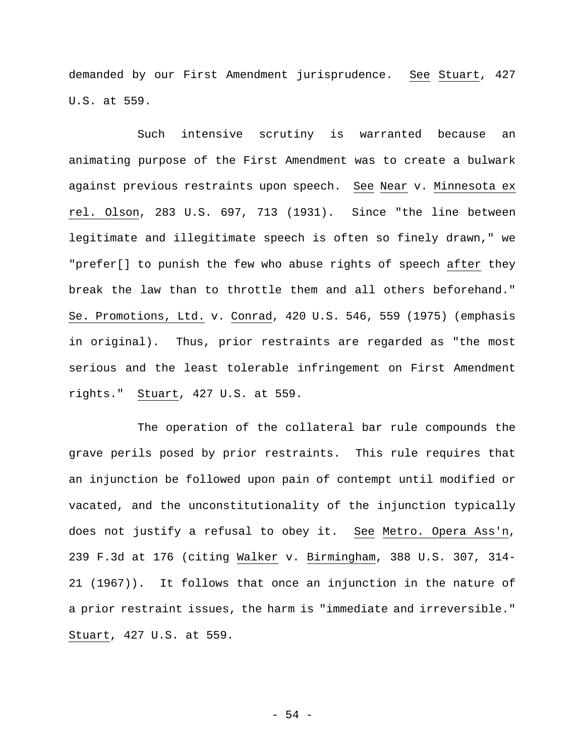demanded by our First Amendment jurisprudence. See Stuart, 427 U.S. at 559.

Such intensive scrutiny is warranted because an animating purpose of the First Amendment was to create a bulwark against previous restraints upon speech. See Near v. Minnesota ex rel. Olson, 283 U.S. 697, 713 (1931). Since "the line between legitimate and illegitimate speech is often so finely drawn," we "prefer[] to punish the few who abuse rights of speech after they break the law than to throttle them and all others beforehand." Se. Promotions, Ltd. v. Conrad, 420 U.S. 546, 559 (1975) (emphasis in original). Thus, prior restraints are regarded as "the most serious and the least tolerable infringement on First Amendment rights." Stuart, 427 U.S. at 559.

The operation of the collateral bar rule compounds the grave perils posed by prior restraints. This rule requires that an injunction be followed upon pain of contempt until modified or vacated, and the unconstitutionality of the injunction typically does not justify a refusal to obey it. See Metro. Opera Ass'n, 239 F.3d at 176 (citing Walker v. Birmingham, 388 U.S. 307, 314- 21 (1967)). It follows that once an injunction in the nature of a prior restraint issues, the harm is "immediate and irreversible." Stuart, 427 U.S. at 559.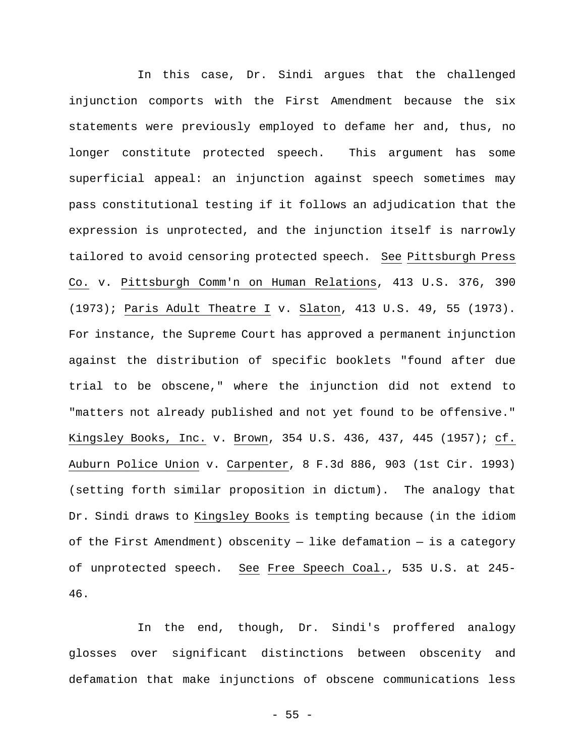In this case, Dr. Sindi argues that the challenged injunction comports with the First Amendment because the six statements were previously employed to defame her and, thus, no longer constitute protected speech. This argument has some superficial appeal: an injunction against speech sometimes may pass constitutional testing if it follows an adjudication that the expression is unprotected, and the injunction itself is narrowly tailored to avoid censoring protected speech. See Pittsburgh Press Co. v. Pittsburgh Comm'n on Human Relations, 413 U.S. 376, 390 (1973); Paris Adult Theatre I v. Slaton, 413 U.S. 49, 55 (1973). For instance, the Supreme Court has approved a permanent injunction against the distribution of specific booklets "found after due trial to be obscene," where the injunction did not extend to "matters not already published and not yet found to be offensive." Kingsley Books, Inc. v. Brown, 354 U.S. 436, 437, 445 (1957); cf. Auburn Police Union v. Carpenter, 8 F.3d 886, 903 (1st Cir. 1993) (setting forth similar proposition in dictum). The analogy that Dr. Sindi draws to Kingsley Books is tempting because (in the idiom of the First Amendment) obscenity  $-$  like defamation  $-$  is a category of unprotected speech. See Free Speech Coal., 535 U.S. at 245- 46.

In the end, though, Dr. Sindi's proffered analogy glosses over significant distinctions between obscenity and defamation that make injunctions of obscene communications less

 $- 55 -$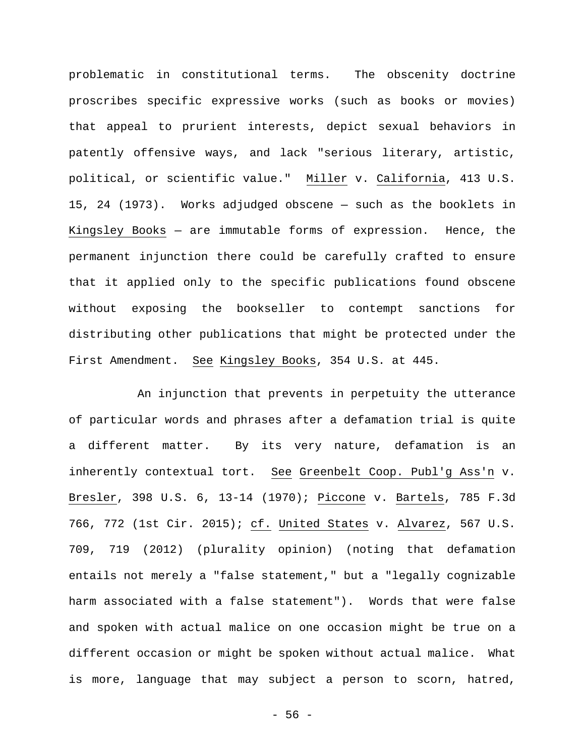problematic in constitutional terms. The obscenity doctrine proscribes specific expressive works (such as books or movies) that appeal to prurient interests, depict sexual behaviors in patently offensive ways, and lack "serious literary, artistic, political, or scientific value." Miller v. California, 413 U.S. 15, 24 (1973). Works adjudged obscene — such as the booklets in Kingsley Books — are immutable forms of expression. Hence, the permanent injunction there could be carefully crafted to ensure that it applied only to the specific publications found obscene without exposing the bookseller to contempt sanctions for distributing other publications that might be protected under the First Amendment. See Kingsley Books, 354 U.S. at 445.

An injunction that prevents in perpetuity the utterance of particular words and phrases after a defamation trial is quite a different matter. By its very nature, defamation is an inherently contextual tort. See Greenbelt Coop. Publ'g Ass'n v. Bresler, 398 U.S. 6, 13-14 (1970); Piccone v. Bartels, 785 F.3d 766, 772 (1st Cir. 2015); cf. United States v. Alvarez, 567 U.S. 709, 719 (2012) (plurality opinion) (noting that defamation entails not merely a "false statement," but a "legally cognizable harm associated with a false statement"). Words that were false and spoken with actual malice on one occasion might be true on a different occasion or might be spoken without actual malice. What is more, language that may subject a person to scorn, hatred,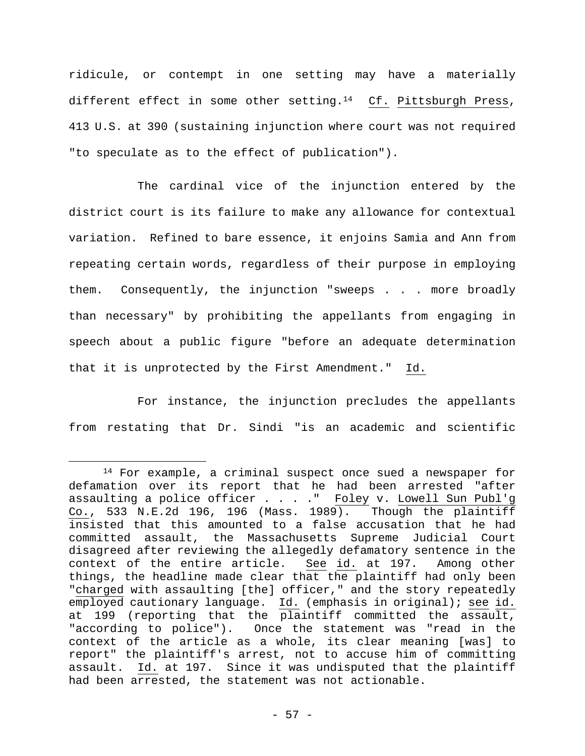ridicule, or contempt in one setting may have a materially different effect in some other setting.<sup>14</sup> Cf. Pittsburgh Press, 413 U.S. at 390 (sustaining injunction where court was not required "to speculate as to the effect of publication").

The cardinal vice of the injunction entered by the district court is its failure to make any allowance for contextual variation. Refined to bare essence, it enjoins Samia and Ann from repeating certain words, regardless of their purpose in employing them. Consequently, the injunction "sweeps . . . more broadly than necessary" by prohibiting the appellants from engaging in speech about a public figure "before an adequate determination that it is unprotected by the First Amendment." Id.

For instance, the injunction precludes the appellants from restating that Dr. Sindi "is an academic and scientific

<sup>&</sup>lt;sup>14</sup> For example, a criminal suspect once sued a newspaper for defamation over its report that he had been arrested "after assaulting a police officer . . . . " Foley v. Lowell Sun Publ'g Co., 533 N.E.2d 196, 196 (Mass. 1989). Though the plaintiff insisted that this amounted to a false accusation that he had committed assault, the Massachusetts Supreme Judicial Court disagreed after reviewing the allegedly defamatory sentence in the context of the entire article. See id. at 197. Among other things, the headline made clear that the plaintiff had only been "charged with assaulting [the] officer," and the story repeatedly employed cautionary language. Id. (emphasis in original); see id. at 199 (reporting that the plaintiff committed the assault, "according to police"). Once the statement was "read in the context of the article as a whole, its clear meaning [was] to report" the plaintiff's arrest, not to accuse him of committing assault. Id. at 197. Since it was undisputed that the plaintiff had been arrested, the statement was not actionable.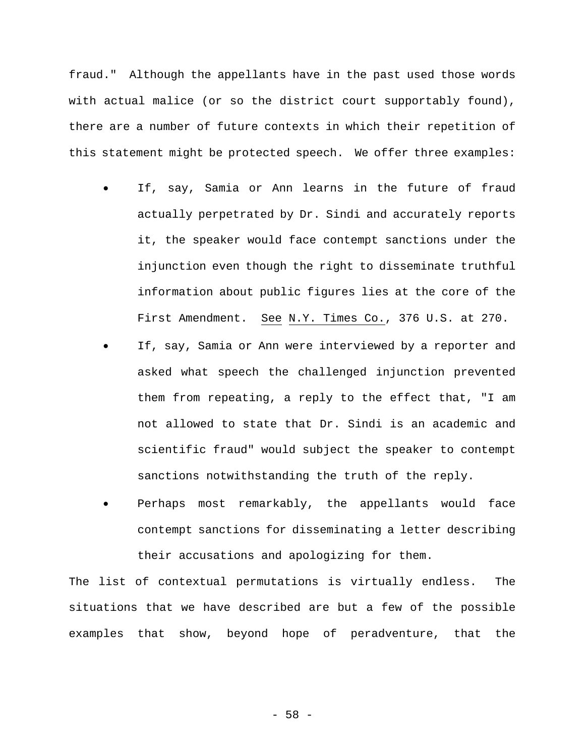fraud." Although the appellants have in the past used those words with actual malice (or so the district court supportably found), there are a number of future contexts in which their repetition of this statement might be protected speech. We offer three examples:

- If, say, Samia or Ann learns in the future of fraud actually perpetrated by Dr. Sindi and accurately reports it, the speaker would face contempt sanctions under the injunction even though the right to disseminate truthful information about public figures lies at the core of the First Amendment. See N.Y. Times Co., 376 U.S. at 270.
- If, say, Samia or Ann were interviewed by a reporter and asked what speech the challenged injunction prevented them from repeating, a reply to the effect that, "I am not allowed to state that Dr. Sindi is an academic and scientific fraud" would subject the speaker to contempt sanctions notwithstanding the truth of the reply.
- Perhaps most remarkably, the appellants would face contempt sanctions for disseminating a letter describing their accusations and apologizing for them.

The list of contextual permutations is virtually endless. The situations that we have described are but a few of the possible examples that show, beyond hope of peradventure, that the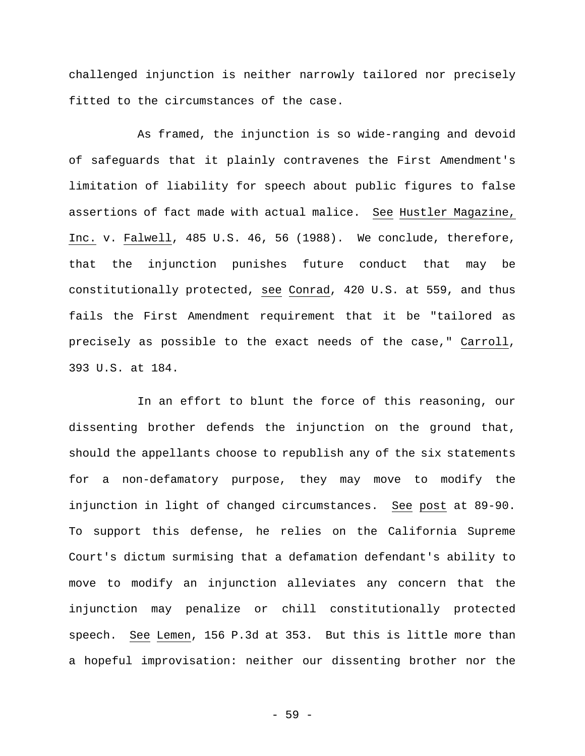challenged injunction is neither narrowly tailored nor precisely fitted to the circumstances of the case.

As framed, the injunction is so wide-ranging and devoid of safeguards that it plainly contravenes the First Amendment's limitation of liability for speech about public figures to false assertions of fact made with actual malice. See Hustler Magazine, Inc. v. Falwell, 485 U.S. 46, 56 (1988). We conclude, therefore, that the injunction punishes future conduct that may be constitutionally protected, see Conrad, 420 U.S. at 559, and thus fails the First Amendment requirement that it be "tailored as precisely as possible to the exact needs of the case," Carroll, 393 U.S. at 184.

In an effort to blunt the force of this reasoning, our dissenting brother defends the injunction on the ground that, should the appellants choose to republish any of the six statements for a non-defamatory purpose, they may move to modify the injunction in light of changed circumstances. See post at 89-90. To support this defense, he relies on the California Supreme Court's dictum surmising that a defamation defendant's ability to move to modify an injunction alleviates any concern that the injunction may penalize or chill constitutionally protected speech. See Lemen, 156 P.3d at 353. But this is little more than a hopeful improvisation: neither our dissenting brother nor the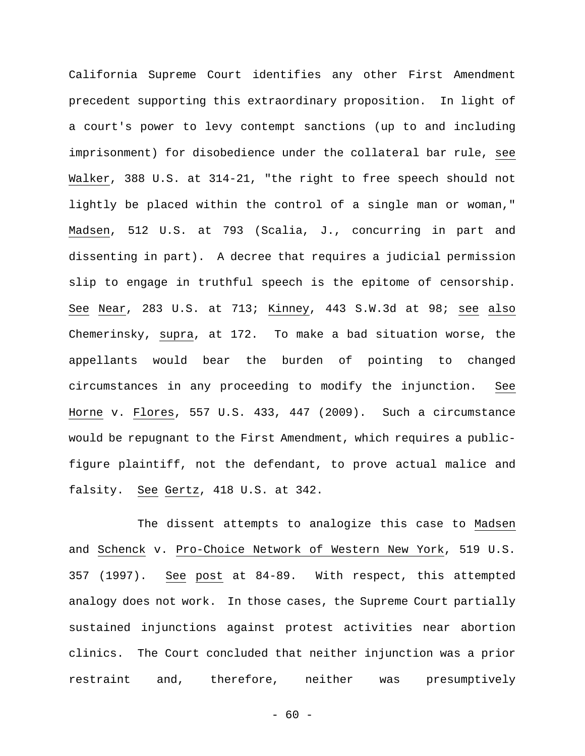California Supreme Court identifies any other First Amendment precedent supporting this extraordinary proposition. In light of a court's power to levy contempt sanctions (up to and including imprisonment) for disobedience under the collateral bar rule, see Walker, 388 U.S. at 314-21, "the right to free speech should not lightly be placed within the control of a single man or woman," Madsen, 512 U.S. at 793 (Scalia, J., concurring in part and dissenting in part). A decree that requires a judicial permission slip to engage in truthful speech is the epitome of censorship. See Near, 283 U.S. at 713; Kinney, 443 S.W.3d at 98; see also Chemerinsky, supra, at 172. To make a bad situation worse, the appellants would bear the burden of pointing to changed circumstances in any proceeding to modify the injunction. See Horne v. Flores, 557 U.S. 433, 447 (2009). Such a circumstance would be repugnant to the First Amendment, which requires a publicfigure plaintiff, not the defendant, to prove actual malice and falsity. See Gertz, 418 U.S. at 342.

The dissent attempts to analogize this case to Madsen and Schenck v. Pro-Choice Network of Western New York, 519 U.S. 357 (1997). See post at 84-89. With respect, this attempted analogy does not work. In those cases, the Supreme Court partially sustained injunctions against protest activities near abortion clinics. The Court concluded that neither injunction was a prior restraint and, therefore, neither was presumptively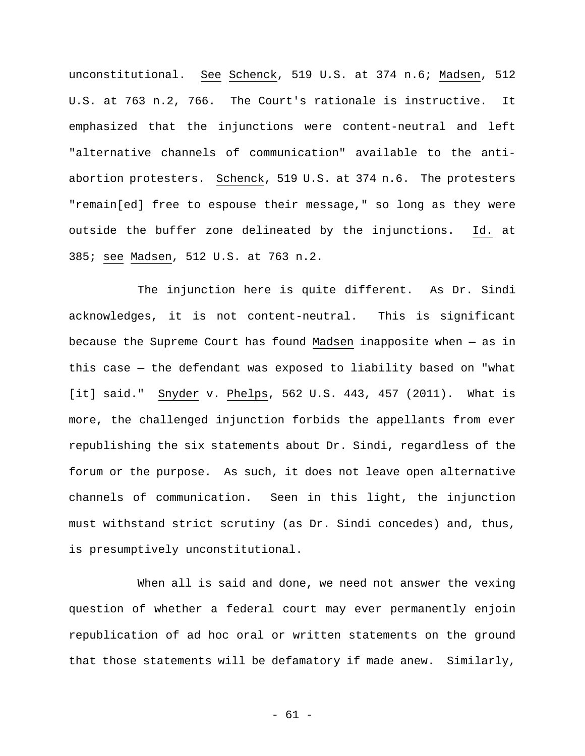unconstitutional. See Schenck, 519 U.S. at 374 n.6; Madsen, 512 U.S. at 763 n.2, 766. The Court's rationale is instructive. It emphasized that the injunctions were content-neutral and left "alternative channels of communication" available to the antiabortion protesters. Schenck, 519 U.S. at 374 n.6. The protesters "remain[ed] free to espouse their message," so long as they were outside the buffer zone delineated by the injunctions. Id. at 385; see Madsen, 512 U.S. at 763 n.2.

The injunction here is quite different. As Dr. Sindi acknowledges, it is not content-neutral. This is significant because the Supreme Court has found Madsen inapposite when — as in this case — the defendant was exposed to liability based on "what [it] said." Snyder v. Phelps, 562 U.S. 443, 457 (2011). What is more, the challenged injunction forbids the appellants from ever republishing the six statements about Dr. Sindi, regardless of the forum or the purpose. As such, it does not leave open alternative channels of communication. Seen in this light, the injunction must withstand strict scrutiny (as Dr. Sindi concedes) and, thus, is presumptively unconstitutional.

When all is said and done, we need not answer the vexing question of whether a federal court may ever permanently enjoin republication of ad hoc oral or written statements on the ground that those statements will be defamatory if made anew. Similarly,

- 61 -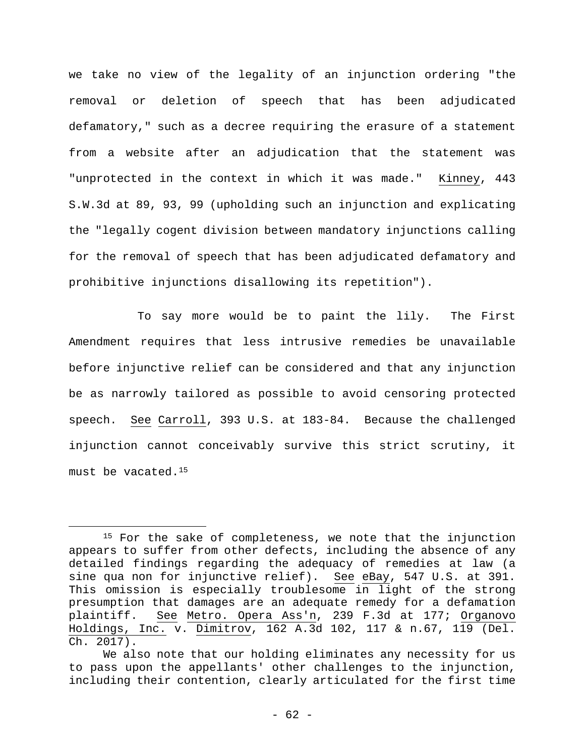we take no view of the legality of an injunction ordering "the removal or deletion of speech that has been adjudicated defamatory," such as a decree requiring the erasure of a statement from a website after an adjudication that the statement was "unprotected in the context in which it was made." Kinney, 443 S.W.3d at 89, 93, 99 (upholding such an injunction and explicating the "legally cogent division between mandatory injunctions calling for the removal of speech that has been adjudicated defamatory and prohibitive injunctions disallowing its repetition").

To say more would be to paint the lily. The First Amendment requires that less intrusive remedies be unavailable before injunctive relief can be considered and that any injunction be as narrowly tailored as possible to avoid censoring protected speech. See Carroll, 393 U.S. at 183-84. Because the challenged injunction cannot conceivably survive this strict scrutiny, it must be vacated.15

<sup>&</sup>lt;sup>15</sup> For the sake of completeness, we note that the injunction appears to suffer from other defects, including the absence of any detailed findings regarding the adequacy of remedies at law (a sine qua non for injunctive relief). See eBay, 547 U.S. at 391. This omission is especially troublesome in light of the strong presumption that damages are an adequate remedy for a defamation plaintiff. See Metro. Opera Ass'n, 239 F.3d at 177; Organovo Holdings, Inc. v. Dimitrov, 162 A.3d 102, 117 & n.67, 119 (Del. Ch. 2017).

We also note that our holding eliminates any necessity for us to pass upon the appellants' other challenges to the injunction, including their contention, clearly articulated for the first time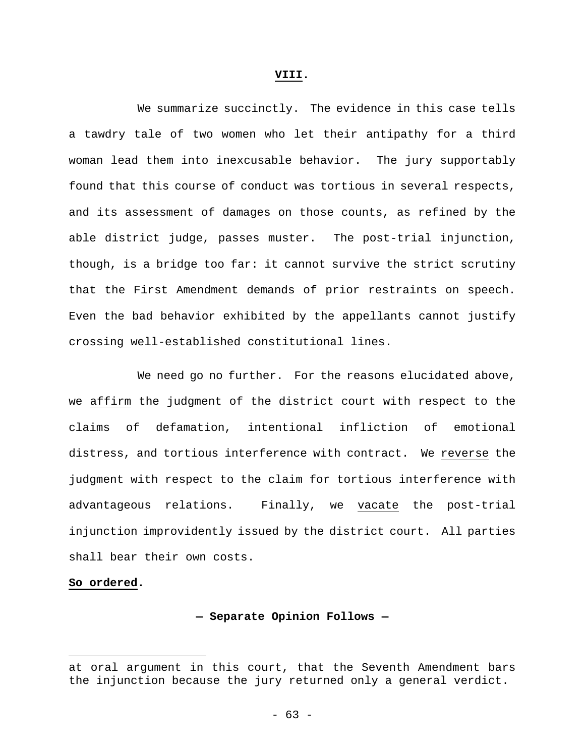#### **VIII.**

We summarize succinctly. The evidence in this case tells a tawdry tale of two women who let their antipathy for a third woman lead them into inexcusable behavior. The jury supportably found that this course of conduct was tortious in several respects, and its assessment of damages on those counts, as refined by the able district judge, passes muster. The post-trial injunction, though, is a bridge too far: it cannot survive the strict scrutiny that the First Amendment demands of prior restraints on speech. Even the bad behavior exhibited by the appellants cannot justify crossing well-established constitutional lines.

We need go no further. For the reasons elucidated above, we affirm the judgment of the district court with respect to the claims of defamation, intentional infliction of emotional distress, and tortious interference with contract. We reverse the judgment with respect to the claim for tortious interference with advantageous relations. Finally, we vacate the post-trial injunction improvidently issued by the district court. All parties shall bear their own costs.

# **So ordered.**

1

**— Separate Opinion Follows —** 

at oral argument in this court, that the Seventh Amendment bars the injunction because the jury returned only a general verdict.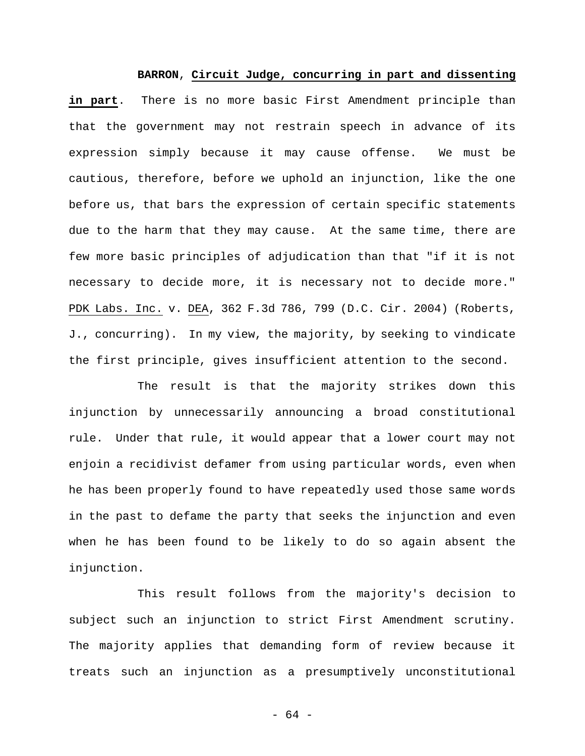# **BARRON**, **Circuit Judge, concurring in part and dissenting**

**in part**. There is no more basic First Amendment principle than that the government may not restrain speech in advance of its expression simply because it may cause offense. We must be cautious, therefore, before we uphold an injunction, like the one before us, that bars the expression of certain specific statements due to the harm that they may cause. At the same time, there are few more basic principles of adjudication than that "if it is not necessary to decide more, it is necessary not to decide more." PDK Labs. Inc. v. DEA, 362 F.3d 786, 799 (D.C. Cir. 2004) (Roberts, J., concurring). In my view, the majority, by seeking to vindicate the first principle, gives insufficient attention to the second.

The result is that the majority strikes down this injunction by unnecessarily announcing a broad constitutional rule. Under that rule, it would appear that a lower court may not enjoin a recidivist defamer from using particular words, even when he has been properly found to have repeatedly used those same words in the past to defame the party that seeks the injunction and even when he has been found to be likely to do so again absent the injunction.

This result follows from the majority's decision to subject such an injunction to strict First Amendment scrutiny. The majority applies that demanding form of review because it treats such an injunction as a presumptively unconstitutional

- 64 -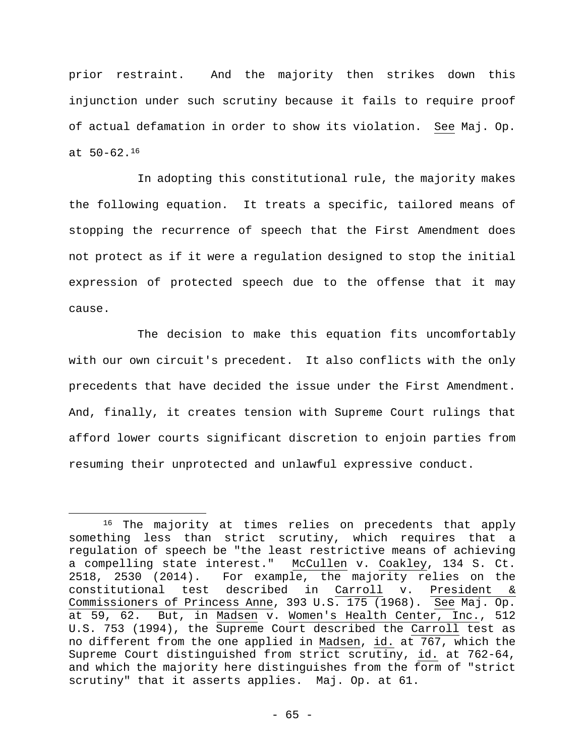prior restraint. And the majority then strikes down this injunction under such scrutiny because it fails to require proof of actual defamation in order to show its violation. See Maj. Op. at 50-62.16

In adopting this constitutional rule, the majority makes the following equation. It treats a specific, tailored means of stopping the recurrence of speech that the First Amendment does not protect as if it were a regulation designed to stop the initial expression of protected speech due to the offense that it may cause.

The decision to make this equation fits uncomfortably with our own circuit's precedent. It also conflicts with the only precedents that have decided the issue under the First Amendment. And, finally, it creates tension with Supreme Court rulings that afford lower courts significant discretion to enjoin parties from resuming their unprotected and unlawful expressive conduct.

<sup>&</sup>lt;sup>16</sup> The majority at times relies on precedents that apply something less than strict scrutiny, which requires that a regulation of speech be "the least restrictive means of achieving a compelling state interest." McCullen v. Coakley, 134 S. Ct. 2518, 2530 (2014). For example, the majority relies on the constitutional test described in Carroll v. President & Commissioners of Princess Anne, 393 U.S. 175 (1968). See Maj. Op. at 59, 62. But, in Madsen v. Women's Health Center, Inc., 512 U.S. 753 (1994), the Supreme Court described the Carroll test as no different from the one applied in Madsen, id. at 767, which the Supreme Court distinguished from strict scrutiny, id. at 762-64, and which the majority here distinguishes from the form of "strict scrutiny" that it asserts applies. Maj. Op. at 61.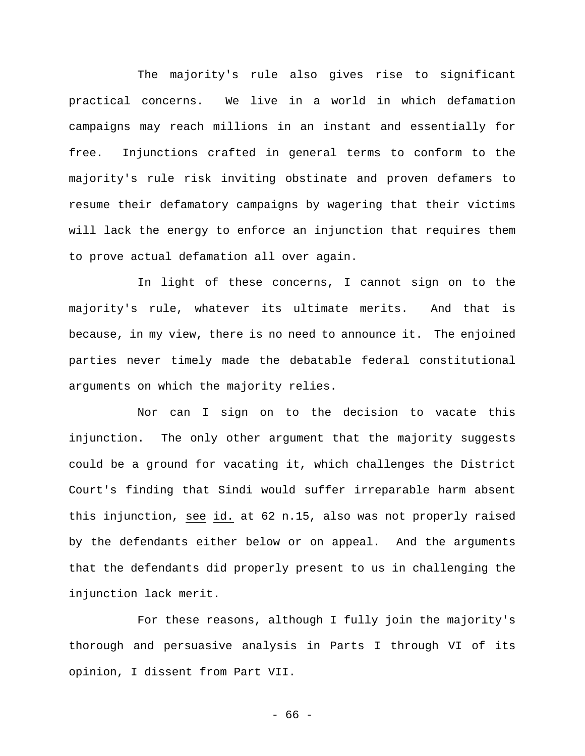The majority's rule also gives rise to significant practical concerns. We live in a world in which defamation campaigns may reach millions in an instant and essentially for free. Injunctions crafted in general terms to conform to the majority's rule risk inviting obstinate and proven defamers to resume their defamatory campaigns by wagering that their victims will lack the energy to enforce an injunction that requires them to prove actual defamation all over again.

In light of these concerns, I cannot sign on to the majority's rule, whatever its ultimate merits. And that is because, in my view, there is no need to announce it. The enjoined parties never timely made the debatable federal constitutional arguments on which the majority relies.

Nor can I sign on to the decision to vacate this injunction. The only other argument that the majority suggests could be a ground for vacating it, which challenges the District Court's finding that Sindi would suffer irreparable harm absent this injunction, see id. at 62 n.15, also was not properly raised by the defendants either below or on appeal. And the arguments that the defendants did properly present to us in challenging the injunction lack merit.

For these reasons, although I fully join the majority's thorough and persuasive analysis in Parts I through VI of its opinion, I dissent from Part VII.

- 66 -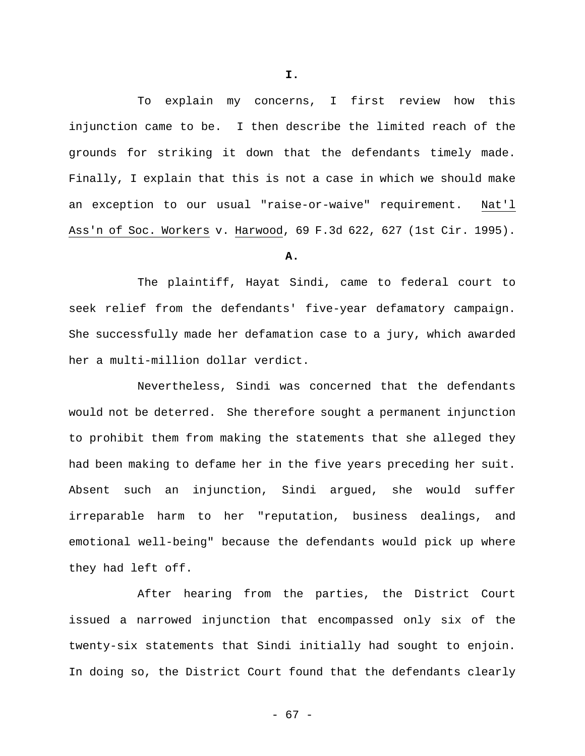To explain my concerns, I first review how this injunction came to be. I then describe the limited reach of the grounds for striking it down that the defendants timely made. Finally, I explain that this is not a case in which we should make an exception to our usual "raise-or-waive" requirement. Nat'l Ass'n of Soc. Workers v. Harwood, 69 F.3d 622, 627 (1st Cir. 1995).

**A.** 

The plaintiff, Hayat Sindi, came to federal court to seek relief from the defendants' five-year defamatory campaign. She successfully made her defamation case to a jury, which awarded her a multi-million dollar verdict.

Nevertheless, Sindi was concerned that the defendants would not be deterred. She therefore sought a permanent injunction to prohibit them from making the statements that she alleged they had been making to defame her in the five years preceding her suit. Absent such an injunction, Sindi argued, she would suffer irreparable harm to her "reputation, business dealings, and emotional well-being" because the defendants would pick up where they had left off.

After hearing from the parties, the District Court issued a narrowed injunction that encompassed only six of the twenty-six statements that Sindi initially had sought to enjoin. In doing so, the District Court found that the defendants clearly

**I.**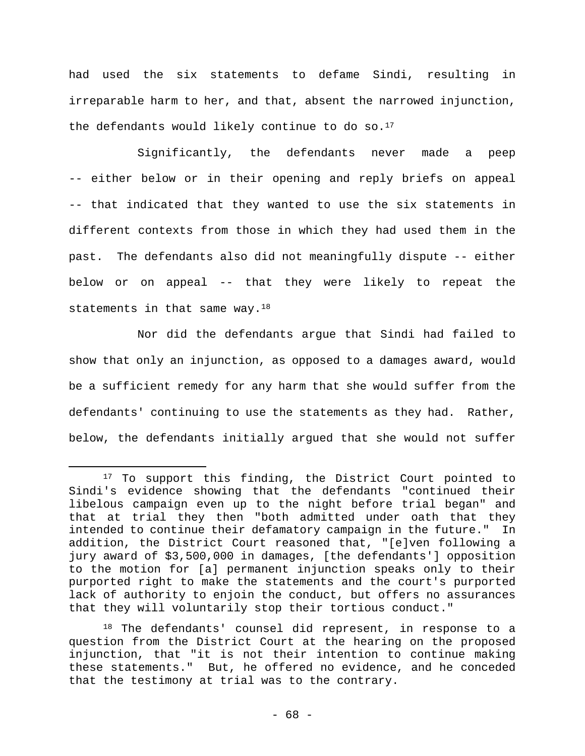had used the six statements to defame Sindi, resulting in irreparable harm to her, and that, absent the narrowed injunction, the defendants would likely continue to do so. $17$ 

Significantly, the defendants never made a peep -- either below or in their opening and reply briefs on appeal -- that indicated that they wanted to use the six statements in different contexts from those in which they had used them in the past. The defendants also did not meaningfully dispute -- either below or on appeal -- that they were likely to repeat the statements in that same way.<sup>18</sup>

Nor did the defendants argue that Sindi had failed to show that only an injunction, as opposed to a damages award, would be a sufficient remedy for any harm that she would suffer from the defendants' continuing to use the statements as they had. Rather, below, the defendants initially argued that she would not suffer

 $\overline{a}$ 

<sup>18</sup> The defendants' counsel did represent, in response to a question from the District Court at the hearing on the proposed injunction, that "it is not their intention to continue making these statements." But, he offered no evidence, and he conceded that the testimony at trial was to the contrary.

<sup>&</sup>lt;sup>17</sup> To support this finding, the District Court pointed to Sindi's evidence showing that the defendants "continued their libelous campaign even up to the night before trial began" and that at trial they then "both admitted under oath that they intended to continue their defamatory campaign in the future." In addition, the District Court reasoned that, "[e]ven following a jury award of \$3,500,000 in damages, [the defendants'] opposition to the motion for [a] permanent injunction speaks only to their purported right to make the statements and the court's purported lack of authority to enjoin the conduct, but offers no assurances that they will voluntarily stop their tortious conduct."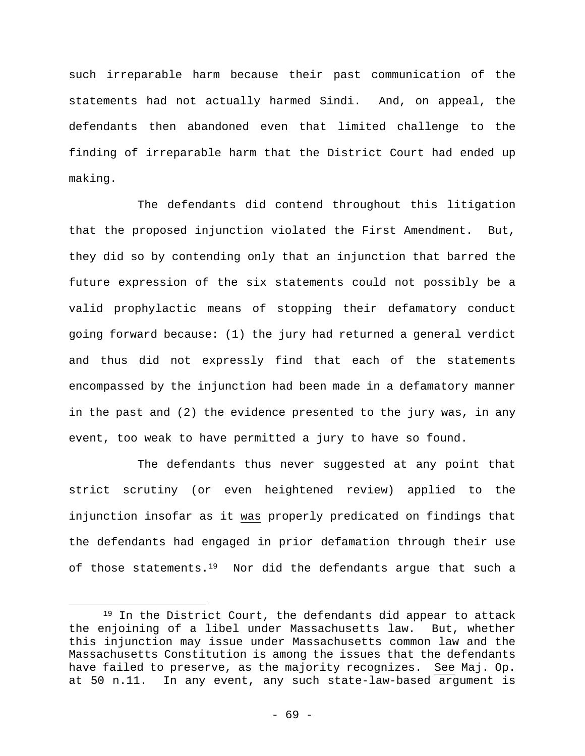such irreparable harm because their past communication of the statements had not actually harmed Sindi. And, on appeal, the defendants then abandoned even that limited challenge to the finding of irreparable harm that the District Court had ended up making.

The defendants did contend throughout this litigation that the proposed injunction violated the First Amendment. But, they did so by contending only that an injunction that barred the future expression of the six statements could not possibly be a valid prophylactic means of stopping their defamatory conduct going forward because: (1) the jury had returned a general verdict and thus did not expressly find that each of the statements encompassed by the injunction had been made in a defamatory manner in the past and (2) the evidence presented to the jury was, in any event, too weak to have permitted a jury to have so found.

The defendants thus never suggested at any point that strict scrutiny (or even heightened review) applied to the injunction insofar as it was properly predicated on findings that the defendants had engaged in prior defamation through their use of those statements.<sup>19</sup> Nor did the defendants argue that such a

<sup>19</sup> In the District Court, the defendants did appear to attack the enjoining of a libel under Massachusetts law. But, whether this injunction may issue under Massachusetts common law and the Massachusetts Constitution is among the issues that the defendants have failed to preserve, as the majority recognizes. See Maj. Op. at 50 n.11. In any event, any such state-law-based argument is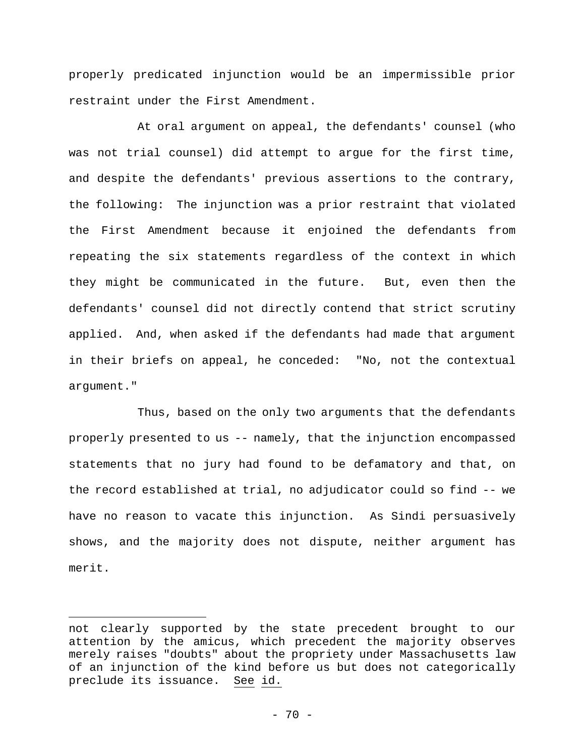properly predicated injunction would be an impermissible prior restraint under the First Amendment.

At oral argument on appeal, the defendants' counsel (who was not trial counsel) did attempt to argue for the first time, and despite the defendants' previous assertions to the contrary, the following: The injunction was a prior restraint that violated the First Amendment because it enjoined the defendants from repeating the six statements regardless of the context in which they might be communicated in the future. But, even then the defendants' counsel did not directly contend that strict scrutiny applied. And, when asked if the defendants had made that argument in their briefs on appeal, he conceded: "No, not the contextual argument."

Thus, based on the only two arguments that the defendants properly presented to us -- namely, that the injunction encompassed statements that no jury had found to be defamatory and that, on the record established at trial, no adjudicator could so find -- we have no reason to vacate this injunction. As Sindi persuasively shows, and the majority does not dispute, neither argument has merit.

not clearly supported by the state precedent brought to our attention by the amicus, which precedent the majority observes merely raises "doubts" about the propriety under Massachusetts law of an injunction of the kind before us but does not categorically preclude its issuance. See id.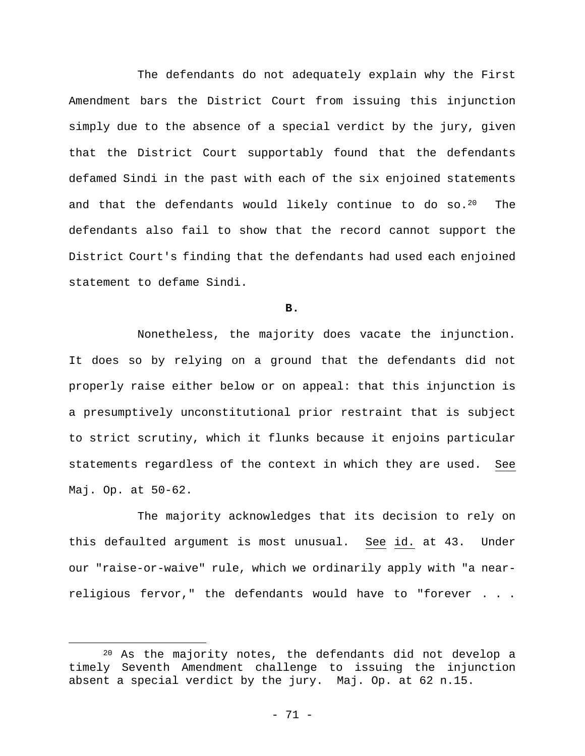The defendants do not adequately explain why the First Amendment bars the District Court from issuing this injunction simply due to the absence of a special verdict by the jury, given that the District Court supportably found that the defendants defamed Sindi in the past with each of the six enjoined statements and that the defendants would likely continue to do so.<sup>20</sup> The defendants also fail to show that the record cannot support the District Court's finding that the defendants had used each enjoined statement to defame Sindi.

**B.** 

Nonetheless, the majority does vacate the injunction. It does so by relying on a ground that the defendants did not properly raise either below or on appeal: that this injunction is a presumptively unconstitutional prior restraint that is subject to strict scrutiny, which it flunks because it enjoins particular statements regardless of the context in which they are used. See Maj. Op. at 50-62.

The majority acknowledges that its decision to rely on this defaulted argument is most unusual. See id. at 43. Under our "raise-or-waive" rule, which we ordinarily apply with "a nearreligious fervor," the defendants would have to "forever . . .

<sup>20</sup> As the majority notes, the defendants did not develop a timely Seventh Amendment challenge to issuing the injunction absent a special verdict by the jury. Maj. Op. at 62 n.15.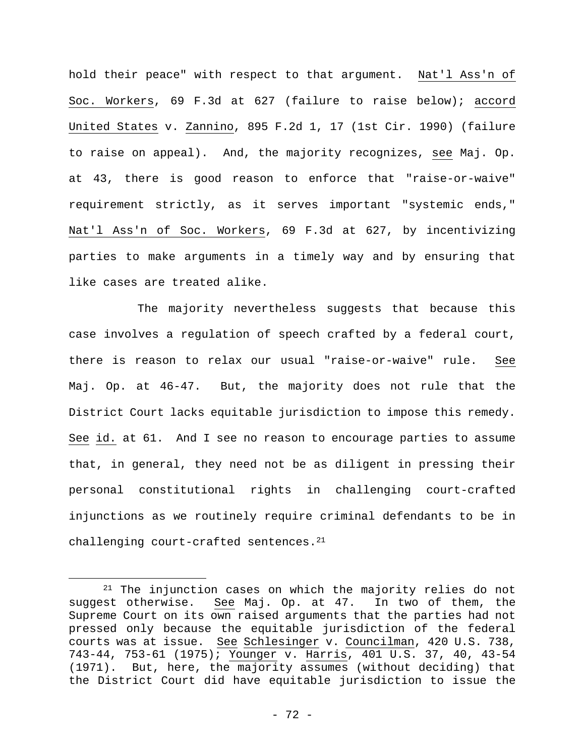hold their peace" with respect to that argument. Nat'l Ass'n of Soc. Workers, 69 F.3d at 627 (failure to raise below); accord United States v. Zannino, 895 F.2d 1, 17 (1st Cir. 1990) (failure to raise on appeal). And, the majority recognizes, see Maj. Op. at 43, there is good reason to enforce that "raise-or-waive" requirement strictly, as it serves important "systemic ends," Nat'l Ass'n of Soc. Workers, 69 F.3d at 627, by incentivizing parties to make arguments in a timely way and by ensuring that like cases are treated alike.

The majority nevertheless suggests that because this case involves a regulation of speech crafted by a federal court, there is reason to relax our usual "raise-or-waive" rule. See Maj. Op. at 46-47. But, the majority does not rule that the District Court lacks equitable jurisdiction to impose this remedy. See id. at 61. And I see no reason to encourage parties to assume that, in general, they need not be as diligent in pressing their personal constitutional rights in challenging court-crafted injunctions as we routinely require criminal defendants to be in challenging court-crafted sentences.<sup>21</sup>

<sup>&</sup>lt;sup>21</sup> The injunction cases on which the majority relies do not suggest otherwise. See Maj. Op. at 47. In two of them, the Supreme Court on its own raised arguments that the parties had not pressed only because the equitable jurisdiction of the federal courts was at issue. See Schlesinger v. Councilman, 420 U.S. 738, 743-44, 753-61 (1975); Younger v. Harris, 401 U.S. 37, 40, 43-54 (1971). But, here, the majority assumes (without deciding) that the District Court did have equitable jurisdiction to issue the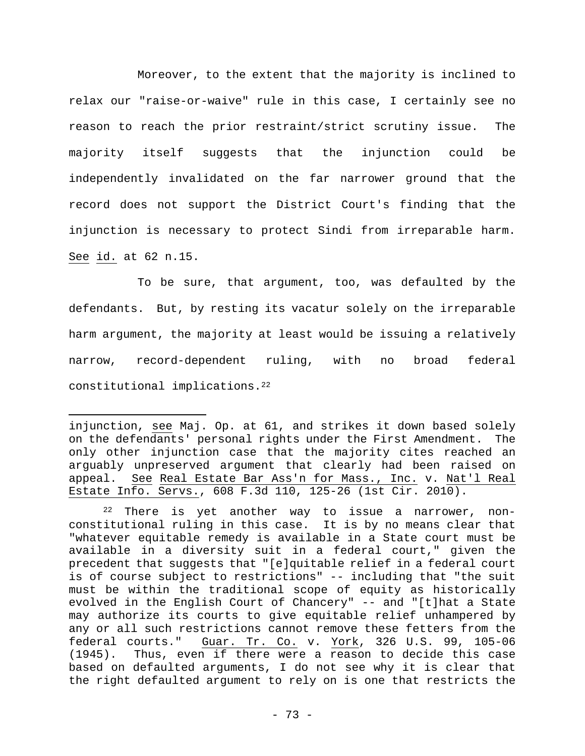Moreover, to the extent that the majority is inclined to relax our "raise-or-waive" rule in this case, I certainly see no reason to reach the prior restraint/strict scrutiny issue. The majority itself suggests that the injunction could be independently invalidated on the far narrower ground that the record does not support the District Court's finding that the injunction is necessary to protect Sindi from irreparable harm. See id. at 62 n.15.

To be sure, that argument, too, was defaulted by the defendants. But, by resting its vacatur solely on the irreparable harm argument, the majority at least would be issuing a relatively narrow, record-dependent ruling, with no broad federal constitutional implications.22

injunction, see Maj. Op. at 61, and strikes it down based solely on the defendants' personal rights under the First Amendment. The only other injunction case that the majority cites reached an arguably unpreserved argument that clearly had been raised on appeal. See Real Estate Bar Ass'n for Mass., Inc. v. Nat'l Real Estate Info. Servs., 608 F.3d 110, 125-26 (1st Cir. 2010).

<sup>22</sup> There is yet another way to issue a narrower, nonconstitutional ruling in this case. It is by no means clear that "whatever equitable remedy is available in a State court must be available in a diversity suit in a federal court," given the precedent that suggests that "[e]quitable relief in a federal court is of course subject to restrictions" -- including that "the suit must be within the traditional scope of equity as historically evolved in the English Court of Chancery" -- and "[t]hat a State may authorize its courts to give equitable relief unhampered by any or all such restrictions cannot remove these fetters from the federal courts." Guar. Tr. Co. v. York, 326 U.S. 99, 105-06 (1945). Thus, even if there were a reason to decide this case based on defaulted arguments, I do not see why it is clear that the right defaulted argument to rely on is one that restricts the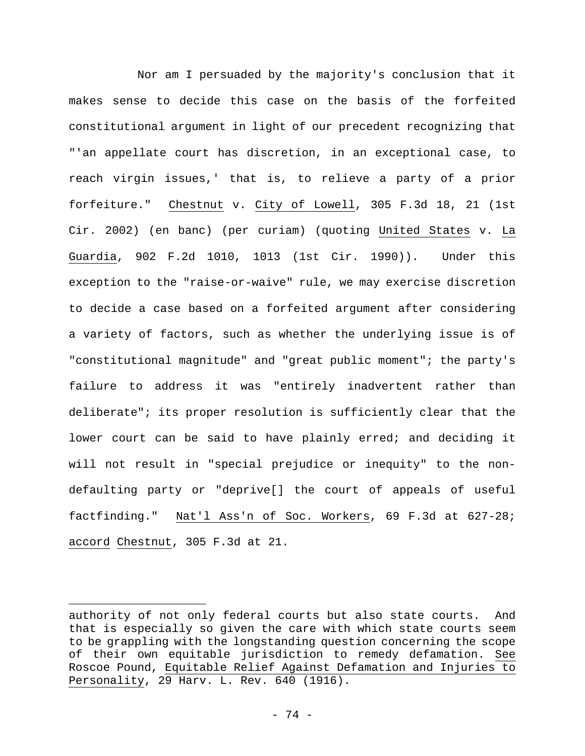Nor am I persuaded by the majority's conclusion that it makes sense to decide this case on the basis of the forfeited constitutional argument in light of our precedent recognizing that "'an appellate court has discretion, in an exceptional case, to reach virgin issues,' that is, to relieve a party of a prior forfeiture." Chestnut v. City of Lowell, 305 F.3d 18, 21 (1st Cir. 2002) (en banc) (per curiam) (quoting United States v. La Guardia, 902 F.2d 1010, 1013 (1st Cir. 1990)). Under this exception to the "raise-or-waive" rule, we may exercise discretion to decide a case based on a forfeited argument after considering a variety of factors, such as whether the underlying issue is of "constitutional magnitude" and "great public moment"; the party's failure to address it was "entirely inadvertent rather than deliberate"; its proper resolution is sufficiently clear that the lower court can be said to have plainly erred; and deciding it will not result in "special prejudice or inequity" to the nondefaulting party or "deprive[] the court of appeals of useful factfinding." Nat'l Ass'n of Soc. Workers, 69 F.3d at 627-28; accord Chestnut, 305 F.3d at 21.

authority of not only federal courts but also state courts. And that is especially so given the care with which state courts seem to be grappling with the longstanding question concerning the scope of their own equitable jurisdiction to remedy defamation. See Roscoe Pound, Equitable Relief Against Defamation and Injuries to Personality, 29 Harv. L. Rev. 640 (1916).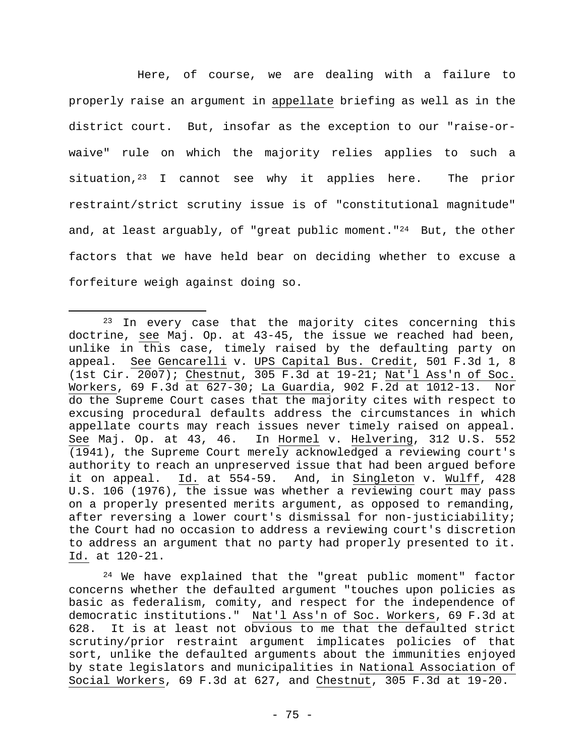Here, of course, we are dealing with a failure to properly raise an argument in appellate briefing as well as in the district court. But, insofar as the exception to our "raise-orwaive" rule on which the majority relies applies to such a situation,<sup>23</sup> I cannot see why it applies here. The prior restraint/strict scrutiny issue is of "constitutional magnitude" and, at least arguably, of "great public moment."<sup>24</sup> But, the other factors that we have held bear on deciding whether to excuse a forfeiture weigh against doing so.

 $\overline{a}$ 

24 We have explained that the "great public moment" factor concerns whether the defaulted argument "touches upon policies as basic as federalism, comity, and respect for the independence of democratic institutions." Nat'l Ass'n of Soc. Workers, 69 F.3d at 628. It is at least not obvious to me that the defaulted strict scrutiny/prior restraint argument implicates policies of that sort, unlike the defaulted arguments about the immunities enjoyed by state legislators and municipalities in National Association of Social Workers, 69 F.3d at 627, and Chestnut, 305 F.3d at 19-20.

<sup>&</sup>lt;sup>23</sup> In every case that the majority cites concerning this doctrine, see Maj. Op. at 43-45, the issue we reached had been, unlike in this case, timely raised by the defaulting party on appeal. See Gencarelli v. UPS Capital Bus. Credit, 501 F.3d 1, 8 (1st Cir. 2007); Chestnut, 305 F.3d at 19-21; Nat'l Ass'n of Soc. Workers, 69 F.3d at 627-30; La Guardia, 902 F.2d at 1012-13. Nor do the Supreme Court cases that the majority cites with respect to excusing procedural defaults address the circumstances in which appellate courts may reach issues never timely raised on appeal. See Maj. Op. at 43, 46. In Hormel v. Helvering, 312 U.S. 552 (1941), the Supreme Court merely acknowledged a reviewing court's authority to reach an unpreserved issue that had been argued before it on appeal. Id. at 554-59. And, in Singleton v. Wulff, 428 U.S. 106 (1976), the issue was whether a reviewing court may pass on a properly presented merits argument, as opposed to remanding, after reversing a lower court's dismissal for non-justiciability; the Court had no occasion to address a reviewing court's discretion to address an argument that no party had properly presented to it. Id. at 120-21.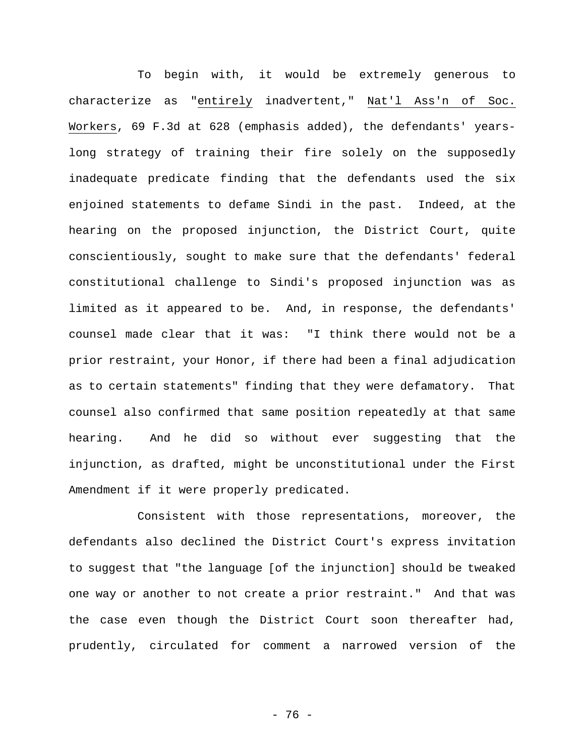To begin with, it would be extremely generous to characterize as "entirely inadvertent," Nat'l Ass'n of Soc. Workers, 69 F.3d at 628 (emphasis added), the defendants' yearslong strategy of training their fire solely on the supposedly inadequate predicate finding that the defendants used the six enjoined statements to defame Sindi in the past. Indeed, at the hearing on the proposed injunction, the District Court, quite conscientiously, sought to make sure that the defendants' federal constitutional challenge to Sindi's proposed injunction was as limited as it appeared to be. And, in response, the defendants' counsel made clear that it was: "I think there would not be a prior restraint, your Honor, if there had been a final adjudication as to certain statements" finding that they were defamatory. That counsel also confirmed that same position repeatedly at that same hearing. And he did so without ever suggesting that the injunction, as drafted, might be unconstitutional under the First Amendment if it were properly predicated.

Consistent with those representations, moreover, the defendants also declined the District Court's express invitation to suggest that "the language [of the injunction] should be tweaked one way or another to not create a prior restraint." And that was the case even though the District Court soon thereafter had, prudently, circulated for comment a narrowed version of the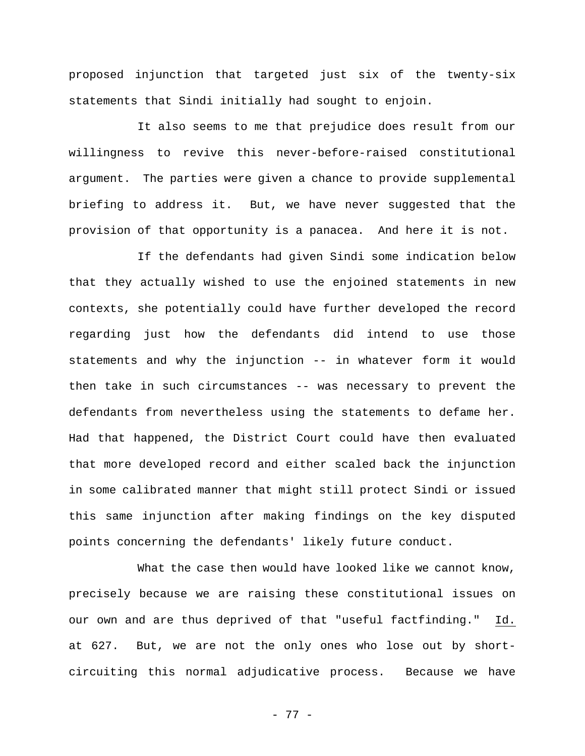proposed injunction that targeted just six of the twenty-six statements that Sindi initially had sought to enjoin.

It also seems to me that prejudice does result from our willingness to revive this never-before-raised constitutional argument. The parties were given a chance to provide supplemental briefing to address it. But, we have never suggested that the provision of that opportunity is a panacea. And here it is not.

If the defendants had given Sindi some indication below that they actually wished to use the enjoined statements in new contexts, she potentially could have further developed the record regarding just how the defendants did intend to use those statements and why the injunction -- in whatever form it would then take in such circumstances -- was necessary to prevent the defendants from nevertheless using the statements to defame her. Had that happened, the District Court could have then evaluated that more developed record and either scaled back the injunction in some calibrated manner that might still protect Sindi or issued this same injunction after making findings on the key disputed points concerning the defendants' likely future conduct.

What the case then would have looked like we cannot know, precisely because we are raising these constitutional issues on our own and are thus deprived of that "useful factfinding." Id. at 627. But, we are not the only ones who lose out by shortcircuiting this normal adjudicative process. Because we have

- 77 -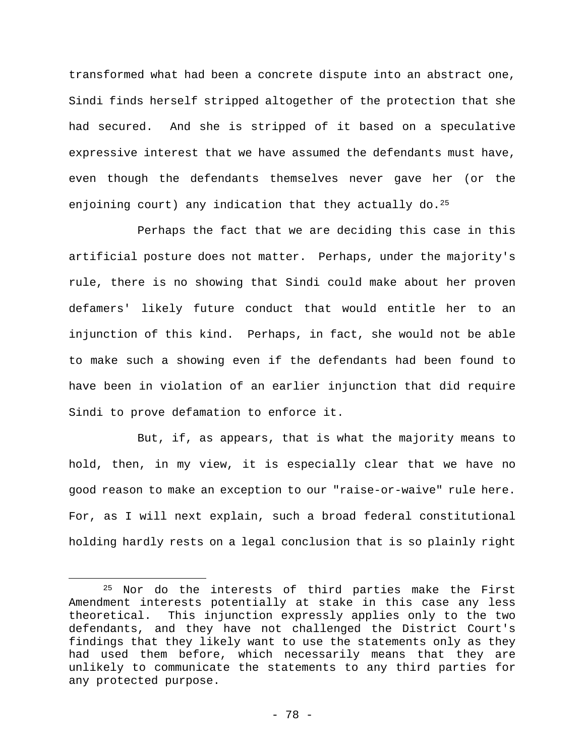transformed what had been a concrete dispute into an abstract one, Sindi finds herself stripped altogether of the protection that she had secured. And she is stripped of it based on a speculative expressive interest that we have assumed the defendants must have, even though the defendants themselves never gave her (or the enjoining court) any indication that they actually do.<sup>25</sup>

Perhaps the fact that we are deciding this case in this artificial posture does not matter. Perhaps, under the majority's rule, there is no showing that Sindi could make about her proven defamers' likely future conduct that would entitle her to an injunction of this kind. Perhaps, in fact, she would not be able to make such a showing even if the defendants had been found to have been in violation of an earlier injunction that did require Sindi to prove defamation to enforce it.

But, if, as appears, that is what the majority means to hold, then, in my view, it is especially clear that we have no good reason to make an exception to our "raise-or-waive" rule here. For, as I will next explain, such a broad federal constitutional holding hardly rests on a legal conclusion that is so plainly right

1

<sup>25</sup> Nor do the interests of third parties make the First Amendment interests potentially at stake in this case any less theoretical. This injunction expressly applies only to the two defendants, and they have not challenged the District Court's findings that they likely want to use the statements only as they had used them before, which necessarily means that they are unlikely to communicate the statements to any third parties for any protected purpose.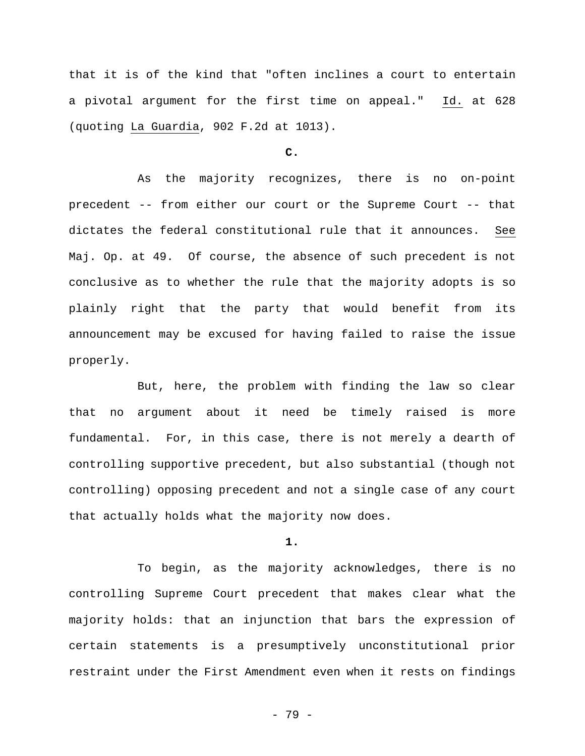that it is of the kind that "often inclines a court to entertain a pivotal argument for the first time on appeal." Id. at 628 (quoting La Guardia, 902 F.2d at 1013).

#### **C.**

As the majority recognizes, there is no on-point precedent -- from either our court or the Supreme Court -- that dictates the federal constitutional rule that it announces. See Maj. Op. at 49. Of course, the absence of such precedent is not conclusive as to whether the rule that the majority adopts is so plainly right that the party that would benefit from its announcement may be excused for having failed to raise the issue properly.

But, here, the problem with finding the law so clear that no argument about it need be timely raised is more fundamental. For, in this case, there is not merely a dearth of controlling supportive precedent, but also substantial (though not controlling) opposing precedent and not a single case of any court that actually holds what the majority now does.

#### **1.**

To begin, as the majority acknowledges, there is no controlling Supreme Court precedent that makes clear what the majority holds: that an injunction that bars the expression of certain statements is a presumptively unconstitutional prior restraint under the First Amendment even when it rests on findings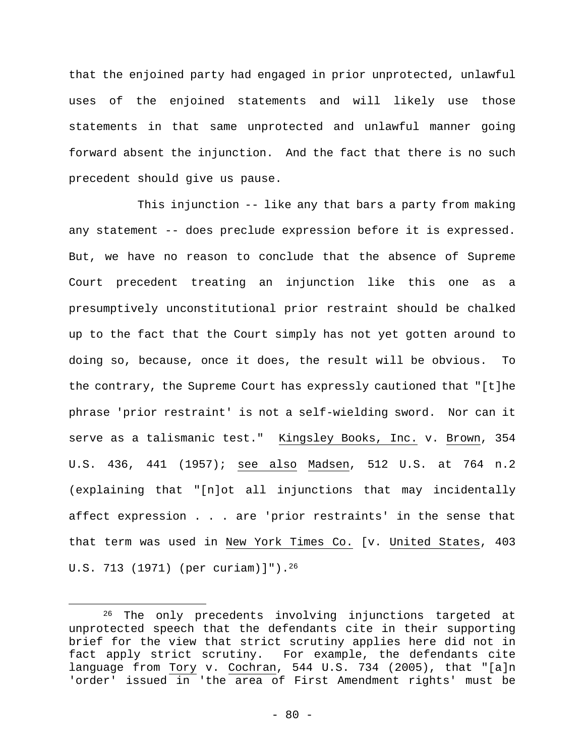that the enjoined party had engaged in prior unprotected, unlawful uses of the enjoined statements and will likely use those statements in that same unprotected and unlawful manner going forward absent the injunction. And the fact that there is no such precedent should give us pause.

This injunction -- like any that bars a party from making any statement -- does preclude expression before it is expressed. But, we have no reason to conclude that the absence of Supreme Court precedent treating an injunction like this one as a presumptively unconstitutional prior restraint should be chalked up to the fact that the Court simply has not yet gotten around to doing so, because, once it does, the result will be obvious. To the contrary, the Supreme Court has expressly cautioned that "[t]he phrase 'prior restraint' is not a self-wielding sword. Nor can it serve as a talismanic test." Kingsley Books, Inc. v. Brown, 354 U.S. 436, 441 (1957); see also Madsen, 512 U.S. at 764 n.2 (explaining that "[n]ot all injunctions that may incidentally affect expression . . . are 'prior restraints' in the sense that that term was used in New York Times Co. [v. United States, 403 U.S. 713 (1971) (per curiam)]").26

<sup>&</sup>lt;sup>26</sup> The only precedents involving injunctions targeted at unprotected speech that the defendants cite in their supporting brief for the view that strict scrutiny applies here did not in fact apply strict scrutiny. For example, the defendants cite language from Tory v. Cochran, 544 U.S. 734 (2005), that "[a]n 'order' issued in 'the area of First Amendment rights' must be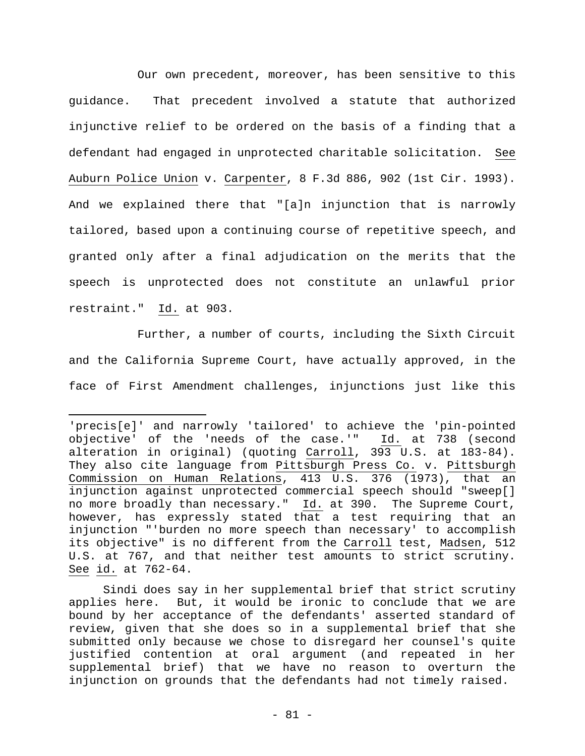Our own precedent, moreover, has been sensitive to this guidance. That precedent involved a statute that authorized injunctive relief to be ordered on the basis of a finding that a defendant had engaged in unprotected charitable solicitation. See Auburn Police Union v. Carpenter, 8 F.3d 886, 902 (1st Cir. 1993). And we explained there that "[a]n injunction that is narrowly tailored, based upon a continuing course of repetitive speech, and granted only after a final adjudication on the merits that the speech is unprotected does not constitute an unlawful prior restraint." Id. at 903.

Further, a number of courts, including the Sixth Circuit and the California Supreme Court, have actually approved, in the face of First Amendment challenges, injunctions just like this

<sup>&#</sup>x27;precis[e]' and narrowly 'tailored' to achieve the 'pin-pointed objective' of the 'needs of the case.'" Id. at 738 (second alteration in original) (quoting Carroll, 393 U.S. at 183-84). They also cite language from Pittsburgh Press Co. v. Pittsburgh Commission on Human Relations,  $413$  U.S. 376 (1973), that an injunction against unprotected commercial speech should "sweep[] no more broadly than necessary." Id. at 390. The Supreme Court, however, has expressly stated that a test requiring that an injunction "'burden no more speech than necessary' to accomplish its objective" is no different from the Carroll test, Madsen, 512 U.S. at 767, and that neither test amounts to strict scrutiny. See id. at 762-64.

Sindi does say in her supplemental brief that strict scrutiny applies here. But, it would be ironic to conclude that we are bound by her acceptance of the defendants' asserted standard of review, given that she does so in a supplemental brief that she submitted only because we chose to disregard her counsel's quite justified contention at oral argument (and repeated in her supplemental brief) that we have no reason to overturn the injunction on grounds that the defendants had not timely raised.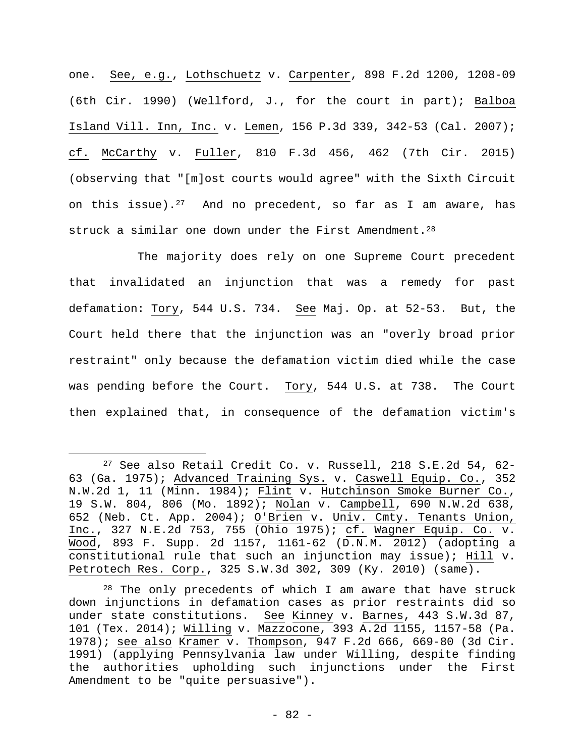one. See, e.g., Lothschuetz v. Carpenter, 898 F.2d 1200, 1208-09 (6th Cir. 1990) (Wellford, J., for the court in part); Balboa Island Vill. Inn, Inc. v. Lemen, 156 P.3d 339, 342-53 (Cal. 2007); cf. McCarthy v. Fuller, 810 F.3d 456, 462 (7th Cir. 2015) (observing that "[m]ost courts would agree" with the Sixth Circuit on this issue).<sup>27</sup> And no precedent, so far as I am aware, has struck a similar one down under the First Amendment.<sup>28</sup>

The majority does rely on one Supreme Court precedent that invalidated an injunction that was a remedy for past defamation: Tory, 544 U.S. 734. See Maj. Op. at 52-53. But, the Court held there that the injunction was an "overly broad prior restraint" only because the defamation victim died while the case was pending before the Court. Tory, 544 U.S. at 738. The Court then explained that, in consequence of the defamation victim's

 $27$  See also Retail Credit Co. v. Russell, 218 S.E.2d 54, 62-63 (Ga. 1975); Advanced Training Sys. v. Caswell Equip. Co., 352 N.W.2d 1, 11 (Minn. 1984); Flint v. Hutchinson Smoke Burner Co., 19 S.W. 804, 806 (Mo. 1892); Nolan v. Campbell, 690 N.W.2d 638, 652 (Neb. Ct. App. 2004); O'Brien v. Univ. Cmty. Tenants Union, Inc., 327 N.E.2d 753, 755 (Ohio 1975); cf. Wagner Equip. Co. v. Wood, 893 F. Supp. 2d 1157, 1161-62 (D.N.M. 2012) (adopting a constitutional rule that such an injunction may issue); Hill v. Petrotech Res. Corp., 325 S.W.3d 302, 309 (Ky. 2010) (same).

 $28$  The only precedents of which I am aware that have struck down injunctions in defamation cases as prior restraints did so under state constitutions. See Kinney v. Barnes, 443 S.W.3d 87, 101 (Tex. 2014); Willing v. Mazzocone, 393 A.2d 1155, 1157-58 (Pa. 1978); see also Kramer v. Thompson, 947 F.2d 666, 669-80 (3d Cir. 1991) (applying Pennsylvania law under Willing, despite finding the authorities upholding such injunctions under the First Amendment to be "quite persuasive").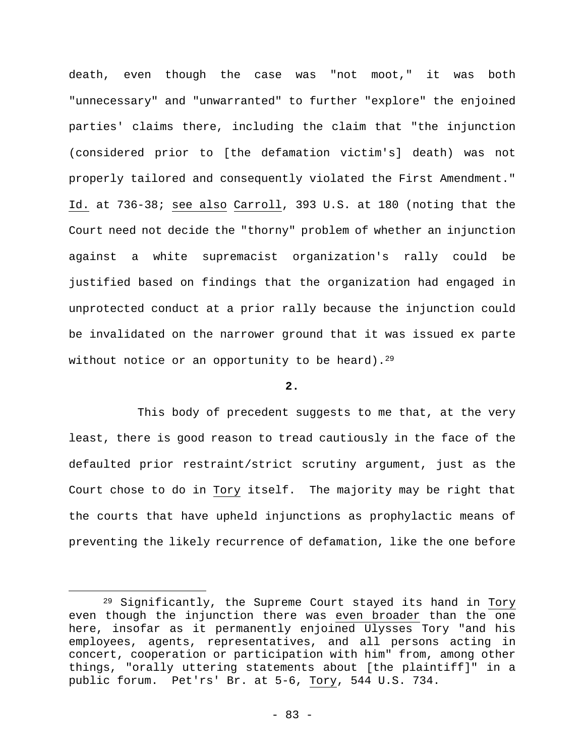death, even though the case was "not moot," it was both "unnecessary" and "unwarranted" to further "explore" the enjoined parties' claims there, including the claim that "the injunction (considered prior to [the defamation victim's] death) was not properly tailored and consequently violated the First Amendment." Id. at 736-38; see also Carroll, 393 U.S. at 180 (noting that the Court need not decide the "thorny" problem of whether an injunction against a white supremacist organization's rally could be justified based on findings that the organization had engaged in unprotected conduct at a prior rally because the injunction could be invalidated on the narrower ground that it was issued ex parte without notice or an opportunity to be heard).<sup>29</sup>

#### **2.**

This body of precedent suggests to me that, at the very least, there is good reason to tread cautiously in the face of the defaulted prior restraint/strict scrutiny argument, just as the Court chose to do in Tory itself. The majority may be right that the courts that have upheld injunctions as prophylactic means of preventing the likely recurrence of defamation, like the one before

<sup>29</sup> Significantly, the Supreme Court stayed its hand in Tory even though the injunction there was even broader than the one here, insofar as it permanently enjoined Ulysses Tory "and his employees, agents, representatives, and all persons acting in concert, cooperation or participation with him" from, among other things, "orally uttering statements about [the plaintiff]" in a public forum. Pet'rs' Br. at 5-6, Tory, 544 U.S. 734.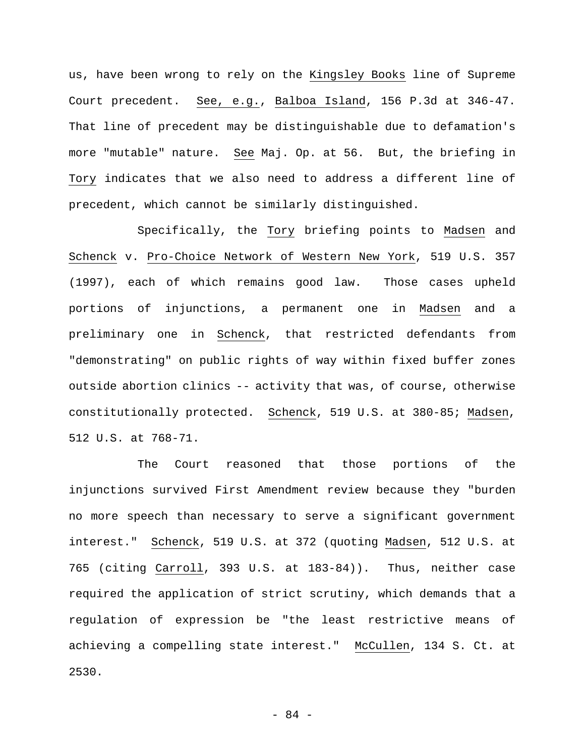us, have been wrong to rely on the Kingsley Books line of Supreme Court precedent. See, e.g., Balboa Island, 156 P.3d at 346-47. That line of precedent may be distinguishable due to defamation's more "mutable" nature. See Maj. Op. at 56. But, the briefing in Tory indicates that we also need to address a different line of precedent, which cannot be similarly distinguished.

Specifically, the Tory briefing points to Madsen and Schenck v. Pro-Choice Network of Western New York, 519 U.S. 357 (1997), each of which remains good law. Those cases upheld portions of injunctions, a permanent one in Madsen and a preliminary one in Schenck, that restricted defendants from "demonstrating" on public rights of way within fixed buffer zones outside abortion clinics -- activity that was, of course, otherwise constitutionally protected. Schenck, 519 U.S. at 380-85; Madsen, 512 U.S. at 768-71.

The Court reasoned that those portions of the injunctions survived First Amendment review because they "burden no more speech than necessary to serve a significant government interest." Schenck, 519 U.S. at 372 (quoting Madsen, 512 U.S. at 765 (citing Carroll, 393 U.S. at 183-84)). Thus, neither case required the application of strict scrutiny, which demands that a regulation of expression be "the least restrictive means of achieving a compelling state interest." McCullen, 134 S. Ct. at 2530.

- 84 -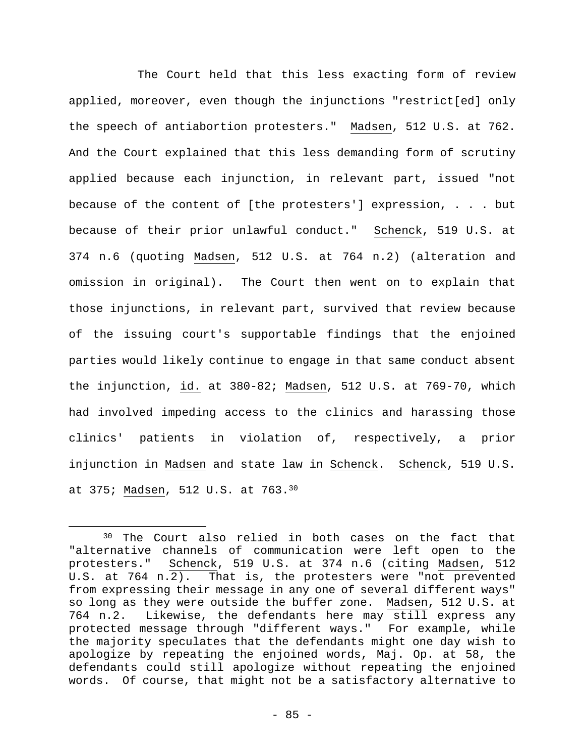The Court held that this less exacting form of review applied, moreover, even though the injunctions "restrict[ed] only the speech of antiabortion protesters." Madsen, 512 U.S. at 762. And the Court explained that this less demanding form of scrutiny applied because each injunction, in relevant part, issued "not because of the content of [the protesters'] expression, . . . but because of their prior unlawful conduct." Schenck, 519 U.S. at 374 n.6 (quoting Madsen, 512 U.S. at 764 n.2) (alteration and omission in original). The Court then went on to explain that those injunctions, in relevant part, survived that review because of the issuing court's supportable findings that the enjoined parties would likely continue to engage in that same conduct absent the injunction, id. at 380-82; Madsen, 512 U.S. at 769-70, which had involved impeding access to the clinics and harassing those clinics' patients in violation of, respectively, a prior injunction in Madsen and state law in Schenck. Schenck, 519 U.S. at 375; Madsen, 512 U.S. at 763.30

<sup>30</sup> The Court also relied in both cases on the fact that "alternative channels of communication were left open to the protesters." Schenck, 519 U.S. at 374 n.6 (citing Madsen, 512 U.S. at 764 n.2). That is, the protesters were "not prevented from expressing their message in any one of several different ways" so long as they were outside the buffer zone. Madsen, 512 U.S. at 764 n.2. Likewise, the defendants here may still express any protected message through "different ways." For example, while the majority speculates that the defendants might one day wish to apologize by repeating the enjoined words, Maj. Op. at 58, the defendants could still apologize without repeating the enjoined words. Of course, that might not be a satisfactory alternative to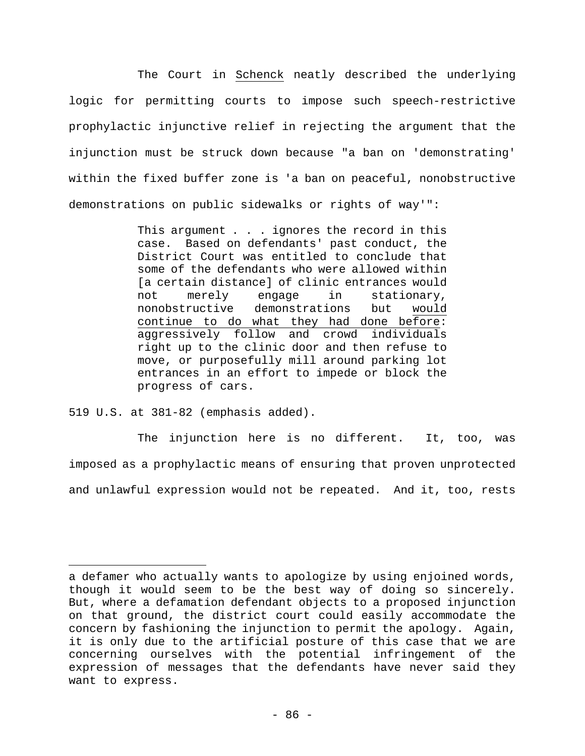The Court in Schenck neatly described the underlying logic for permitting courts to impose such speech-restrictive prophylactic injunctive relief in rejecting the argument that the injunction must be struck down because "a ban on 'demonstrating' within the fixed buffer zone is 'a ban on peaceful, nonobstructive demonstrations on public sidewalks or rights of way'":

> This argument . . . ignores the record in this case. Based on defendants' past conduct, the District Court was entitled to conclude that some of the defendants who were allowed within [a certain distance] of clinic entrances would not merely engage in stationary, nonobstructive demonstrations but would continue to do what they had done before: aggressively follow and crowd individuals right up to the clinic door and then refuse to move, or purposefully mill around parking lot entrances in an effort to impede or block the progress of cars.

519 U.S. at 381-82 (emphasis added).

 $\overline{a}$ 

The injunction here is no different. It, too, was imposed as a prophylactic means of ensuring that proven unprotected and unlawful expression would not be repeated. And it, too, rests

a defamer who actually wants to apologize by using enjoined words, though it would seem to be the best way of doing so sincerely. But, where a defamation defendant objects to a proposed injunction on that ground, the district court could easily accommodate the concern by fashioning the injunction to permit the apology. Again, it is only due to the artificial posture of this case that we are concerning ourselves with the potential infringement of the expression of messages that the defendants have never said they want to express.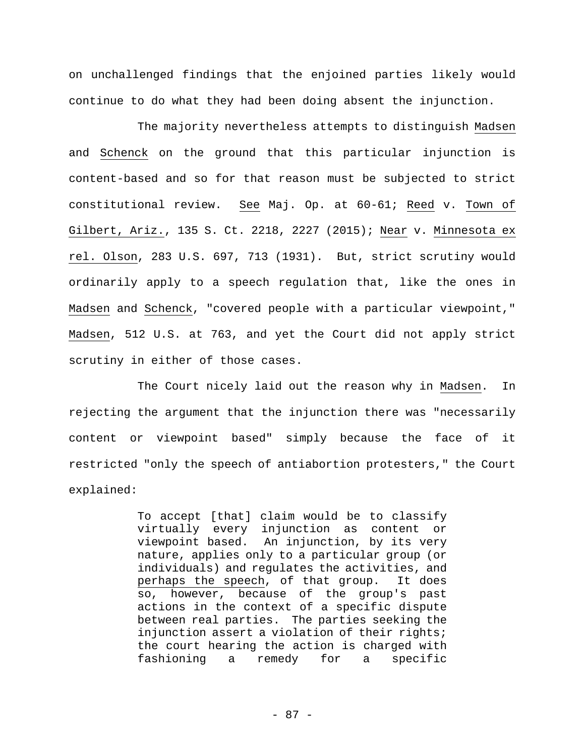on unchallenged findings that the enjoined parties likely would continue to do what they had been doing absent the injunction.

The majority nevertheless attempts to distinguish Madsen and Schenck on the ground that this particular injunction is content-based and so for that reason must be subjected to strict constitutional review. See Maj. Op. at 60-61; Reed v. Town of Gilbert, Ariz., 135 S. Ct. 2218, 2227 (2015); Near v. Minnesota ex rel. Olson, 283 U.S. 697, 713 (1931). But, strict scrutiny would ordinarily apply to a speech regulation that, like the ones in Madsen and Schenck, "covered people with a particular viewpoint," Madsen, 512 U.S. at 763, and yet the Court did not apply strict scrutiny in either of those cases.

The Court nicely laid out the reason why in Madsen. In rejecting the argument that the injunction there was "necessarily content or viewpoint based" simply because the face of it restricted "only the speech of antiabortion protesters," the Court explained:

> To accept [that] claim would be to classify virtually every injunction as content or viewpoint based. An injunction, by its very nature, applies only to a particular group (or individuals) and regulates the activities, and perhaps the speech, of that group. It does so, however, because of the group's past actions in the context of a specific dispute between real parties. The parties seeking the injunction assert a violation of their rights; the court hearing the action is charged with fashioning a remedy for a specific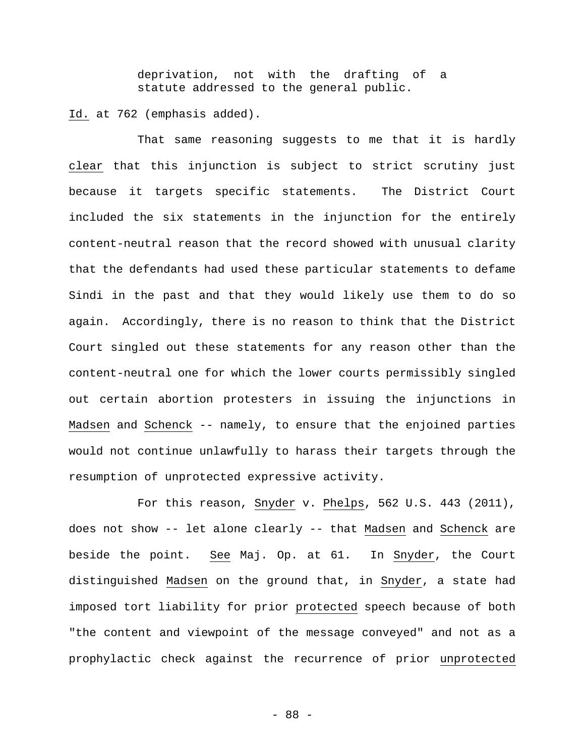deprivation, not with the drafting of a statute addressed to the general public.

Id. at 762 (emphasis added).

That same reasoning suggests to me that it is hardly clear that this injunction is subject to strict scrutiny just because it targets specific statements. The District Court included the six statements in the injunction for the entirely content-neutral reason that the record showed with unusual clarity that the defendants had used these particular statements to defame Sindi in the past and that they would likely use them to do so again. Accordingly, there is no reason to think that the District Court singled out these statements for any reason other than the content-neutral one for which the lower courts permissibly singled out certain abortion protesters in issuing the injunctions in Madsen and Schenck -- namely, to ensure that the enjoined parties would not continue unlawfully to harass their targets through the resumption of unprotected expressive activity.

For this reason, Snyder v. Phelps, 562 U.S. 443 (2011), does not show -- let alone clearly -- that Madsen and Schenck are beside the point. See Maj. Op. at 61. In Snyder, the Court distinguished Madsen on the ground that, in Snyder, a state had imposed tort liability for prior protected speech because of both "the content and viewpoint of the message conveyed" and not as a prophylactic check against the recurrence of prior unprotected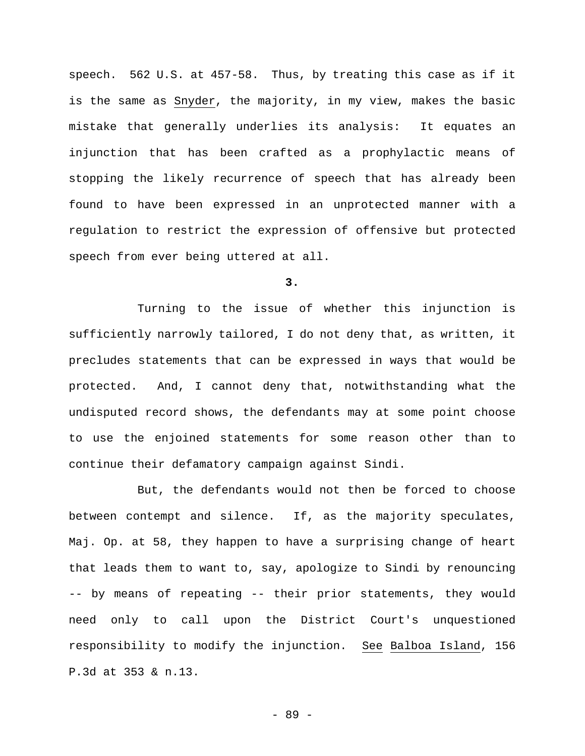speech. 562 U.S. at 457-58. Thus, by treating this case as if it is the same as Snyder, the majority, in my view, makes the basic mistake that generally underlies its analysis: It equates an injunction that has been crafted as a prophylactic means of stopping the likely recurrence of speech that has already been found to have been expressed in an unprotected manner with a regulation to restrict the expression of offensive but protected speech from ever being uttered at all.

**3.** 

Turning to the issue of whether this injunction is sufficiently narrowly tailored, I do not deny that, as written, it precludes statements that can be expressed in ways that would be protected. And, I cannot deny that, notwithstanding what the undisputed record shows, the defendants may at some point choose to use the enjoined statements for some reason other than to continue their defamatory campaign against Sindi.

But, the defendants would not then be forced to choose between contempt and silence. If, as the majority speculates, Maj. Op. at 58, they happen to have a surprising change of heart that leads them to want to, say, apologize to Sindi by renouncing -- by means of repeating -- their prior statements, they would need only to call upon the District Court's unquestioned responsibility to modify the injunction. See Balboa Island, 156 P.3d at 353 & n.13.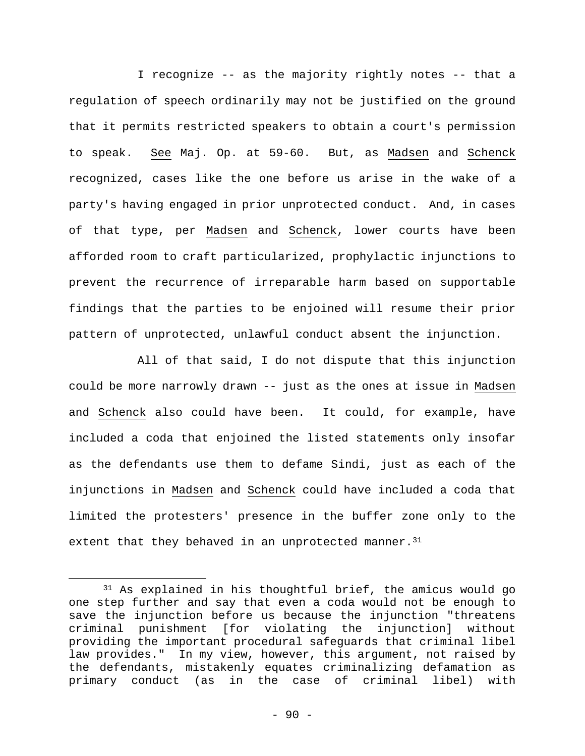I recognize -- as the majority rightly notes -- that a regulation of speech ordinarily may not be justified on the ground that it permits restricted speakers to obtain a court's permission to speak. See Maj. Op. at 59-60. But, as Madsen and Schenck recognized, cases like the one before us arise in the wake of a party's having engaged in prior unprotected conduct. And, in cases of that type, per Madsen and Schenck, lower courts have been afforded room to craft particularized, prophylactic injunctions to prevent the recurrence of irreparable harm based on supportable findings that the parties to be enjoined will resume their prior pattern of unprotected, unlawful conduct absent the injunction.

All of that said, I do not dispute that this injunction could be more narrowly drawn -- just as the ones at issue in Madsen and Schenck also could have been. It could, for example, have included a coda that enjoined the listed statements only insofar as the defendants use them to defame Sindi, just as each of the injunctions in Madsen and Schenck could have included a coda that limited the protesters' presence in the buffer zone only to the extent that they behaved in an unprotected manner.  $31$ 

<sup>31</sup> As explained in his thoughtful brief, the amicus would go one step further and say that even a coda would not be enough to save the injunction before us because the injunction "threatens criminal punishment [for violating the injunction] without providing the important procedural safeguards that criminal libel law provides." In my view, however, this argument, not raised by the defendants, mistakenly equates criminalizing defamation as primary conduct (as in the case of criminal libel) with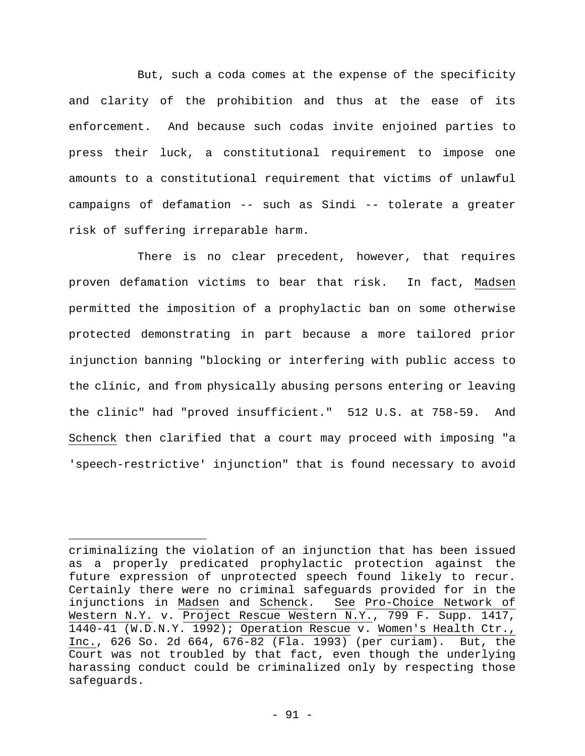But, such a coda comes at the expense of the specificity and clarity of the prohibition and thus at the ease of its enforcement. And because such codas invite enjoined parties to press their luck, a constitutional requirement to impose one amounts to a constitutional requirement that victims of unlawful campaigns of defamation -- such as Sindi -- tolerate a greater risk of suffering irreparable harm.

There is no clear precedent, however, that requires proven defamation victims to bear that risk. In fact, Madsen permitted the imposition of a prophylactic ban on some otherwise protected demonstrating in part because a more tailored prior injunction banning "blocking or interfering with public access to the clinic, and from physically abusing persons entering or leaving the clinic" had "proved insufficient." 512 U.S. at 758-59. And Schenck then clarified that a court may proceed with imposing "a 'speech-restrictive' injunction" that is found necessary to avoid

criminalizing the violation of an injunction that has been issued as a properly predicated prophylactic protection against the future expression of unprotected speech found likely to recur. Certainly there were no criminal safeguards provided for in the injunctions in Madsen and Schenck. See Pro-Choice Network of Western N.Y. v. Project Rescue Western N.Y., 799 F. Supp. 1417, 1440-41 (W.D.N.Y. 1992); Operation Rescue v. Women's Health Ctr., Inc., 626 So. 2d 664, 676-82 (Fla. 1993) (per curiam). But, the Court was not troubled by that fact, even though the underlying harassing conduct could be criminalized only by respecting those safeguards.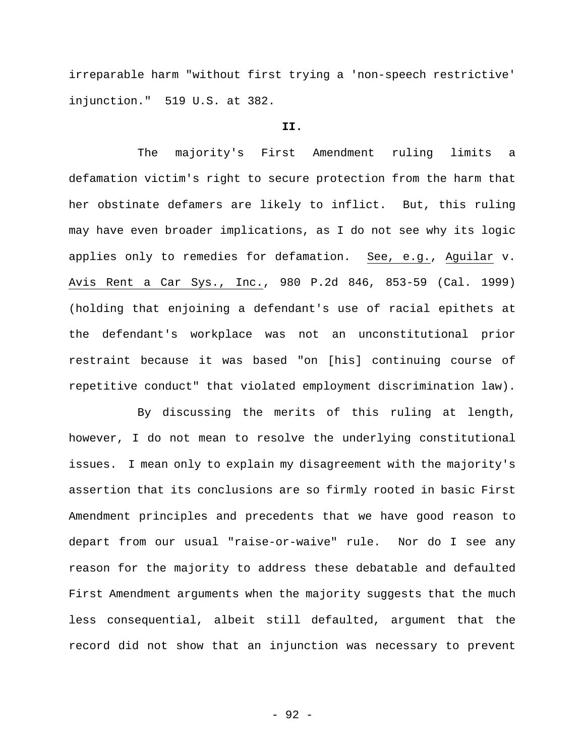irreparable harm "without first trying a 'non-speech restrictive' injunction." 519 U.S. at 382.

#### **II.**

The majority's First Amendment ruling limits a defamation victim's right to secure protection from the harm that her obstinate defamers are likely to inflict. But, this ruling may have even broader implications, as I do not see why its logic applies only to remedies for defamation. See, e.g., Aguilar v. Avis Rent a Car Sys., Inc., 980 P.2d 846, 853-59 (Cal. 1999) (holding that enjoining a defendant's use of racial epithets at the defendant's workplace was not an unconstitutional prior restraint because it was based "on [his] continuing course of repetitive conduct" that violated employment discrimination law).

By discussing the merits of this ruling at length, however, I do not mean to resolve the underlying constitutional issues. I mean only to explain my disagreement with the majority's assertion that its conclusions are so firmly rooted in basic First Amendment principles and precedents that we have good reason to depart from our usual "raise-or-waive" rule. Nor do I see any reason for the majority to address these debatable and defaulted First Amendment arguments when the majority suggests that the much less consequential, albeit still defaulted, argument that the record did not show that an injunction was necessary to prevent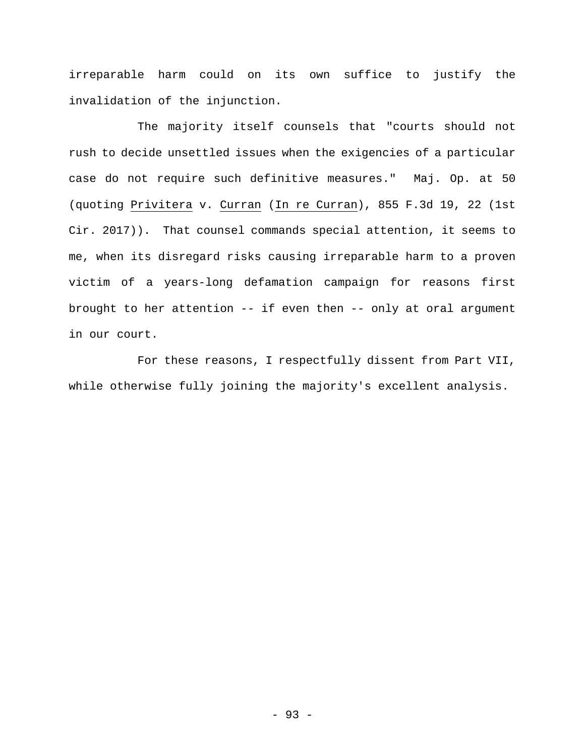irreparable harm could on its own suffice to justify the invalidation of the injunction.

The majority itself counsels that "courts should not rush to decide unsettled issues when the exigencies of a particular case do not require such definitive measures." Maj. Op. at 50 (quoting Privitera v. Curran (In re Curran), 855 F.3d 19, 22 (1st Cir. 2017)). That counsel commands special attention, it seems to me, when its disregard risks causing irreparable harm to a proven victim of a years-long defamation campaign for reasons first brought to her attention -- if even then -- only at oral argument in our court.

For these reasons, I respectfully dissent from Part VII, while otherwise fully joining the majority's excellent analysis.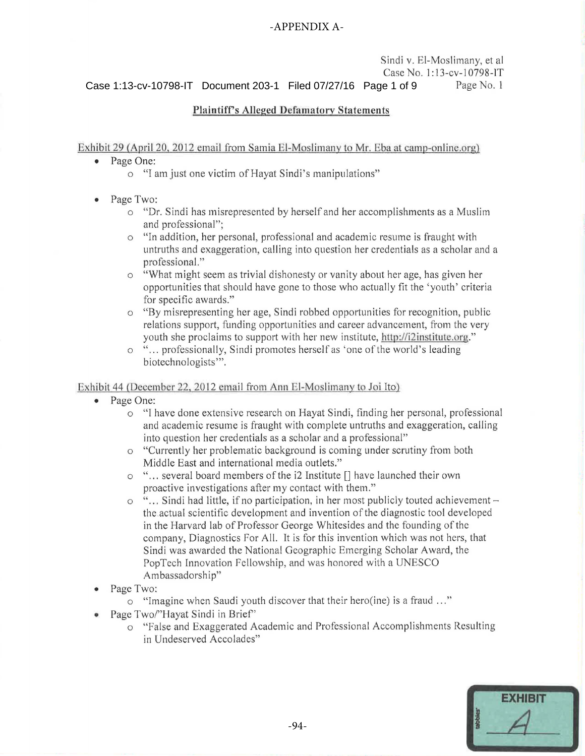#### -APPENDIX A-

Sindi v. El-Moslimany, et al. Case No. 1 :13-cv-10798-IT Page No. 1 Case 1:13-cv-10798-IT Document 203-1 Filed 07/27/16 Page 1 of 9

#### **Plaintiff's Alleged Defamatory Statements**

Exhibit 29 (April 20, 2012 email from Samia El-Moslimany to Mr. Eba at camp-online.org)

- Page One:
	- o "I am just one victim of Hayat Sindi's manipulations"
- Page Two:
	- o "Dr. Sindi has misrepresented by herself and her accomplishments as a Muslim and professional";
	- o "In addition, her personal, professional and academic resume is fraught with untruths and exaggeration, calling into question her credentials as a scholar and a professional."
	- "What might seem as trivial dishonesty or vanity about her age, has given her opportunities that should have gone to those who actually fit the 'youth' criteria for specific awards."
	- o "By misrepresenting her age, Sindi robbed opportunities for recognition, public relations support, funding opportunities and career advancement, from the very youth she proclaims to support with her new institute, http://i2institute.org."
	- o " ... professionally, Sindi promotes herself as 'one of the world's leading biotechnologists'".

#### Exhibit 44 (December 22, 2012 email from Ann El-Moslimany to Joi Ito)

- Page One:
	- o "I have done extensive research on Hayat Sindi, finding her personal, professional and academic resume is fraught with complete untruths and exaggeration, calling into question her credentials as a scholar and a professional"
	- o "Currently her problematic background is coming under scrutiny from both Middle East and international media outlets."
	- o " ... several board members of the i2 Institute [] have launched their own proactive investigations after my contact with them."
	- o "... Sindi had little, if no participation, in her most publicly touted achievement the .actual scientific development and invention of the diagnostic tool developed in the Harvard lab of Professor George Whitesides and the founding of the company, Diagnostics For All. It is for this invention which was not hers, that Sindi was awarded the National Geographic Emerging Scholar Award, the PopTech Innovation Fellowship, and was honored with a UNESCO Ambassadorship"
- Page Two:
	- o "Imagine when Saudi youth discover that their hero(ine) is a fraud ... "
- Page Two/"Hayat Sindi in Brief"
	- o "False and Exaggerated Academic and Professional Accomplishments Resulting in Undeserved Accolades"

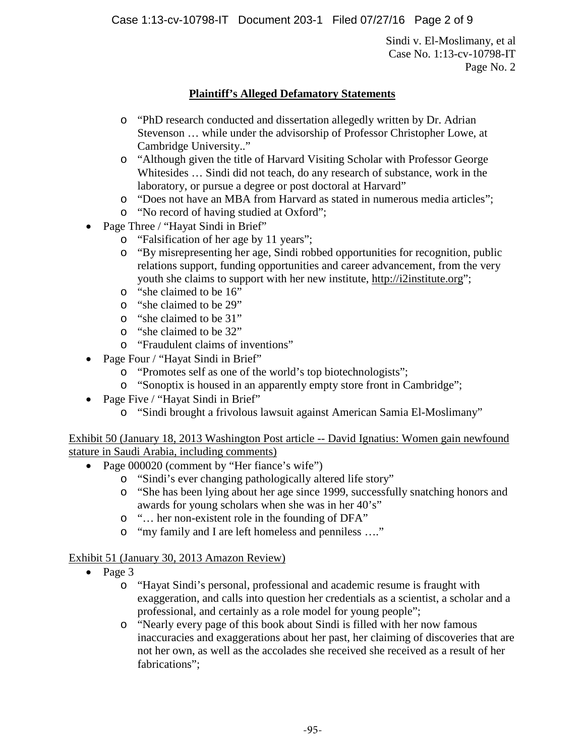Case 1:13-cv-10798-IT Document 203-1 Filed 07/27/16 Page 2 of 9

Sindi v. El-Moslimany, et al Case No. 1:13-cv-10798-IT Page No. 2

# **Plaintiff's Alleged Defamatory Statements**

- o "PhD research conducted and dissertation allegedly written by Dr. Adrian Stevenson … while under the advisorship of Professor Christopher Lowe, at Cambridge University.."
- o "Although given the title of Harvard Visiting Scholar with Professor George Whitesides … Sindi did not teach, do any research of substance, work in the laboratory, or pursue a degree or post doctoral at Harvard"
- o "Does not have an MBA from Harvard as stated in numerous media articles";
- o "No record of having studied at Oxford";
- Page Three / "Hayat Sindi in Brief"
	- o "Falsification of her age by 11 years";
	- o "By misrepresenting her age, Sindi robbed opportunities for recognition, public relations support, funding opportunities and career advancement, from the very youth she claims to support with her new institute, http://i2institute.org";
	- o "she claimed to be 16"
	- o "she claimed to be 29"
	- o "she claimed to be 31"
	- o "she claimed to be 32"
	- o "Fraudulent claims of inventions"
- Page Four / "Hayat Sindi in Brief"
	- o "Promotes self as one of the world's top biotechnologists";
	- o "Sonoptix is housed in an apparently empty store front in Cambridge";
- Page Five / "Hayat Sindi in Brief"
	- o "Sindi brought a frivolous lawsuit against American Samia El-Moslimany"

Exhibit 50 (January 18, 2013 Washington Post article -- David Ignatius: Women gain newfound stature in Saudi Arabia, including comments)

- Page 000020 (comment by "Her fiance's wife")
	- o "Sindi's ever changing pathologically altered life story"
	- o "She has been lying about her age since 1999, successfully snatching honors and awards for young scholars when she was in her 40's"
	- o "… her non-existent role in the founding of DFA"
	- o "my family and I are left homeless and penniless …."

### Exhibit 51 (January 30, 2013 Amazon Review)

- Page 3
	- o "Hayat Sindi's personal, professional and academic resume is fraught with exaggeration, and calls into question her credentials as a scientist, a scholar and a professional, and certainly as a role model for young people";
	- o "Nearly every page of this book about Sindi is filled with her now famous inaccuracies and exaggerations about her past, her claiming of discoveries that are not her own, as well as the accolades she received she received as a result of her fabrications";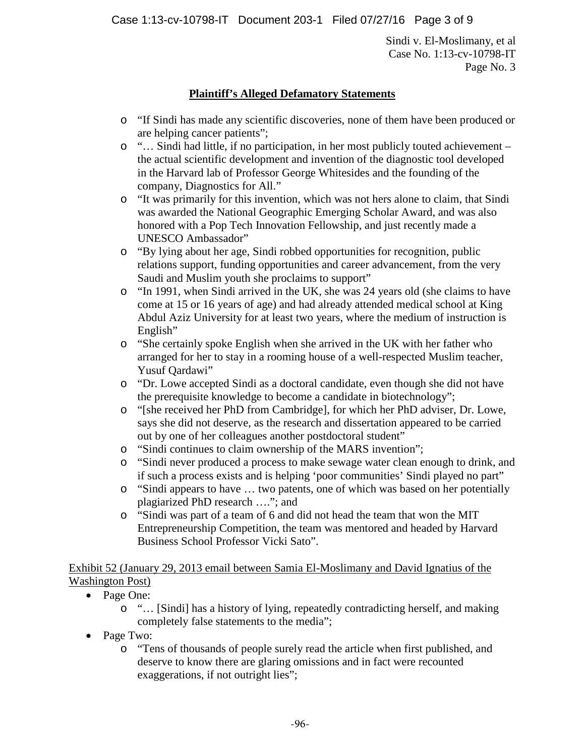Case 1:13-cv-10798-IT Document 203-1 Filed 07/27/16 Page 3 of 9

Sindi v. El-Moslimany, et al Case No. 1:13-cv-10798-IT Page No. 3

# **Plaintiff's Alleged Defamatory Statements**

- o "If Sindi has made any scientific discoveries, none of them have been produced or are helping cancer patients";
- o "… Sindi had little, if no participation, in her most publicly touted achievement the actual scientific development and invention of the diagnostic tool developed in the Harvard lab of Professor George Whitesides and the founding of the company, Diagnostics for All."
- o "It was primarily for this invention, which was not hers alone to claim, that Sindi was awarded the National Geographic Emerging Scholar Award, and was also honored with a Pop Tech Innovation Fellowship, and just recently made a UNESCO Ambassador"
- o "By lying about her age, Sindi robbed opportunities for recognition, public relations support, funding opportunities and career advancement, from the very Saudi and Muslim youth she proclaims to support"
- o "In 1991, when Sindi arrived in the UK, she was 24 years old (she claims to have come at 15 or 16 years of age) and had already attended medical school at King Abdul Aziz University for at least two years, where the medium of instruction is English"
- o "She certainly spoke English when she arrived in the UK with her father who arranged for her to stay in a rooming house of a well-respected Muslim teacher, Yusuf Oardawi"
- o "Dr. Lowe accepted Sindi as a doctoral candidate, even though she did not have the prerequisite knowledge to become a candidate in biotechnology";
- o "[she received her PhD from Cambridge], for which her PhD adviser, Dr. Lowe, says she did not deserve, as the research and dissertation appeared to be carried out by one of her colleagues another postdoctoral student"
- o "Sindi continues to claim ownership of the MARS invention";
- o "Sindi never produced a process to make sewage water clean enough to drink, and if such a process exists and is helping 'poor communities' Sindi played no part"
- o "Sindi appears to have … two patents, one of which was based on her potentially plagiarized PhD research …."; and
- o "Sindi was part of a team of 6 and did not head the team that won the MIT Entrepreneurship Competition, the team was mentored and headed by Harvard Business School Professor Vicki Sato".

Exhibit 52 (January 29, 2013 email between Samia El-Moslimany and David Ignatius of the Washington Post)

- Page One:
	- o "… [Sindi] has a history of lying, repeatedly contradicting herself, and making completely false statements to the media";
- Page Two:
	- o "Tens of thousands of people surely read the article when first published, and deserve to know there are glaring omissions and in fact were recounted exaggerations, if not outright lies";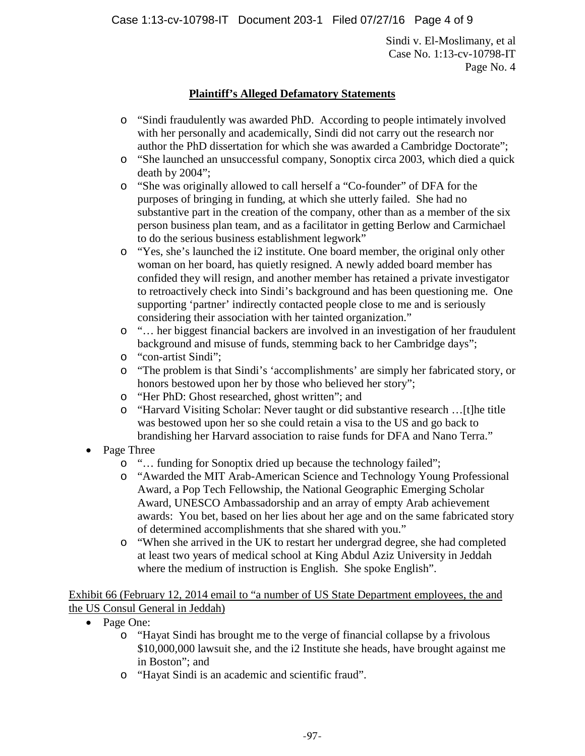Case 1:13-cv-10798-IT Document 203-1 Filed 07/27/16 Page 4 of 9

Sindi v. El-Moslimany, et al Case No. 1:13-cv-10798-IT Page No. 4

# **Plaintiff's Alleged Defamatory Statements**

- o "Sindi fraudulently was awarded PhD. According to people intimately involved with her personally and academically, Sindi did not carry out the research nor author the PhD dissertation for which she was awarded a Cambridge Doctorate";
- o "She launched an unsuccessful company, Sonoptix circa 2003, which died a quick death by 2004";
- o "She was originally allowed to call herself a "Co-founder" of DFA for the purposes of bringing in funding, at which she utterly failed. She had no substantive part in the creation of the company, other than as a member of the six person business plan team, and as a facilitator in getting Berlow and Carmichael to do the serious business establishment legwork"
- o "Yes, she's launched the i2 institute. One board member, the original only other woman on her board, has quietly resigned. A newly added board member has confided they will resign, and another member has retained a private investigator to retroactively check into Sindi's background and has been questioning me. One supporting 'partner' indirectly contacted people close to me and is seriously considering their association with her tainted organization."
- o "… her biggest financial backers are involved in an investigation of her fraudulent background and misuse of funds, stemming back to her Cambridge days";
- o "con-artist Sindi";
- o "The problem is that Sindi's 'accomplishments' are simply her fabricated story, or honors bestowed upon her by those who believed her story";
- o "Her PhD: Ghost researched, ghost written"; and
- o "Harvard Visiting Scholar: Never taught or did substantive research …[t]he title was bestowed upon her so she could retain a visa to the US and go back to brandishing her Harvard association to raise funds for DFA and Nano Terra."
- Page Three
	- o "… funding for Sonoptix dried up because the technology failed";
	- o "Awarded the MIT Arab-American Science and Technology Young Professional Award, a Pop Tech Fellowship, the National Geographic Emerging Scholar Award, UNESCO Ambassadorship and an array of empty Arab achievement awards: You bet, based on her lies about her age and on the same fabricated story of determined accomplishments that she shared with you."
	- o "When she arrived in the UK to restart her undergrad degree, she had completed at least two years of medical school at King Abdul Aziz University in Jeddah where the medium of instruction is English. She spoke English".

Exhibit 66 (February 12, 2014 email to "a number of US State Department employees, the and the US Consul General in Jeddah)

- Page One:
	- o "Hayat Sindi has brought me to the verge of financial collapse by a frivolous \$10,000,000 lawsuit she, and the i2 Institute she heads, have brought against me in Boston"; and
	- o "Hayat Sindi is an academic and scientific fraud".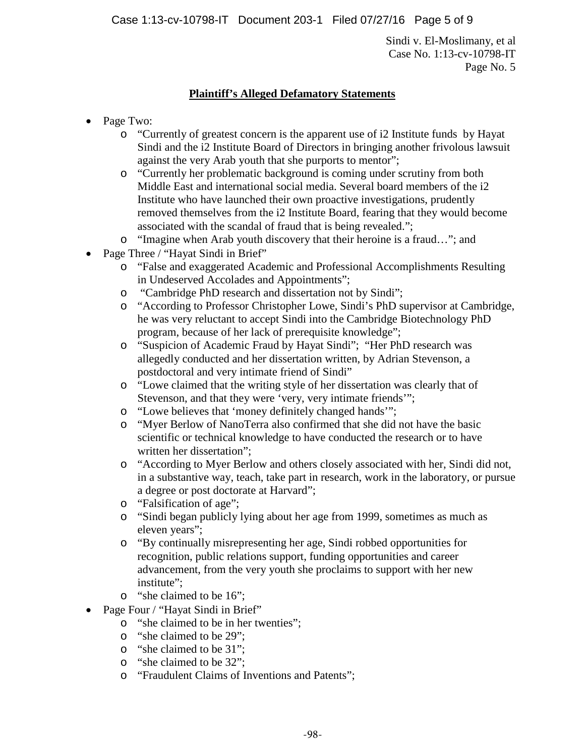Case 1:13-cv-10798-IT Document 203-1 Filed 07/27/16 Page 5 of 9

Sindi v. El-Moslimany, et al Case No. 1:13-cv-10798-IT Page No. 5

# **Plaintiff's Alleged Defamatory Statements**

- Page Two:
	- o "Currently of greatest concern is the apparent use of i2 Institute funds by Hayat Sindi and the i2 Institute Board of Directors in bringing another frivolous lawsuit against the very Arab youth that she purports to mentor";
	- o "Currently her problematic background is coming under scrutiny from both Middle East and international social media. Several board members of the i2 Institute who have launched their own proactive investigations, prudently removed themselves from the i2 Institute Board, fearing that they would become associated with the scandal of fraud that is being revealed.";
	- o "Imagine when Arab youth discovery that their heroine is a fraud…"; and
- Page Three / "Hayat Sindi in Brief"
	- o "False and exaggerated Academic and Professional Accomplishments Resulting in Undeserved Accolades and Appointments";
	- o "Cambridge PhD research and dissertation not by Sindi";
	- o "According to Professor Christopher Lowe, Sindi's PhD supervisor at Cambridge, he was very reluctant to accept Sindi into the Cambridge Biotechnology PhD program, because of her lack of prerequisite knowledge";
	- o "Suspicion of Academic Fraud by Hayat Sindi"; "Her PhD research was allegedly conducted and her dissertation written, by Adrian Stevenson, a postdoctoral and very intimate friend of Sindi"
	- o "Lowe claimed that the writing style of her dissertation was clearly that of Stevenson, and that they were 'very, very intimate friends'";
	- o "Lowe believes that 'money definitely changed hands'";
	- o "Myer Berlow of NanoTerra also confirmed that she did not have the basic scientific or technical knowledge to have conducted the research or to have written her dissertation";
	- o "According to Myer Berlow and others closely associated with her, Sindi did not, in a substantive way, teach, take part in research, work in the laboratory, or pursue a degree or post doctorate at Harvard";
	- o "Falsification of age";
	- o "Sindi began publicly lying about her age from 1999, sometimes as much as eleven years";
	- o "By continually misrepresenting her age, Sindi robbed opportunities for recognition, public relations support, funding opportunities and career advancement, from the very youth she proclaims to support with her new institute";
	- o "she claimed to be 16";
- Page Four / "Hayat Sindi in Brief"
	- o "she claimed to be in her twenties";
	- o "she claimed to be 29";
	- o "she claimed to be 31";
	- o "she claimed to be 32";
	- o "Fraudulent Claims of Inventions and Patents";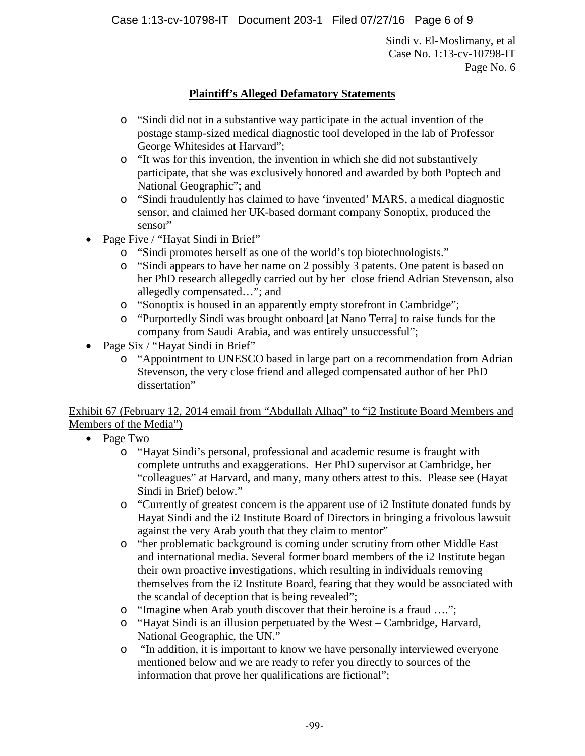Case 1:13-cv-10798-IT Document 203-1 Filed 07/27/16 Page 6 of 9

Sindi v. El-Moslimany, et al Case No. 1:13-cv-10798-IT Page No. 6

# **Plaintiff's Alleged Defamatory Statements**

- o "Sindi did not in a substantive way participate in the actual invention of the postage stamp-sized medical diagnostic tool developed in the lab of Professor George Whitesides at Harvard";
- o "It was for this invention, the invention in which she did not substantively participate, that she was exclusively honored and awarded by both Poptech and National Geographic"; and
- o "Sindi fraudulently has claimed to have 'invented' MARS, a medical diagnostic sensor, and claimed her UK-based dormant company Sonoptix, produced the sensor"
- Page Five / "Hayat Sindi in Brief"
	- o "Sindi promotes herself as one of the world's top biotechnologists."
	- o "Sindi appears to have her name on 2 possibly 3 patents. One patent is based on her PhD research allegedly carried out by her close friend Adrian Stevenson, also allegedly compensated…"; and
	- o "Sonoptix is housed in an apparently empty storefront in Cambridge";
	- o "Purportedly Sindi was brought onboard [at Nano Terra] to raise funds for the company from Saudi Arabia, and was entirely unsuccessful";
- Page Six / "Hayat Sindi in Brief"
	- o "Appointment to UNESCO based in large part on a recommendation from Adrian Stevenson, the very close friend and alleged compensated author of her PhD dissertation"

Exhibit 67 (February 12, 2014 email from "Abdullah Alhaq" to "i2 Institute Board Members and Members of the Media")

- Page Two
	- o "Hayat Sindi's personal, professional and academic resume is fraught with complete untruths and exaggerations. Her PhD supervisor at Cambridge, her "colleagues" at Harvard, and many, many others attest to this. Please see (Hayat Sindi in Brief) below."
	- o "Currently of greatest concern is the apparent use of i2 Institute donated funds by Hayat Sindi and the i2 Institute Board of Directors in bringing a frivolous lawsuit against the very Arab youth that they claim to mentor"
	- o "her problematic background is coming under scrutiny from other Middle East and international media. Several former board members of the i2 Institute began their own proactive investigations, which resulting in individuals removing themselves from the i2 Institute Board, fearing that they would be associated with the scandal of deception that is being revealed";
	- o "Imagine when Arab youth discover that their heroine is a fraud ….";
	- o "Hayat Sindi is an illusion perpetuated by the West Cambridge, Harvard, National Geographic, the UN."
	- o "In addition, it is important to know we have personally interviewed everyone mentioned below and we are ready to refer you directly to sources of the information that prove her qualifications are fictional";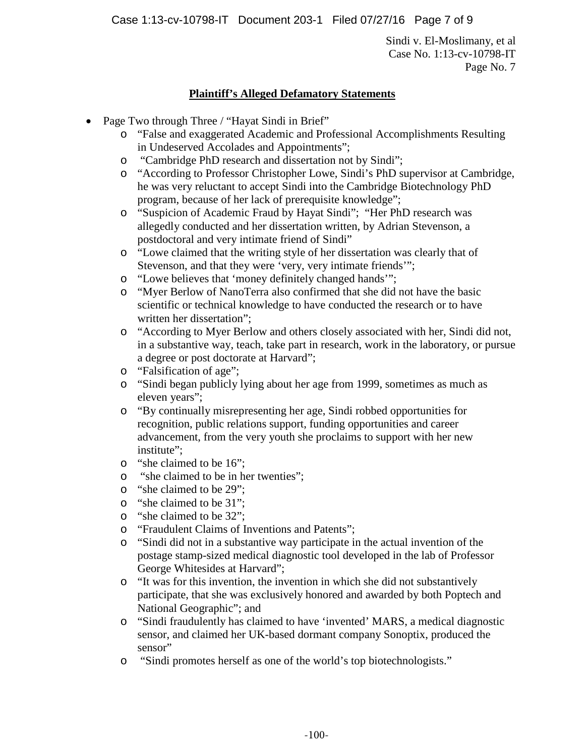Case 1:13-cv-10798-IT Document 203-1 Filed 07/27/16 Page 7 of 9

Sindi v. El-Moslimany, et al Case No. 1:13-cv-10798-IT Page No. 7

# **Plaintiff's Alleged Defamatory Statements**

- Page Two through Three / "Hayat Sindi in Brief"
	- o "False and exaggerated Academic and Professional Accomplishments Resulting in Undeserved Accolades and Appointments";
	- o "Cambridge PhD research and dissertation not by Sindi";
	- o "According to Professor Christopher Lowe, Sindi's PhD supervisor at Cambridge, he was very reluctant to accept Sindi into the Cambridge Biotechnology PhD program, because of her lack of prerequisite knowledge";
	- o "Suspicion of Academic Fraud by Hayat Sindi"; "Her PhD research was allegedly conducted and her dissertation written, by Adrian Stevenson, a postdoctoral and very intimate friend of Sindi"
	- o "Lowe claimed that the writing style of her dissertation was clearly that of Stevenson, and that they were 'very, very intimate friends'";
	- o "Lowe believes that 'money definitely changed hands'";
	- o "Myer Berlow of NanoTerra also confirmed that she did not have the basic scientific or technical knowledge to have conducted the research or to have written her dissertation";
	- o "According to Myer Berlow and others closely associated with her, Sindi did not, in a substantive way, teach, take part in research, work in the laboratory, or pursue a degree or post doctorate at Harvard";
	- o "Falsification of age";
	- o "Sindi began publicly lying about her age from 1999, sometimes as much as eleven years";
	- o "By continually misrepresenting her age, Sindi robbed opportunities for recognition, public relations support, funding opportunities and career advancement, from the very youth she proclaims to support with her new institute";
	- o "she claimed to be 16";
	- o "she claimed to be in her twenties";
	- o "she claimed to be 29";
	- o "she claimed to be 31";
	- o "she claimed to be 32";
	- o "Fraudulent Claims of Inventions and Patents";
	- o "Sindi did not in a substantive way participate in the actual invention of the postage stamp-sized medical diagnostic tool developed in the lab of Professor George Whitesides at Harvard";
	- o "It was for this invention, the invention in which she did not substantively participate, that she was exclusively honored and awarded by both Poptech and National Geographic"; and
	- o "Sindi fraudulently has claimed to have 'invented' MARS, a medical diagnostic sensor, and claimed her UK-based dormant company Sonoptix, produced the sensor"
	- o "Sindi promotes herself as one of the world's top biotechnologists."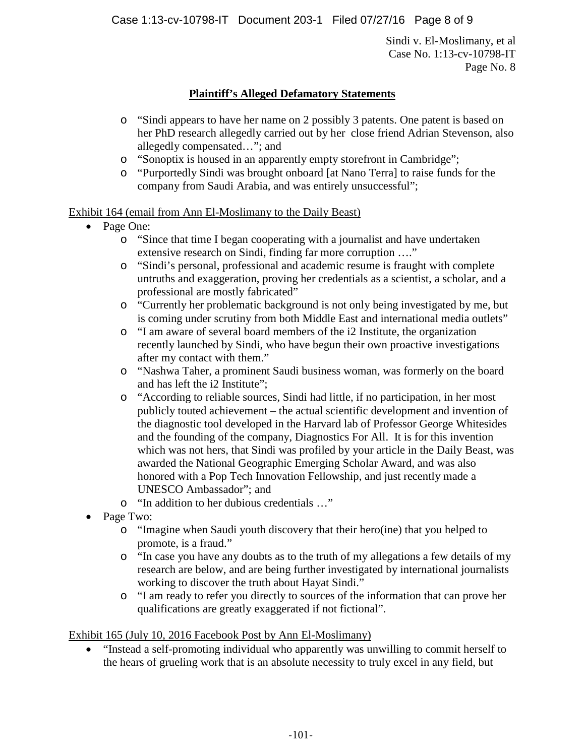Case 1:13-cv-10798-IT Document 203-1 Filed 07/27/16 Page 8 of 9

Sindi v. El-Moslimany, et al Case No. 1:13-cv-10798-IT Page No. 8

# **Plaintiff's Alleged Defamatory Statements**

- o "Sindi appears to have her name on 2 possibly 3 patents. One patent is based on her PhD research allegedly carried out by her close friend Adrian Stevenson, also allegedly compensated…"; and
- o "Sonoptix is housed in an apparently empty storefront in Cambridge";
- o "Purportedly Sindi was brought onboard [at Nano Terra] to raise funds for the company from Saudi Arabia, and was entirely unsuccessful";

### Exhibit 164 (email from Ann El-Moslimany to the Daily Beast)

- Page One:
	- o "Since that time I began cooperating with a journalist and have undertaken extensive research on Sindi, finding far more corruption …."
	- o "Sindi's personal, professional and academic resume is fraught with complete untruths and exaggeration, proving her credentials as a scientist, a scholar, and a professional are mostly fabricated"
	- o "Currently her problematic background is not only being investigated by me, but is coming under scrutiny from both Middle East and international media outlets"
	- o "I am aware of several board members of the i2 Institute, the organization recently launched by Sindi, who have begun their own proactive investigations after my contact with them."
	- o "Nashwa Taher, a prominent Saudi business woman, was formerly on the board and has left the i2 Institute";
	- o "According to reliable sources, Sindi had little, if no participation, in her most publicly touted achievement – the actual scientific development and invention of the diagnostic tool developed in the Harvard lab of Professor George Whitesides and the founding of the company, Diagnostics For All. It is for this invention which was not hers, that Sindi was profiled by your article in the Daily Beast, was awarded the National Geographic Emerging Scholar Award, and was also honored with a Pop Tech Innovation Fellowship, and just recently made a UNESCO Ambassador"; and
	- o "In addition to her dubious credentials …"
- Page Two:
	- o "Imagine when Saudi youth discovery that their hero(ine) that you helped to promote, is a fraud."
	- o "In case you have any doubts as to the truth of my allegations a few details of my research are below, and are being further investigated by international journalists working to discover the truth about Hayat Sindi."
	- o "I am ready to refer you directly to sources of the information that can prove her qualifications are greatly exaggerated if not fictional".

### Exhibit 165 (July 10, 2016 Facebook Post by Ann El-Moslimany)

• "Instead a self-promoting individual who apparently was unwilling to commit herself to the hears of grueling work that is an absolute necessity to truly excel in any field, but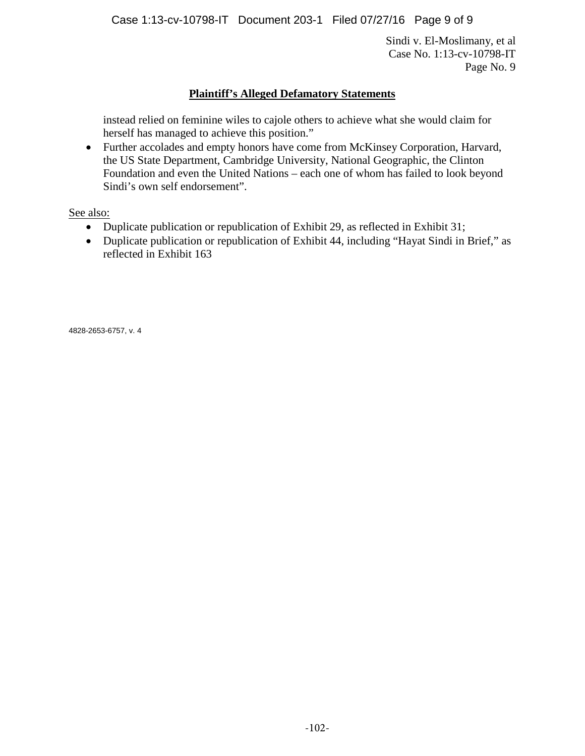Case 1:13-cv-10798-IT Document 203-1 Filed 07/27/16 Page 9 of 9

Sindi v. El-Moslimany, et al Case No. 1:13-cv-10798-IT Page No. 9

### **Plaintiff's Alleged Defamatory Statements**

instead relied on feminine wiles to cajole others to achieve what she would claim for herself has managed to achieve this position."

• Further accolades and empty honors have come from McKinsey Corporation, Harvard, the US State Department, Cambridge University, National Geographic, the Clinton Foundation and even the United Nations – each one of whom has failed to look beyond Sindi's own self endorsement".

See also:

- Duplicate publication or republication of Exhibit 29, as reflected in Exhibit 31;
- Duplicate publication or republication of Exhibit 44, including "Hayat Sindi in Brief," as reflected in Exhibit 163

4828-2653-6757, v. 4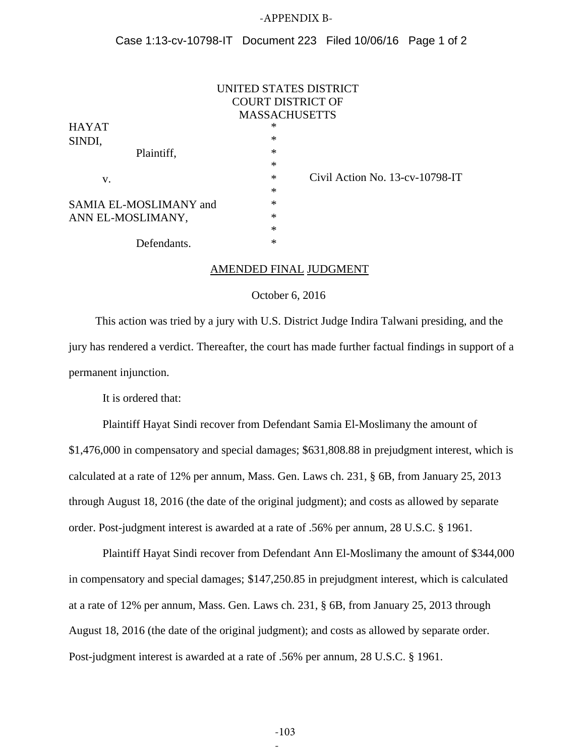#### -APPENDIX B-

#### Case 1:13-cv-10798-IT Document 223 Filed 10/06/16 Page 1 of 2

|                        | UNITED STATES DISTRICT                    |
|------------------------|-------------------------------------------|
|                        | <b>COURT DISTRICT OF</b>                  |
|                        | <b>MASSACHUSETTS</b>                      |
| <b>HAYAT</b>           | ∗                                         |
| SINDI,                 | $\ast$                                    |
| Plaintiff,             | $\ast$                                    |
|                        | $\ast$                                    |
| V.                     | Civil Action No. 13-cv-10798-IT<br>$\ast$ |
|                        | $\ast$                                    |
| SAMIA EL-MOSLIMANY and | $\ast$                                    |
| ANN EL-MOSLIMANY,      | ∗                                         |
|                        | $\ast$                                    |
| Defendants.            | ∗                                         |

#### AMENDED FINAL JUDGMENT

#### October 6, 2016

This action was tried by a jury with U.S. District Judge Indira Talwani presiding, and the jury has rendered a verdict. Thereafter, the court has made further factual findings in support of a permanent injunction.

It is ordered that:

Plaintiff Hayat Sindi recover from Defendant Samia El-Moslimany the amount of \$1,476,000 in compensatory and special damages; \$631,808.88 in prejudgment interest, which is calculated at a rate of 12% per annum, Mass. Gen. Laws ch. 231, § 6B, from January 25, 2013 through August 18, 2016 (the date of the original judgment); and costs as allowed by separate order. Post-judgment interest is awarded at a rate of .56% per annum, 28 U.S.C. § 1961.

Plaintiff Hayat Sindi recover from Defendant Ann El-Moslimany the amount of \$344,000 in compensatory and special damages; \$147,250.85 in prejudgment interest, which is calculated at a rate of 12% per annum, Mass. Gen. Laws ch. 231, § 6B, from January 25, 2013 through August 18, 2016 (the date of the original judgment); and costs as allowed by separate order. Post-judgment interest is awarded at a rate of .56% per annum, 28 U.S.C. § 1961.

-